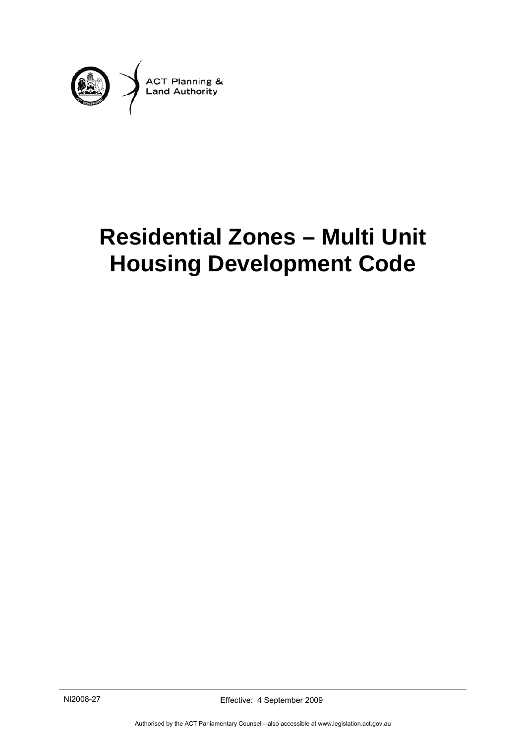

# **Residential Zones – Multi Unit Housing Development Code**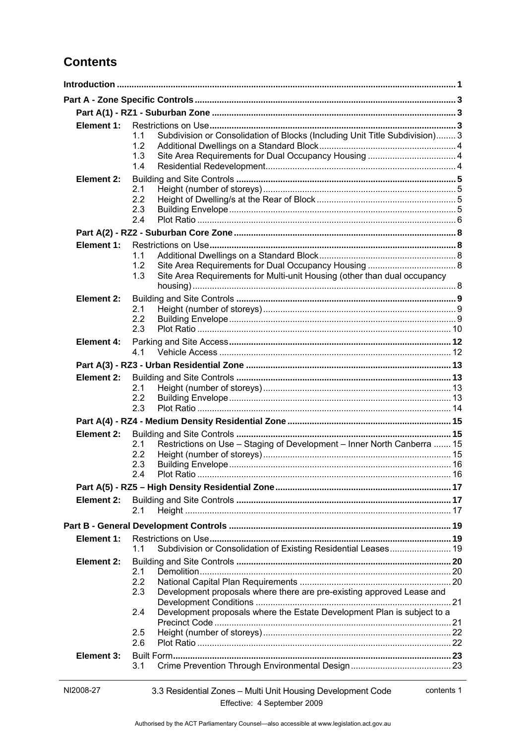# **Contents**

| Element 1:        |                                                                                    |  |  |
|-------------------|------------------------------------------------------------------------------------|--|--|
|                   | Subdivision or Consolidation of Blocks (Including Unit Title Subdivision) 3<br>1.1 |  |  |
|                   | 1.2<br>1.3                                                                         |  |  |
|                   | 1.4                                                                                |  |  |
| <b>Element 2:</b> |                                                                                    |  |  |
|                   | 2.1                                                                                |  |  |
|                   | 2.2                                                                                |  |  |
|                   | 2.3                                                                                |  |  |
|                   | 2.4                                                                                |  |  |
|                   |                                                                                    |  |  |
| Element 1:        |                                                                                    |  |  |
|                   | 1.1<br>1.2                                                                         |  |  |
|                   | Site Area Requirements for Multi-unit Housing (other than dual occupancy<br>1.3    |  |  |
|                   |                                                                                    |  |  |
| Element 2:        |                                                                                    |  |  |
|                   | 2.1                                                                                |  |  |
|                   | 2.2                                                                                |  |  |
|                   | 2.3                                                                                |  |  |
| <b>Element 4:</b> |                                                                                    |  |  |
|                   | 4.1                                                                                |  |  |
|                   |                                                                                    |  |  |
| Element 2:        |                                                                                    |  |  |
|                   | 2.1<br>2.2                                                                         |  |  |
|                   | 2.3                                                                                |  |  |
|                   |                                                                                    |  |  |
| Element 2:        |                                                                                    |  |  |
|                   | Restrictions on Use - Staging of Development - Inner North Canberra  15<br>2.1     |  |  |
|                   | 2.2                                                                                |  |  |
|                   | 2.3                                                                                |  |  |
|                   | 2 A                                                                                |  |  |
|                   |                                                                                    |  |  |
| Element 2:        |                                                                                    |  |  |
|                   | 2.1                                                                                |  |  |
|                   |                                                                                    |  |  |
| Element 1:        |                                                                                    |  |  |
|                   | Subdivision or Consolidation of Existing Residential Leases 19<br>1.1              |  |  |
| Element 2:        |                                                                                    |  |  |
|                   | 2.1<br>2.2                                                                         |  |  |
|                   | Development proposals where there are pre-existing approved Lease and<br>2.3       |  |  |
|                   |                                                                                    |  |  |
|                   | Development proposals where the Estate Development Plan is subject to a<br>2.4     |  |  |
|                   |                                                                                    |  |  |
|                   | 2.5<br>2.6                                                                         |  |  |
| Element 3:        |                                                                                    |  |  |
|                   | 3.1                                                                                |  |  |
|                   |                                                                                    |  |  |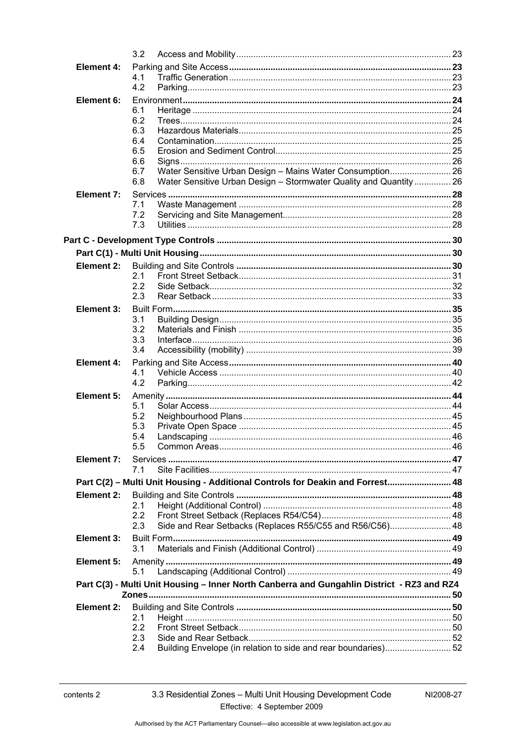|            | 3.2                                                                                        |  |  |
|------------|--------------------------------------------------------------------------------------------|--|--|
| Element 4: |                                                                                            |  |  |
|            | 4.1                                                                                        |  |  |
|            | 4.2                                                                                        |  |  |
| Element 6: |                                                                                            |  |  |
|            | 6.1                                                                                        |  |  |
|            | 6.2<br>6.3                                                                                 |  |  |
|            | 6.4                                                                                        |  |  |
|            | 6.5                                                                                        |  |  |
|            | 6.6                                                                                        |  |  |
|            | Water Sensitive Urban Design - Mains Water Consumption 26<br>6.7                           |  |  |
|            | 6.8<br>Water Sensitive Urban Design - Stormwater Quality and Quantity  26                  |  |  |
| Element 7: |                                                                                            |  |  |
|            | 7.1                                                                                        |  |  |
|            | 7.2                                                                                        |  |  |
|            | 7.3                                                                                        |  |  |
|            |                                                                                            |  |  |
|            |                                                                                            |  |  |
| Element 2: |                                                                                            |  |  |
|            | 2.1                                                                                        |  |  |
|            | 2.2                                                                                        |  |  |
|            | 2.3                                                                                        |  |  |
| Element 3: |                                                                                            |  |  |
|            | 3.1<br>3.2                                                                                 |  |  |
|            | 3.3                                                                                        |  |  |
|            | 3.4                                                                                        |  |  |
| Element 4: |                                                                                            |  |  |
|            | 4.1                                                                                        |  |  |
|            | 4.2                                                                                        |  |  |
| Element 5: |                                                                                            |  |  |
|            | 5.1                                                                                        |  |  |
|            | 5.2                                                                                        |  |  |
|            | 5.3<br>5.4                                                                                 |  |  |
|            |                                                                                            |  |  |
| Element 7: |                                                                                            |  |  |
|            | 7.1                                                                                        |  |  |
|            | Part C(2) - Multi Unit Housing - Additional Controls for Deakin and Forrest 48             |  |  |
| Element 2: |                                                                                            |  |  |
|            | 2.1                                                                                        |  |  |
|            | 2.2                                                                                        |  |  |
|            | Side and Rear Setbacks (Replaces R55/C55 and R56/C56) 48<br>2.3                            |  |  |
| Element 3: |                                                                                            |  |  |
|            | 3.1                                                                                        |  |  |
| Element 5: |                                                                                            |  |  |
|            | 5.1                                                                                        |  |  |
|            | Part C(3) - Multi Unit Housing - Inner North Canberra and Gungahlin District - RZ3 and RZ4 |  |  |
|            |                                                                                            |  |  |
| Element 2: |                                                                                            |  |  |
|            | 2.1                                                                                        |  |  |
|            | 2.2<br>2.3                                                                                 |  |  |
|            | Building Envelope (in relation to side and rear boundaries)52<br>2.4                       |  |  |
|            |                                                                                            |  |  |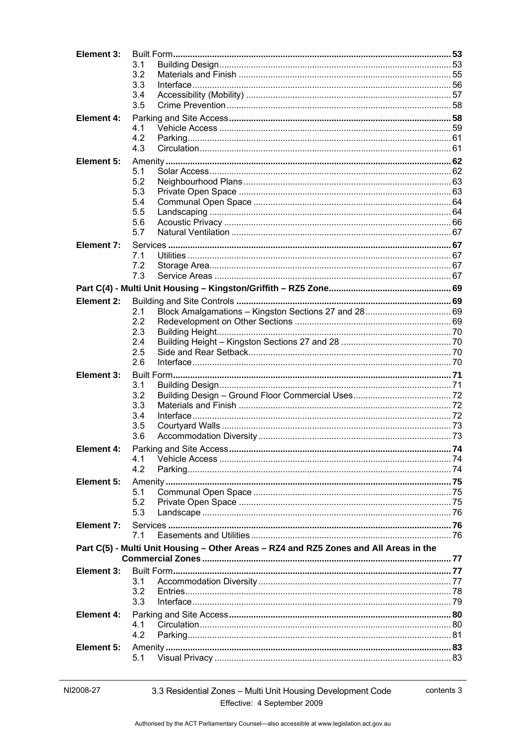| Element 3:        |                                                                                       |  |
|-------------------|---------------------------------------------------------------------------------------|--|
|                   | 3.1                                                                                   |  |
|                   | 3.2                                                                                   |  |
|                   | 3.3                                                                                   |  |
|                   | 3.4                                                                                   |  |
|                   | 3.5                                                                                   |  |
| Element 4:        |                                                                                       |  |
|                   | 4.1                                                                                   |  |
|                   | 4.2<br>4.3                                                                            |  |
|                   |                                                                                       |  |
| Element 5:        |                                                                                       |  |
|                   | 5.1<br>5.2                                                                            |  |
|                   | 5.3                                                                                   |  |
|                   | 5.4                                                                                   |  |
|                   | 5.5                                                                                   |  |
|                   | 5.6                                                                                   |  |
|                   | 5.7                                                                                   |  |
| Element 7:        |                                                                                       |  |
|                   | 7.1                                                                                   |  |
|                   | 7.2                                                                                   |  |
|                   | 7.3                                                                                   |  |
|                   |                                                                                       |  |
| Element 2:        |                                                                                       |  |
|                   | 2.1                                                                                   |  |
|                   | 2.2                                                                                   |  |
|                   | 2.3                                                                                   |  |
|                   | 2.4                                                                                   |  |
|                   | 2.5                                                                                   |  |
|                   | 2.6                                                                                   |  |
| Element 3:        |                                                                                       |  |
|                   | 3.1                                                                                   |  |
|                   | 3.2                                                                                   |  |
|                   | 3.3                                                                                   |  |
|                   | 3.4                                                                                   |  |
|                   | 3.5<br>3.6                                                                            |  |
|                   |                                                                                       |  |
| Element 4:        | 4.1                                                                                   |  |
|                   | 4.2                                                                                   |  |
|                   |                                                                                       |  |
| Element 5:        | 5.1                                                                                   |  |
|                   | 5.2                                                                                   |  |
|                   | 5.3                                                                                   |  |
| Element 7:        |                                                                                       |  |
|                   | 71                                                                                    |  |
|                   |                                                                                       |  |
|                   | Part C(5) - Multi Unit Housing - Other Areas - RZ4 and RZ5 Zones and All Areas in the |  |
|                   |                                                                                       |  |
| Element 3:        | 3.1                                                                                   |  |
|                   | 3.2                                                                                   |  |
|                   | 3.3                                                                                   |  |
| <b>Element 4:</b> |                                                                                       |  |
|                   | 4.1                                                                                   |  |
|                   | 4.2                                                                                   |  |
| Element 5:        |                                                                                       |  |
|                   | 5.1                                                                                   |  |
|                   |                                                                                       |  |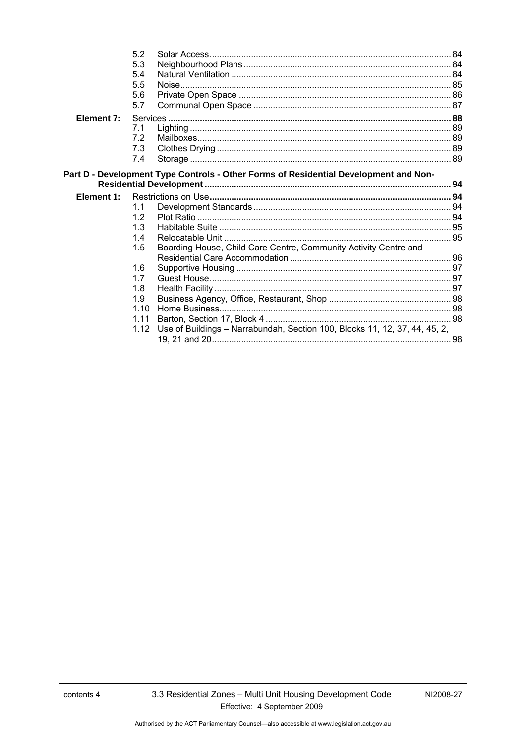|            | 5.2  |                                                                                      |  |
|------------|------|--------------------------------------------------------------------------------------|--|
|            | 5.3  |                                                                                      |  |
|            | 5.4  |                                                                                      |  |
|            | 5.5  |                                                                                      |  |
|            | 5.6  |                                                                                      |  |
|            | 5.7  |                                                                                      |  |
| Element 7: |      |                                                                                      |  |
|            | 7.1  |                                                                                      |  |
|            | 7.2  |                                                                                      |  |
|            | 7.3  |                                                                                      |  |
|            | 7.4  |                                                                                      |  |
|            |      | Part D - Development Type Controls - Other Forms of Residential Development and Non- |  |
|            |      |                                                                                      |  |
| Element 1: |      |                                                                                      |  |
|            | 1.1  |                                                                                      |  |
|            | 1.2  |                                                                                      |  |
|            | 1.3  |                                                                                      |  |
|            | 1.4  |                                                                                      |  |
|            | 1.5  | Boarding House, Child Care Centre, Community Activity Centre and                     |  |
|            |      |                                                                                      |  |
|            | 1.6  |                                                                                      |  |
|            | 1.7  |                                                                                      |  |
|            | 1.8  |                                                                                      |  |
|            | 1.9  |                                                                                      |  |
|            | 1.10 |                                                                                      |  |
|            | 1.11 |                                                                                      |  |
|            | 1.12 | Use of Buildings - Narrabundah, Section 100, Blocks 11, 12, 37, 44, 45, 2,           |  |
|            |      |                                                                                      |  |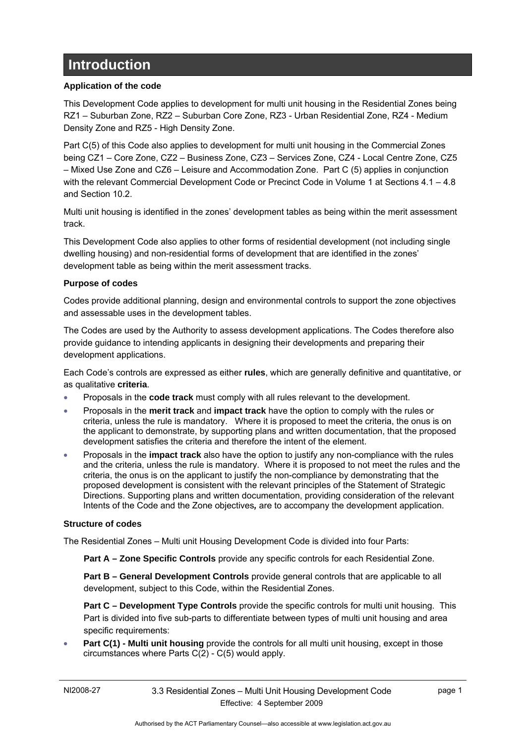# <span id="page-6-0"></span>**Introduction**

#### **Application of the code**

This Development Code applies to development for multi unit housing in the Residential Zones being RZ1 – Suburban Zone, RZ2 – Suburban Core Zone, RZ3 - Urban Residential Zone, RZ4 - Medium Density Zone and RZ5 - High Density Zone.

Part C(5) of this Code also applies to development for multi unit housing in the Commercial Zones being CZ1 – Core Zone, CZ2 – Business Zone, CZ3 – Services Zone, CZ4 - Local Centre Zone, CZ5 – Mixed Use Zone and CZ6 – Leisure and Accommodation Zone. Part C (5) applies in conjunction with the relevant Commercial Development Code or Precinct Code in Volume 1 at Sections 4.1 - 4.8 and Section 10.2.

Multi unit housing is identified in the zones' development tables as being within the merit assessment track.

This Development Code also applies to other forms of residential development (not including single dwelling housing) and non-residential forms of development that are identified in the zones' development table as being within the merit assessment tracks.

#### **Purpose of codes**

Codes provide additional planning, design and environmental controls to support the zone objectives and assessable uses in the development tables.

The Codes are used by the Authority to assess development applications. The Codes therefore also provide guidance to intending applicants in designing their developments and preparing their development applications.

Each Code's controls are expressed as either **rules**, which are generally definitive and quantitative, or as qualitative **criteria**.

- Proposals in the **code track** must comply with all rules relevant to the development.
- Proposals in the **merit track** and **impact track** have the option to comply with the rules or criteria, unless the rule is mandatory. Where it is proposed to meet the criteria, the onus is on the applicant to demonstrate, by supporting plans and written documentation, that the proposed development satisfies the criteria and therefore the intent of the element.
- Proposals in the **impact track** also have the option to justify any non-compliance with the rules and the criteria, unless the rule is mandatory. Where it is proposed to not meet the rules and the criteria, the onus is on the applicant to justify the non-compliance by demonstrating that the proposed development is consistent with the relevant principles of the Statement of Strategic Directions. Supporting plans and written documentation, providing consideration of the relevant Intents of the Code and the Zone objectives*,* are to accompany the development application.

#### **Structure of codes**

The Residential Zones – Multi unit Housing Development Code is divided into four Parts:

**Part A – Zone Specific Controls** provide any specific controls for each Residential Zone.

**Part B – General Development Controls** provide general controls that are applicable to all development, subject to this Code, within the Residential Zones.

**Part C – Development Type Controls** provide the specific controls for multi unit housing. This Part is divided into five sub-parts to differentiate between types of multi unit housing and area specific requirements:

**Part C(1) - Multi unit housing** provide the controls for all multi unit housing, except in those circumstances where Parts C(2) - C(5) would apply.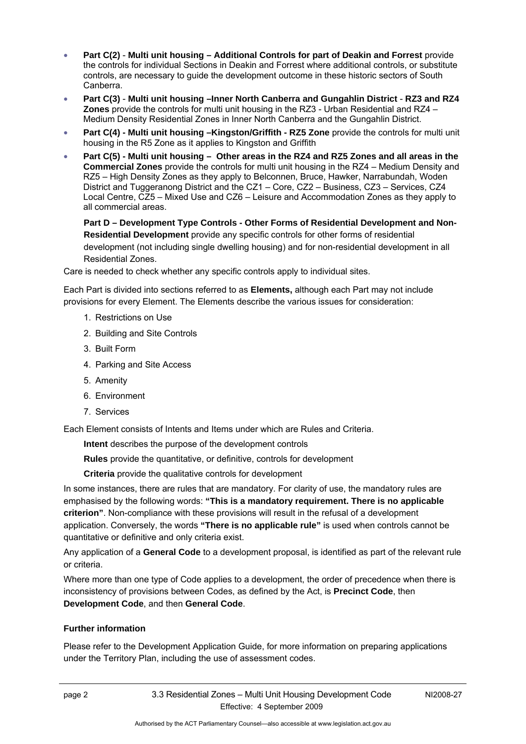- **Part C(2) Multi unit housing Additional Controls for part of Deakin and Forrest** provide the controls for individual Sections in Deakin and Forrest where additional controls, or substitute controls, are necessary to guide the development outcome in these historic sectors of South Canberra.
- **Part C(3) Multi unit housing –Inner North Canberra and Gungahlin District RZ3 and RZ4 Zones** provide the controls for multi unit housing in the RZ3 - Urban Residential and RZ4 – Medium Density Residential Zones in Inner North Canberra and the Gungahlin District.
- **Part C(4) Multi unit housing –Kingston/Griffith RZ5 Zone** provide the controls for multi unit housing in the R5 Zone as it applies to Kingston and Griffith
- **Part C(5) Multi unit housing Other areas in the RZ4 and RZ5 Zones and all areas in the Commercial Zones** provide the controls for multi unit housing in the RZ4 – Medium Density and RZ5 – High Density Zones as they apply to Belconnen, Bruce, Hawker, Narrabundah, Woden District and Tuggeranong District and the CZ1 – Core, CZ2 – Business, CZ3 – Services, CZ4 Local Centre, CZ5 – Mixed Use and CZ6 – Leisure and Accommodation Zones as they apply to all commercial areas.

**Part D – Development Type Controls - Other Forms of Residential Development and Non-Residential Development** provide any specific controls for other forms of residential development (not including single dwelling housing) and for non-residential development in all Residential Zones.

Care is needed to check whether any specific controls apply to individual sites.

Each Part is divided into sections referred to as **Elements,** although each Part may not include provisions for every Element. The Elements describe the various issues for consideration:

- 1. Restrictions on Use
- 2. Building and Site Controls
- 3. Built Form
- 4. Parking and Site Access
- 5. Amenity
- 6. Environment
- 7. Services

Each Element consists of Intents and Items under which are Rules and Criteria.

**Intent** describes the purpose of the development controls

**Rules** provide the quantitative, or definitive, controls for development

**Criteria** provide the qualitative controls for development

In some instances, there are rules that are mandatory. For clarity of use, the mandatory rules are emphasised by the following words: **"This is a mandatory requirement. There is no applicable criterion"**. Non-compliance with these provisions will result in the refusal of a development application. Conversely, the words **"There is no applicable rule"** is used when controls cannot be quantitative or definitive and only criteria exist.

Any application of a **General Code** to a development proposal, is identified as part of the relevant rule or criteria.

Where more than one type of Code applies to a development, the order of precedence when there is inconsistency of provisions between Codes, as defined by the Act, is **Precinct Code**, then **Development Code**, and then **General Code**.

#### **Further information**

Please refer to the Development Application Guide, for more information on preparing applications under the Territory Plan, including the use of assessment codes.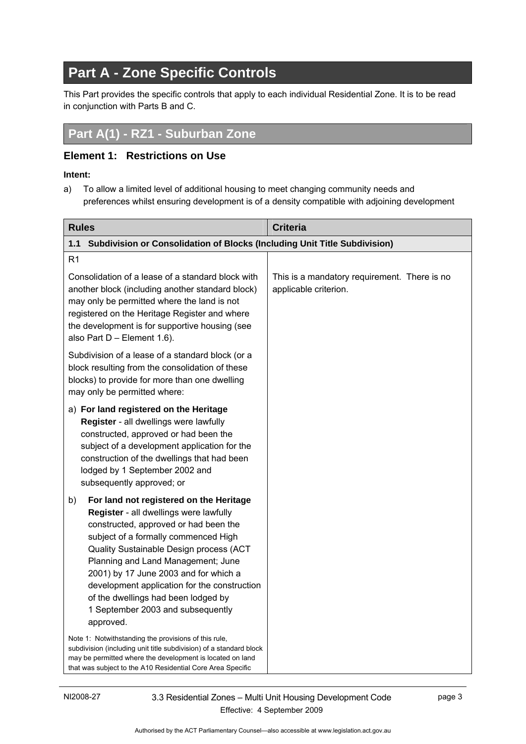# <span id="page-8-0"></span>**Part A - Zone Specific Controls**

This Part provides the specific controls that apply to each individual Residential Zone. It is to be read in conjunction with Parts B and C.

# **Part A(1) - RZ1 - Suburban Zone**

#### **Element 1: Restrictions on Use**

#### **Intent:**

a) To allow a limited level of additional housing to meet changing community needs and preferences whilst ensuring development is of a density compatible with adjoining development

| <b>Rules</b>                                                                                                                                                                                                                                                                                                                                                                                                                                | <b>Criteria</b>                                                       |
|---------------------------------------------------------------------------------------------------------------------------------------------------------------------------------------------------------------------------------------------------------------------------------------------------------------------------------------------------------------------------------------------------------------------------------------------|-----------------------------------------------------------------------|
| 1.1<br>Subdivision or Consolidation of Blocks (Including Unit Title Subdivision)                                                                                                                                                                                                                                                                                                                                                            |                                                                       |
| R <sub>1</sub>                                                                                                                                                                                                                                                                                                                                                                                                                              |                                                                       |
| Consolidation of a lease of a standard block with<br>another block (including another standard block)<br>may only be permitted where the land is not<br>registered on the Heritage Register and where<br>the development is for supportive housing (see<br>also Part D - Element 1.6).                                                                                                                                                      | This is a mandatory requirement. There is no<br>applicable criterion. |
| Subdivision of a lease of a standard block (or a<br>block resulting from the consolidation of these<br>blocks) to provide for more than one dwelling<br>may only be permitted where:                                                                                                                                                                                                                                                        |                                                                       |
| a) For land registered on the Heritage<br>Register - all dwellings were lawfully<br>constructed, approved or had been the<br>subject of a development application for the<br>construction of the dwellings that had been<br>lodged by 1 September 2002 and<br>subsequently approved; or                                                                                                                                                     |                                                                       |
| For land not registered on the Heritage<br>b)<br>Register - all dwellings were lawfully<br>constructed, approved or had been the<br>subject of a formally commenced High<br>Quality Sustainable Design process (ACT<br>Planning and Land Management; June<br>2001) by 17 June 2003 and for which a<br>development application for the construction<br>of the dwellings had been lodged by<br>1 September 2003 and subsequently<br>approved. |                                                                       |
| Note 1: Notwithstanding the provisions of this rule,<br>subdivision (including unit title subdivision) of a standard block<br>may be permitted where the development is located on land<br>that was subject to the A10 Residential Core Area Specific                                                                                                                                                                                       |                                                                       |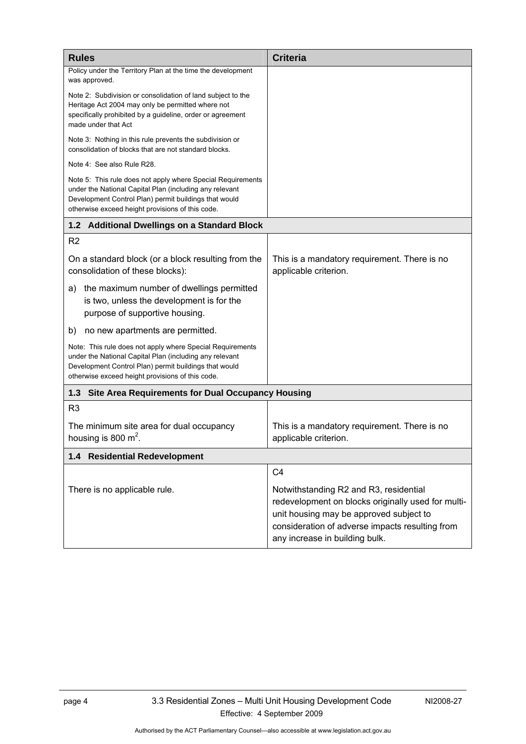<span id="page-9-0"></span>

| <b>Rules</b>                                                                                                                                                                                                                        | <b>Criteria</b>                                                                                                                                                                                                              |  |
|-------------------------------------------------------------------------------------------------------------------------------------------------------------------------------------------------------------------------------------|------------------------------------------------------------------------------------------------------------------------------------------------------------------------------------------------------------------------------|--|
| Policy under the Territory Plan at the time the development<br>was approved.                                                                                                                                                        |                                                                                                                                                                                                                              |  |
| Note 2: Subdivision or consolidation of land subject to the<br>Heritage Act 2004 may only be permitted where not<br>specifically prohibited by a guideline, order or agreement<br>made under that Act                               |                                                                                                                                                                                                                              |  |
| Note 3: Nothing in this rule prevents the subdivision or<br>consolidation of blocks that are not standard blocks.                                                                                                                   |                                                                                                                                                                                                                              |  |
| Note 4: See also Rule R28.                                                                                                                                                                                                          |                                                                                                                                                                                                                              |  |
| Note 5: This rule does not apply where Special Requirements<br>under the National Capital Plan (including any relevant<br>Development Control Plan) permit buildings that would<br>otherwise exceed height provisions of this code. |                                                                                                                                                                                                                              |  |
| 1.2 Additional Dwellings on a Standard Block                                                                                                                                                                                        |                                                                                                                                                                                                                              |  |
| R <sub>2</sub>                                                                                                                                                                                                                      |                                                                                                                                                                                                                              |  |
| On a standard block (or a block resulting from the<br>consolidation of these blocks):                                                                                                                                               | This is a mandatory requirement. There is no<br>applicable criterion.                                                                                                                                                        |  |
| the maximum number of dwellings permitted<br>a)<br>is two, unless the development is for the<br>purpose of supportive housing.                                                                                                      |                                                                                                                                                                                                                              |  |
| no new apartments are permitted.<br>b)                                                                                                                                                                                              |                                                                                                                                                                                                                              |  |
| Note: This rule does not apply where Special Requirements<br>under the National Capital Plan (including any relevant<br>Development Control Plan) permit buildings that would<br>otherwise exceed height provisions of this code.   |                                                                                                                                                                                                                              |  |
| <b>Site Area Requirements for Dual Occupancy Housing</b><br>1.3                                                                                                                                                                     |                                                                                                                                                                                                                              |  |
| R3                                                                                                                                                                                                                                  |                                                                                                                                                                                                                              |  |
| The minimum site area for dual occupancy<br>housing is 800 $m^2$ .                                                                                                                                                                  | This is a mandatory requirement. There is no<br>applicable criterion.                                                                                                                                                        |  |
| 1.4 Residential Redevelopment                                                                                                                                                                                                       |                                                                                                                                                                                                                              |  |
|                                                                                                                                                                                                                                     | C <sub>4</sub>                                                                                                                                                                                                               |  |
| There is no applicable rule.                                                                                                                                                                                                        | Notwithstanding R2 and R3, residential<br>redevelopment on blocks originally used for multi-<br>unit housing may be approved subject to<br>consideration of adverse impacts resulting from<br>any increase in building bulk. |  |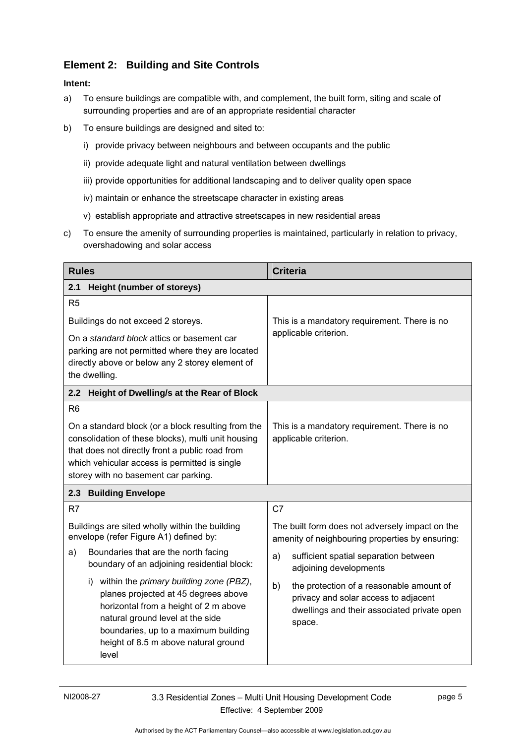#### <span id="page-10-0"></span>**Element 2: Building and Site Controls**

- a) To ensure buildings are compatible with, and complement, the built form, siting and scale of surrounding properties and are of an appropriate residential character
- b) To ensure buildings are designed and sited to:
	- i) provide privacy between neighbours and between occupants and the public
	- ii) provide adequate light and natural ventilation between dwellings
	- iii) provide opportunities for additional landscaping and to deliver quality open space
	- iv) maintain or enhance the streetscape character in existing areas
	- v) establish appropriate and attractive streetscapes in new residential areas
- c) To ensure the amenity of surrounding properties is maintained, particularly in relation to privacy, overshadowing and solar access

| <b>Rules</b>                                                                                                                                                                                                                                                | <b>Criteria</b>                                                                                                                                 |  |
|-------------------------------------------------------------------------------------------------------------------------------------------------------------------------------------------------------------------------------------------------------------|-------------------------------------------------------------------------------------------------------------------------------------------------|--|
| <b>Height (number of storeys)</b><br>2.1                                                                                                                                                                                                                    |                                                                                                                                                 |  |
| R <sub>5</sub>                                                                                                                                                                                                                                              |                                                                                                                                                 |  |
| Buildings do not exceed 2 storeys.                                                                                                                                                                                                                          | This is a mandatory requirement. There is no<br>applicable criterion.                                                                           |  |
| On a standard block attics or basement car<br>parking are not permitted where they are located<br>directly above or below any 2 storey element of<br>the dwelling.                                                                                          |                                                                                                                                                 |  |
| Height of Dwelling/s at the Rear of Block<br>2.2                                                                                                                                                                                                            |                                                                                                                                                 |  |
| R <sub>6</sub>                                                                                                                                                                                                                                              |                                                                                                                                                 |  |
| On a standard block (or a block resulting from the<br>consolidation of these blocks), multi unit housing<br>that does not directly front a public road from<br>which vehicular access is permitted is single<br>storey with no basement car parking.        | This is a mandatory requirement. There is no<br>applicable criterion.                                                                           |  |
| <b>Building Envelope</b><br>2.3                                                                                                                                                                                                                             |                                                                                                                                                 |  |
| R <sub>7</sub>                                                                                                                                                                                                                                              | C7                                                                                                                                              |  |
| Buildings are sited wholly within the building<br>envelope (refer Figure A1) defined by:                                                                                                                                                                    | The built form does not adversely impact on the<br>amenity of neighbouring properties by ensuring:                                              |  |
| Boundaries that are the north facing<br>a)<br>boundary of an adjoining residential block:                                                                                                                                                                   | sufficient spatial separation between<br>a)<br>adjoining developments                                                                           |  |
| within the primary building zone (PBZ),<br>i)<br>planes projected at 45 degrees above<br>horizontal from a height of 2 m above<br>natural ground level at the side<br>boundaries, up to a maximum building<br>height of 8.5 m above natural ground<br>level | the protection of a reasonable amount of<br>b)<br>privacy and solar access to adjacent<br>dwellings and their associated private open<br>space. |  |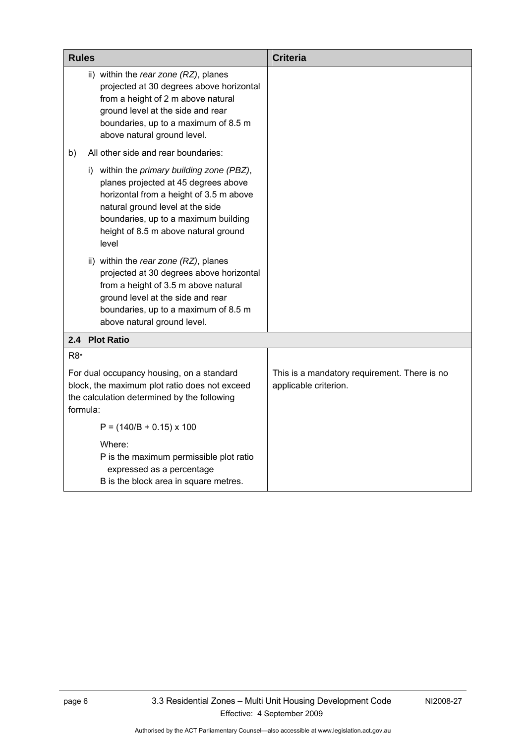<span id="page-11-0"></span>

| <b>Rules</b>                                                                                                                                                                                                                                               | <b>Criteria</b>                                                       |  |
|------------------------------------------------------------------------------------------------------------------------------------------------------------------------------------------------------------------------------------------------------------|-----------------------------------------------------------------------|--|
| ii) within the rear zone (RZ), planes<br>projected at 30 degrees above horizontal<br>from a height of 2 m above natural<br>ground level at the side and rear<br>boundaries, up to a maximum of 8.5 m<br>above natural ground level.                        |                                                                       |  |
| All other side and rear boundaries:<br>b)                                                                                                                                                                                                                  |                                                                       |  |
| i) within the primary building zone (PBZ),<br>planes projected at 45 degrees above<br>horizontal from a height of 3.5 m above<br>natural ground level at the side<br>boundaries, up to a maximum building<br>height of 8.5 m above natural ground<br>level |                                                                       |  |
| ii) within the rear zone (RZ), planes<br>projected at 30 degrees above horizontal<br>from a height of 3.5 m above natural<br>ground level at the side and rear<br>boundaries, up to a maximum of 8.5 m<br>above natural ground level.                      |                                                                       |  |
| 2.4 Plot Ratio                                                                                                                                                                                                                                             |                                                                       |  |
| R <sub>8</sub>                                                                                                                                                                                                                                             |                                                                       |  |
| For dual occupancy housing, on a standard<br>block, the maximum plot ratio does not exceed<br>the calculation determined by the following<br>formula:                                                                                                      | This is a mandatory requirement. There is no<br>applicable criterion. |  |
| $P = (140/B + 0.15) \times 100$                                                                                                                                                                                                                            |                                                                       |  |
| Where:<br>P is the maximum permissible plot ratio<br>expressed as a percentage<br>B is the block area in square metres.                                                                                                                                    |                                                                       |  |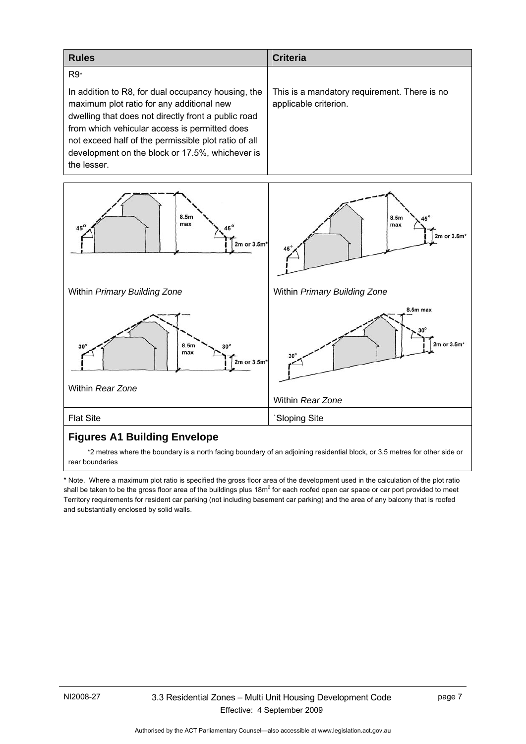| <b>Rules</b>                                                                                                                                                                                                                                                                                                                      | <b>Criteria</b>                                                       |
|-----------------------------------------------------------------------------------------------------------------------------------------------------------------------------------------------------------------------------------------------------------------------------------------------------------------------------------|-----------------------------------------------------------------------|
| $R9*$                                                                                                                                                                                                                                                                                                                             |                                                                       |
| In addition to R8, for dual occupancy housing, the<br>maximum plot ratio for any additional new<br>dwelling that does not directly front a public road<br>from which vehicular access is permitted does<br>not exceed half of the permissible plot ratio of all<br>development on the block or 17.5%, whichever is<br>the lesser. | This is a mandatory requirement. There is no<br>applicable criterion. |



#### **Figures A1 Building Envelope**

 \*2 metres where the boundary is a north facing boundary of an adjoining residential block, or 3.5 metres for other side or rear boundaries

\* Note. Where a maximum plot ratio is specified the gross floor area of the development used in the calculation of the plot ratio shall be taken to be the gross floor area of the buildings plus 18m<sup>2</sup> for each roofed open car space or car port provided to meet Territory requirements for resident car parking (not including basement car parking) and the area of any balcony that is roofed and substantially enclosed by solid walls.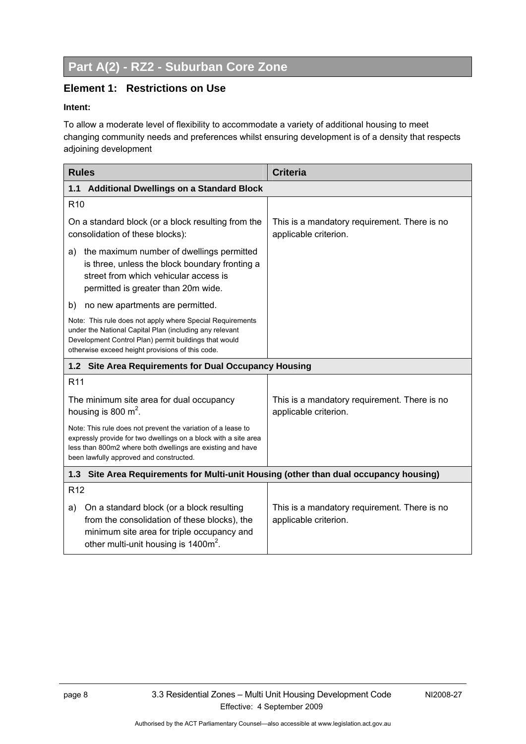# <span id="page-13-0"></span>**Part A(2) - RZ2 - Suburban Core Zone**

#### **Element 1: Restrictions on Use**

#### **Intent:**

To allow a moderate level of flexibility to accommodate a variety of additional housing to meet changing community needs and preferences whilst ensuring development is of a density that respects adjoining development

| <b>Rules</b>                                                                                                                                                                                                                             | <b>Criteria</b>                                                       |  |  |  |
|------------------------------------------------------------------------------------------------------------------------------------------------------------------------------------------------------------------------------------------|-----------------------------------------------------------------------|--|--|--|
| <b>Additional Dwellings on a Standard Block</b><br>1.1                                                                                                                                                                                   |                                                                       |  |  |  |
| R <sub>10</sub>                                                                                                                                                                                                                          |                                                                       |  |  |  |
| On a standard block (or a block resulting from the<br>consolidation of these blocks):                                                                                                                                                    | This is a mandatory requirement. There is no<br>applicable criterion. |  |  |  |
| the maximum number of dwellings permitted<br>a)<br>is three, unless the block boundary fronting a<br>street from which vehicular access is<br>permitted is greater than 20m wide.                                                        |                                                                       |  |  |  |
| no new apartments are permitted.<br>b)                                                                                                                                                                                                   |                                                                       |  |  |  |
| Note: This rule does not apply where Special Requirements<br>under the National Capital Plan (including any relevant<br>Development Control Plan) permit buildings that would<br>otherwise exceed height provisions of this code.        |                                                                       |  |  |  |
| 1.2 Site Area Requirements for Dual Occupancy Housing                                                                                                                                                                                    |                                                                       |  |  |  |
| R <sub>11</sub>                                                                                                                                                                                                                          |                                                                       |  |  |  |
| The minimum site area for dual occupancy<br>housing is 800 $m^2$ .                                                                                                                                                                       | This is a mandatory requirement. There is no<br>applicable criterion. |  |  |  |
| Note: This rule does not prevent the variation of a lease to<br>expressly provide for two dwellings on a block with a site area<br>less than 800m2 where both dwellings are existing and have<br>been lawfully approved and constructed. |                                                                       |  |  |  |
| Site Area Requirements for Multi-unit Housing (other than dual occupancy housing)<br>1.3                                                                                                                                                 |                                                                       |  |  |  |
| R <sub>12</sub>                                                                                                                                                                                                                          |                                                                       |  |  |  |
| On a standard block (or a block resulting<br>a)<br>from the consolidation of these blocks), the<br>minimum site area for triple occupancy and<br>other multi-unit housing is 1400m <sup>2</sup> .                                        | This is a mandatory requirement. There is no<br>applicable criterion. |  |  |  |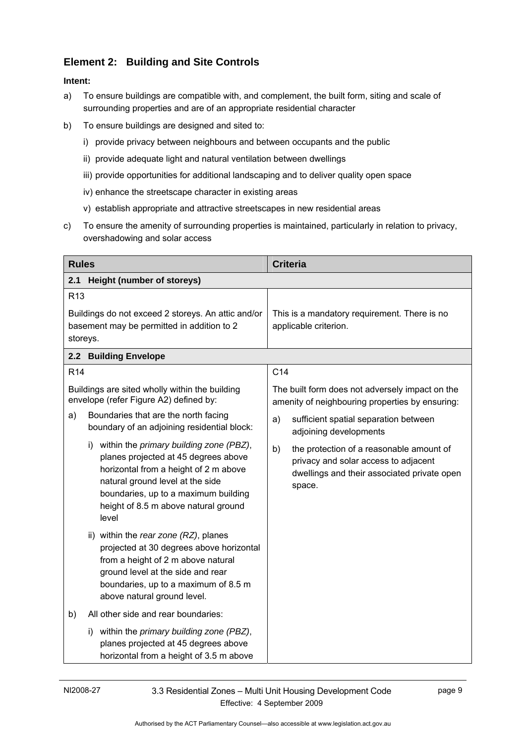### <span id="page-14-0"></span>**Element 2: Building and Site Controls**

- a) To ensure buildings are compatible with, and complement, the built form, siting and scale of surrounding properties and are of an appropriate residential character
- b) To ensure buildings are designed and sited to:
	- i) provide privacy between neighbours and between occupants and the public
	- ii) provide adequate light and natural ventilation between dwellings
	- iii) provide opportunities for additional landscaping and to deliver quality open space
	- iv) enhance the streetscape character in existing areas
	- v) establish appropriate and attractive streetscapes in new residential areas
- c) To ensure the amenity of surrounding properties is maintained, particularly in relation to privacy, overshadowing and solar access

| <b>Rules</b>    |                                                                                                                                                                                                                                                          | <b>Criteria</b>                                                                                                                                 |
|-----------------|----------------------------------------------------------------------------------------------------------------------------------------------------------------------------------------------------------------------------------------------------------|-------------------------------------------------------------------------------------------------------------------------------------------------|
| 2.1             | Height (number of storeys)                                                                                                                                                                                                                               |                                                                                                                                                 |
| R <sub>13</sub> |                                                                                                                                                                                                                                                          |                                                                                                                                                 |
| storeys.        | Buildings do not exceed 2 storeys. An attic and/or<br>basement may be permitted in addition to 2                                                                                                                                                         | This is a mandatory requirement. There is no<br>applicable criterion.                                                                           |
|                 | 2.2 Building Envelope                                                                                                                                                                                                                                    |                                                                                                                                                 |
| R <sub>14</sub> |                                                                                                                                                                                                                                                          | C <sub>14</sub>                                                                                                                                 |
|                 | Buildings are sited wholly within the building<br>envelope (refer Figure A2) defined by:                                                                                                                                                                 | The built form does not adversely impact on the<br>amenity of neighbouring properties by ensuring:                                              |
| a)              | Boundaries that are the north facing<br>boundary of an adjoining residential block:                                                                                                                                                                      | sufficient spatial separation between<br>a)<br>adjoining developments                                                                           |
|                 | i) within the primary building zone (PBZ),<br>planes projected at 45 degrees above<br>horizontal from a height of 2 m above<br>natural ground level at the side<br>boundaries, up to a maximum building<br>height of 8.5 m above natural ground<br>level | b)<br>the protection of a reasonable amount of<br>privacy and solar access to adjacent<br>dwellings and their associated private open<br>space. |
|                 | ii) within the rear zone (RZ), planes<br>projected at 30 degrees above horizontal<br>from a height of 2 m above natural<br>ground level at the side and rear<br>boundaries, up to a maximum of 8.5 m<br>above natural ground level.                      |                                                                                                                                                 |
| b)              | All other side and rear boundaries:                                                                                                                                                                                                                      |                                                                                                                                                 |
|                 | i) within the primary building zone (PBZ),<br>planes projected at 45 degrees above<br>horizontal from a height of 3.5 m above                                                                                                                            |                                                                                                                                                 |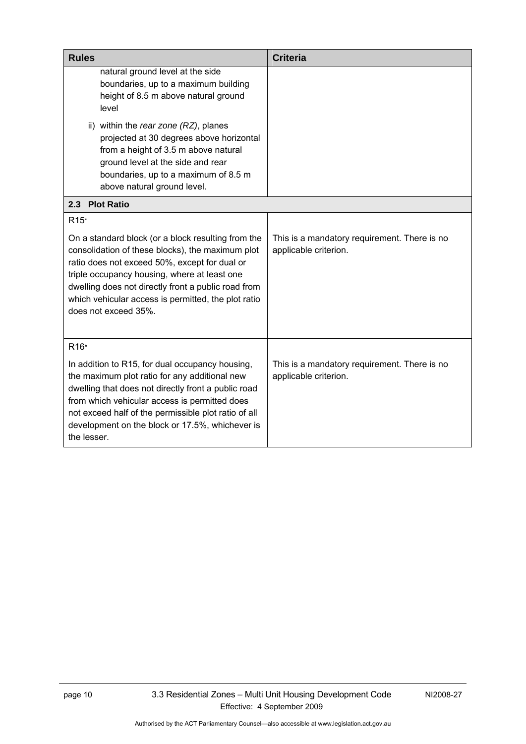<span id="page-15-0"></span>

| <b>Rules</b>                                                                                                                                                                                                                                                                                                                                  | <b>Criteria</b>                                                       |
|-----------------------------------------------------------------------------------------------------------------------------------------------------------------------------------------------------------------------------------------------------------------------------------------------------------------------------------------------|-----------------------------------------------------------------------|
| natural ground level at the side<br>boundaries, up to a maximum building<br>height of 8.5 m above natural ground<br>level                                                                                                                                                                                                                     |                                                                       |
| ii) within the rear zone (RZ), planes<br>projected at 30 degrees above horizontal<br>from a height of 3.5 m above natural<br>ground level at the side and rear<br>boundaries, up to a maximum of 8.5 m<br>above natural ground level.                                                                                                         |                                                                       |
| 2.3 Plot Ratio                                                                                                                                                                                                                                                                                                                                |                                                                       |
| R <sub>15</sub> *                                                                                                                                                                                                                                                                                                                             |                                                                       |
| On a standard block (or a block resulting from the<br>consolidation of these blocks), the maximum plot<br>ratio does not exceed 50%, except for dual or<br>triple occupancy housing, where at least one<br>dwelling does not directly front a public road from<br>which vehicular access is permitted, the plot ratio<br>does not exceed 35%. | This is a mandatory requirement. There is no<br>applicable criterion. |
| R <sub>16</sub> *                                                                                                                                                                                                                                                                                                                             |                                                                       |
| In addition to R15, for dual occupancy housing,<br>the maximum plot ratio for any additional new<br>dwelling that does not directly front a public road<br>from which vehicular access is permitted does<br>not exceed half of the permissible plot ratio of all<br>development on the block or 17.5%, whichever is<br>the lesser.            | This is a mandatory requirement. There is no<br>applicable criterion. |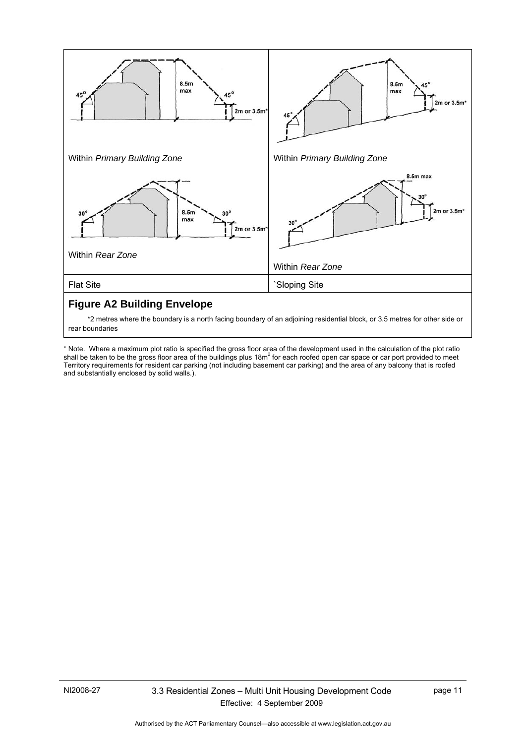

 \*2 metres where the boundary is a north facing boundary of an adjoining residential block, or 3.5 metres for other side or rear boundaries

\* Note. Where a maximum plot ratio is specified the gross floor area of the development used in the calculation of the plot ratio<br>shall be taken to be the gross floor area of the buildings plus 18m<sup>2</sup> for each roofed open Territory requirements for resident car parking (not including basement car parking) and the area of any balcony that is roofed and substantially enclosed by solid walls.).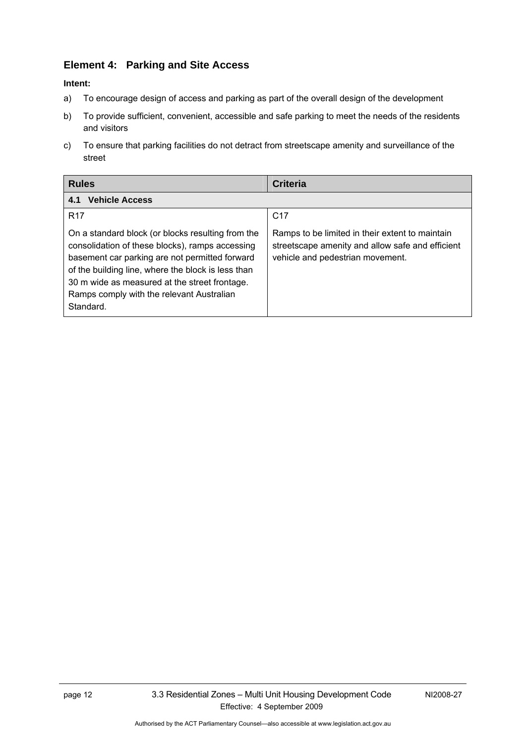#### <span id="page-17-0"></span>**Element 4: Parking and Site Access**

- a) To encourage design of access and parking as part of the overall design of the development
- b) To provide sufficient, convenient, accessible and safe parking to meet the needs of the residents and visitors
- c) To ensure that parking facilities do not detract from streetscape amenity and surveillance of the street

| <b>Rules</b>                                                                                                                                                                                                                                                                                                            | Criteria                                                                                                                                |
|-------------------------------------------------------------------------------------------------------------------------------------------------------------------------------------------------------------------------------------------------------------------------------------------------------------------------|-----------------------------------------------------------------------------------------------------------------------------------------|
| <b>Vehicle Access</b><br>4.1                                                                                                                                                                                                                                                                                            |                                                                                                                                         |
| R <sub>17</sub>                                                                                                                                                                                                                                                                                                         | C <sub>17</sub>                                                                                                                         |
| On a standard block (or blocks resulting from the<br>consolidation of these blocks), ramps accessing<br>basement car parking are not permitted forward<br>of the building line, where the block is less than<br>30 m wide as measured at the street frontage.<br>Ramps comply with the relevant Australian<br>Standard. | Ramps to be limited in their extent to maintain<br>streetscape amenity and allow safe and efficient<br>vehicle and pedestrian movement. |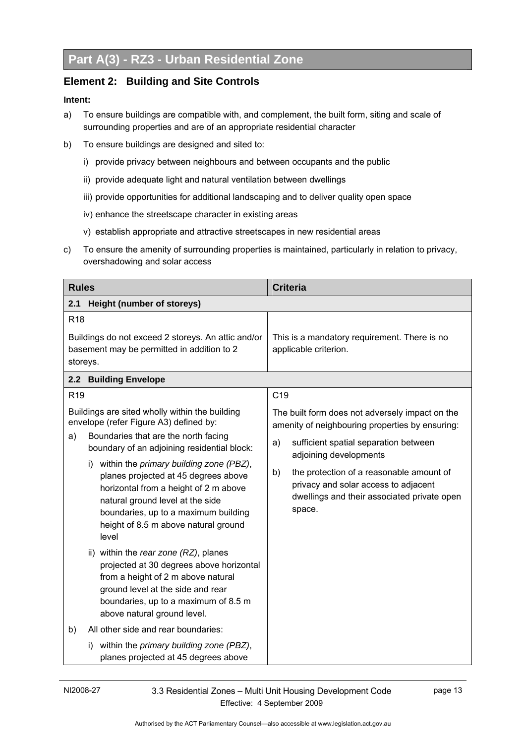#### <span id="page-18-0"></span>**Element 2: Building and Site Controls**

- a) To ensure buildings are compatible with, and complement, the built form, siting and scale of surrounding properties and are of an appropriate residential character
- b) To ensure buildings are designed and sited to:
	- i) provide privacy between neighbours and between occupants and the public
	- ii) provide adequate light and natural ventilation between dwellings
	- iii) provide opportunities for additional landscaping and to deliver quality open space
	- iv) enhance the streetscape character in existing areas
	- v) establish appropriate and attractive streetscapes in new residential areas
- c) To ensure the amenity of surrounding properties is maintained, particularly in relation to privacy, overshadowing and solar access

| <b>Rules</b>                                                                                                                                                                                                                                                                                                                                                                                                                                                                                                                                                                                                                                                                                                                                                                                                                   | <b>Criteria</b>                                                                                                                                                                                                                                                                                                                |
|--------------------------------------------------------------------------------------------------------------------------------------------------------------------------------------------------------------------------------------------------------------------------------------------------------------------------------------------------------------------------------------------------------------------------------------------------------------------------------------------------------------------------------------------------------------------------------------------------------------------------------------------------------------------------------------------------------------------------------------------------------------------------------------------------------------------------------|--------------------------------------------------------------------------------------------------------------------------------------------------------------------------------------------------------------------------------------------------------------------------------------------------------------------------------|
| 2.1<br>Height (number of storeys)                                                                                                                                                                                                                                                                                                                                                                                                                                                                                                                                                                                                                                                                                                                                                                                              |                                                                                                                                                                                                                                                                                                                                |
| R <sub>18</sub><br>Buildings do not exceed 2 storeys. An attic and/or<br>basement may be permitted in addition to 2<br>storeys.                                                                                                                                                                                                                                                                                                                                                                                                                                                                                                                                                                                                                                                                                                | This is a mandatory requirement. There is no<br>applicable criterion.                                                                                                                                                                                                                                                          |
| 2.2 Building Envelope                                                                                                                                                                                                                                                                                                                                                                                                                                                                                                                                                                                                                                                                                                                                                                                                          |                                                                                                                                                                                                                                                                                                                                |
| R <sub>19</sub>                                                                                                                                                                                                                                                                                                                                                                                                                                                                                                                                                                                                                                                                                                                                                                                                                | C <sub>19</sub>                                                                                                                                                                                                                                                                                                                |
| Buildings are sited wholly within the building<br>envelope (refer Figure A3) defined by:<br>Boundaries that are the north facing<br>a)<br>boundary of an adjoining residential block:<br>i) within the primary building zone (PBZ),<br>planes projected at 45 degrees above<br>horizontal from a height of 2 m above<br>natural ground level at the side<br>boundaries, up to a maximum building<br>height of 8.5 m above natural ground<br>level<br>ii) within the rear zone (RZ), planes<br>projected at 30 degrees above horizontal<br>from a height of 2 m above natural<br>ground level at the side and rear<br>boundaries, up to a maximum of 8.5 m<br>above natural ground level.<br>All other side and rear boundaries:<br>b)<br>within the primary building zone (PBZ),<br>I)<br>planes projected at 45 degrees above | The built form does not adversely impact on the<br>amenity of neighbouring properties by ensuring:<br>sufficient spatial separation between<br>a)<br>adjoining developments<br>the protection of a reasonable amount of<br>b)<br>privacy and solar access to adjacent<br>dwellings and their associated private open<br>space. |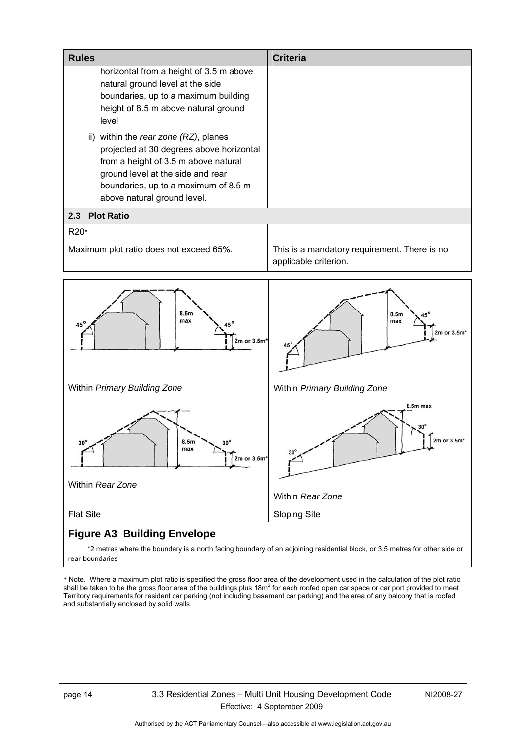<span id="page-19-0"></span>

| <b>Rules</b>                                                                                                                                                                                                                          | <b>Criteria</b>                                                       |
|---------------------------------------------------------------------------------------------------------------------------------------------------------------------------------------------------------------------------------------|-----------------------------------------------------------------------|
| horizontal from a height of 3.5 m above<br>natural ground level at the side<br>boundaries, up to a maximum building<br>height of 8.5 m above natural ground<br>level                                                                  |                                                                       |
| ii) within the rear zone (RZ), planes<br>projected at 30 degrees above horizontal<br>from a height of 3.5 m above natural<br>ground level at the side and rear<br>boundaries, up to a maximum of 8.5 m<br>above natural ground level. |                                                                       |
| <b>Plot Ratio</b><br>2.3                                                                                                                                                                                                              |                                                                       |
| R20*<br>Maximum plot ratio does not exceed 65%.                                                                                                                                                                                       | This is a mandatory requirement. There is no<br>applicable criterion. |
| 8.5 <sub>m</sub><br>max<br>45 <sup>o</sup><br>$2m$ or $3.5m*$                                                                                                                                                                         | 8.5m<br>max<br>2m or 3.5m*                                            |
| Within Primary Building Zone                                                                                                                                                                                                          | Within Primary Building Zone                                          |
| 8.5M<br>30<br>max<br>2m or $3.5m*$<br>Within Rear Zone                                                                                                                                                                                | 8.5m max<br>2m or 3.5m<br>$30^\circ$<br>Within Rear Zone              |
| <b>Flat Site</b>                                                                                                                                                                                                                      | <b>Sloping Site</b>                                                   |

### **Figure A3 Building Envelope**

 \*2 metres where the boundary is a north facing boundary of an adjoining residential block, or 3.5 metres for other side or rear boundaries

\* Note. Where a maximum plot ratio is specified the gross floor area of the development used in the calculation of the plot ratio shall be taken to be the gross floor area of the buildings plus 18m<sup>2</sup> for each roofed open car space or car port provided to meet Territory requirements for resident car parking (not including basement car parking) and the area of any balcony that is roofed and substantially enclosed by solid walls.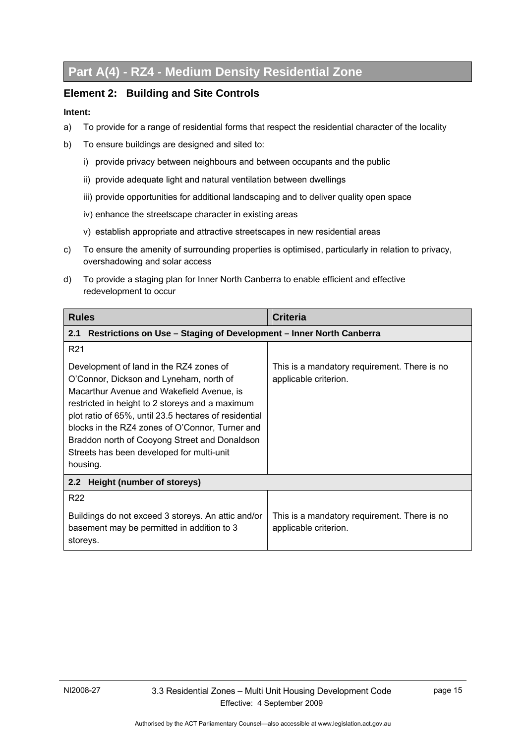### <span id="page-20-0"></span>**Part A(4) - RZ4 - Medium Density Residential Zone**

#### **Element 2: Building and Site Controls**

- a) To provide for a range of residential forms that respect the residential character of the locality
- b) To ensure buildings are designed and sited to:
	- i) provide privacy between neighbours and between occupants and the public
	- ii) provide adequate light and natural ventilation between dwellings
	- iii) provide opportunities for additional landscaping and to deliver quality open space
	- iv) enhance the streetscape character in existing areas
	- v) establish appropriate and attractive streetscapes in new residential areas
- c) To ensure the amenity of surrounding properties is optimised, particularly in relation to privacy, overshadowing and solar access
- d) To provide a staging plan for Inner North Canberra to enable efficient and effective redevelopment to occur

| <b>Rules</b>                                                                                                                                                                                                                                                                                                                                                                                             | <b>Criteria</b>                                                       |
|----------------------------------------------------------------------------------------------------------------------------------------------------------------------------------------------------------------------------------------------------------------------------------------------------------------------------------------------------------------------------------------------------------|-----------------------------------------------------------------------|
| Restrictions on Use - Staging of Development - Inner North Canberra<br>2.1                                                                                                                                                                                                                                                                                                                               |                                                                       |
| R <sub>21</sub>                                                                                                                                                                                                                                                                                                                                                                                          |                                                                       |
| Development of land in the RZ4 zones of<br>O'Connor, Dickson and Lyneham, north of<br>Macarthur Avenue and Wakefield Avenue, is<br>restricted in height to 2 storeys and a maximum<br>plot ratio of 65%, until 23.5 hectares of residential<br>blocks in the RZ4 zones of O'Connor, Turner and<br>Braddon north of Cooyong Street and Donaldson<br>Streets has been developed for multi-unit<br>housing. | This is a mandatory requirement. There is no<br>applicable criterion. |
| 2.2 Height (number of storeys)                                                                                                                                                                                                                                                                                                                                                                           |                                                                       |
| R <sub>22</sub>                                                                                                                                                                                                                                                                                                                                                                                          |                                                                       |
| Buildings do not exceed 3 storeys. An attic and/or<br>basement may be permitted in addition to 3<br>storeys.                                                                                                                                                                                                                                                                                             | This is a mandatory requirement. There is no<br>applicable criterion. |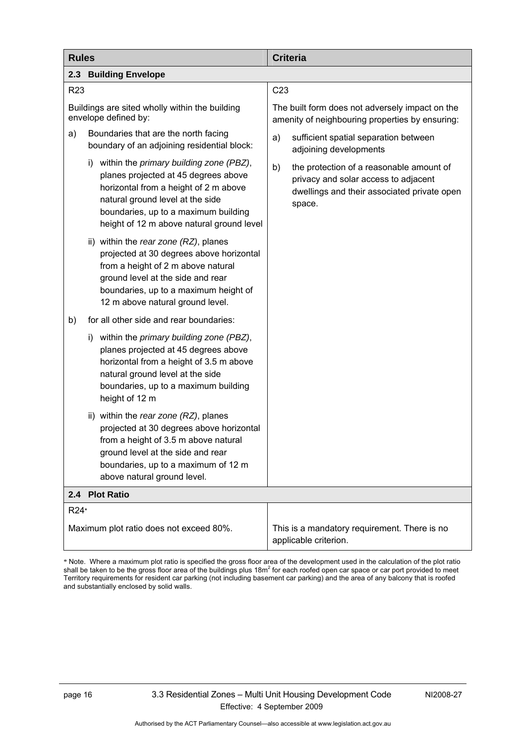<span id="page-21-0"></span>

| <b>Rules</b>                                                                                                                                                                                                                                         | <b>Criteria</b>                                                                                                                                 |
|------------------------------------------------------------------------------------------------------------------------------------------------------------------------------------------------------------------------------------------------------|-------------------------------------------------------------------------------------------------------------------------------------------------|
| <b>Building Envelope</b><br>2.3                                                                                                                                                                                                                      |                                                                                                                                                 |
| R <sub>23</sub>                                                                                                                                                                                                                                      | C <sub>23</sub>                                                                                                                                 |
| Buildings are sited wholly within the building<br>envelope defined by:                                                                                                                                                                               | The built form does not adversely impact on the<br>amenity of neighbouring properties by ensuring:                                              |
| Boundaries that are the north facing<br>a)<br>boundary of an adjoining residential block:                                                                                                                                                            | sufficient spatial separation between<br>a)<br>adjoining developments                                                                           |
| i) within the primary building zone (PBZ),<br>planes projected at 45 degrees above<br>horizontal from a height of 2 m above<br>natural ground level at the side<br>boundaries, up to a maximum building<br>height of 12 m above natural ground level | b)<br>the protection of a reasonable amount of<br>privacy and solar access to adjacent<br>dwellings and their associated private open<br>space. |
| ii) within the rear zone (RZ), planes<br>projected at 30 degrees above horizontal<br>from a height of 2 m above natural<br>ground level at the side and rear<br>boundaries, up to a maximum height of<br>12 m above natural ground level.            |                                                                                                                                                 |
| for all other side and rear boundaries:<br>b)                                                                                                                                                                                                        |                                                                                                                                                 |
| within the primary building zone (PBZ),<br>i).<br>planes projected at 45 degrees above<br>horizontal from a height of 3.5 m above<br>natural ground level at the side<br>boundaries, up to a maximum building<br>height of 12 m                      |                                                                                                                                                 |
| ii) within the rear zone (RZ), planes<br>projected at 30 degrees above horizontal<br>from a height of 3.5 m above natural<br>ground level at the side and rear<br>boundaries, up to a maximum of 12 m<br>above natural ground level.                 |                                                                                                                                                 |
| 2.4 Plot Ratio                                                                                                                                                                                                                                       |                                                                                                                                                 |
| R24*                                                                                                                                                                                                                                                 |                                                                                                                                                 |
| Maximum plot ratio does not exceed 80%.                                                                                                                                                                                                              | This is a mandatory requirement. There is no<br>applicable criterion.                                                                           |

\* Note. Where a maximum plot ratio is specified the gross floor area of the development used in the calculation of the plot ratio<br>shall be taken to be the gross floor area of the buildings plus 18m<sup>2</sup> for each roofed open Territory requirements for resident car parking (not including basement car parking) and the area of any balcony that is roofed and substantially enclosed by solid walls.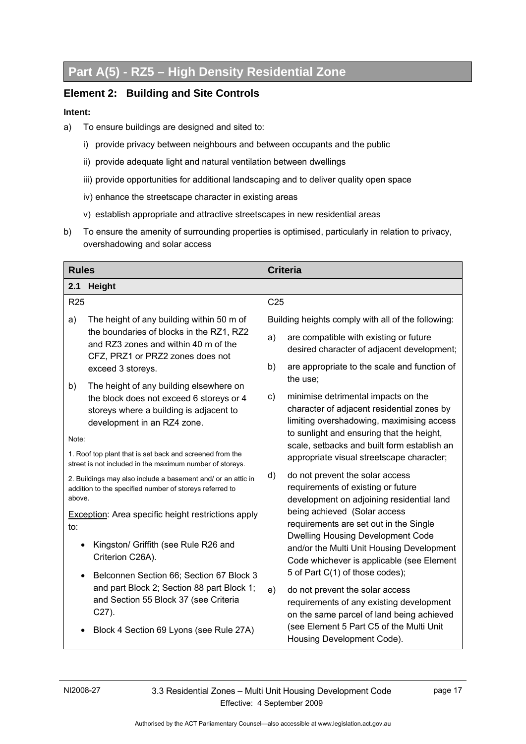# <span id="page-22-0"></span>**Part A(5) - RZ5 – High Density Residential Zone**

#### **Element 2: Building and Site Controls**

- a) To ensure buildings are designed and sited to:
	- i) provide privacy between neighbours and between occupants and the public
	- ii) provide adequate light and natural ventilation between dwellings
	- iii) provide opportunities for additional landscaping and to deliver quality open space
	- iv) enhance the streetscape character in existing areas
	- v) establish appropriate and attractive streetscapes in new residential areas
- b) To ensure the amenity of surrounding properties is optimised, particularly in relation to privacy, overshadowing and solar access

| <b>Rules</b> |                                                                                                                         |                 | <b>Criteria</b>                                                                                                                    |
|--------------|-------------------------------------------------------------------------------------------------------------------------|-----------------|------------------------------------------------------------------------------------------------------------------------------------|
| 2.1          | <b>Height</b>                                                                                                           |                 |                                                                                                                                    |
| <b>R25</b>   |                                                                                                                         | C <sub>25</sub> |                                                                                                                                    |
| a)           | The height of any building within 50 m of<br>the boundaries of blocks in the RZ1, RZ2                                   | a)              | Building heights comply with all of the following:<br>are compatible with existing or future                                       |
|              | and RZ3 zones and within 40 m of the<br>CFZ, PRZ1 or PRZ2 zones does not                                                |                 | desired character of adjacent development;                                                                                         |
| b)           | exceed 3 storeys.<br>The height of any building elsewhere on                                                            | b)              | are appropriate to the scale and function of<br>the use;                                                                           |
|              | the block does not exceed 6 storeys or 4<br>storeys where a building is adjacent to<br>development in an RZ4 zone.      | $\mathsf{c}$    | minimise detrimental impacts on the<br>character of adjacent residential zones by<br>limiting overshadowing, maximising access     |
| Note:        |                                                                                                                         |                 | to sunlight and ensuring that the height,<br>scale, setbacks and built form establish an                                           |
|              | 1. Roof top plant that is set back and screened from the<br>street is not included in the maximum number of storeys.    |                 | appropriate visual streetscape character;                                                                                          |
| above.       | 2. Buildings may also include a basement and/ or an attic in<br>addition to the specified number of storeys referred to | d)              | do not prevent the solar access<br>requirements of existing or future<br>development on adjoining residential land                 |
| to:          | <b>Exception:</b> Area specific height restrictions apply                                                               |                 | being achieved (Solar access<br>requirements are set out in the Single                                                             |
| $\bullet$    | Kingston/ Griffith (see Rule R26 and<br>Criterion C26A).                                                                |                 | <b>Dwelling Housing Development Code</b><br>and/or the Multi Unit Housing Development<br>Code whichever is applicable (see Element |
| $\bullet$    | Belconnen Section 66; Section 67 Block 3                                                                                |                 | 5 of Part C(1) of those codes);                                                                                                    |
|              | and part Block 2; Section 88 part Block 1;<br>and Section 55 Block 37 (see Criteria<br>$C27$ ).                         | e)              | do not prevent the solar access<br>requirements of any existing development<br>on the same parcel of land being achieved           |
|              | Block 4 Section 69 Lyons (see Rule 27A)                                                                                 |                 | (see Element 5 Part C5 of the Multi Unit<br>Housing Development Code).                                                             |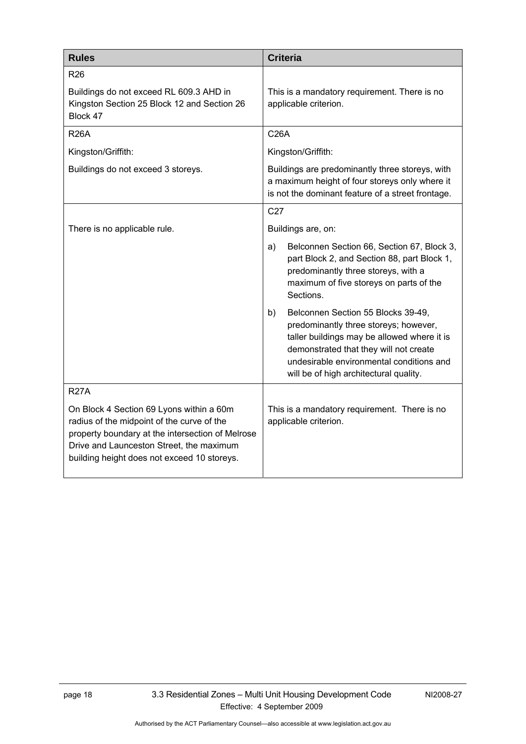<span id="page-23-0"></span>

| <b>Rules</b>                                                                                                                                                                                                                          | <b>Criteria</b>                                                                                                                                                                                                                                                  |
|---------------------------------------------------------------------------------------------------------------------------------------------------------------------------------------------------------------------------------------|------------------------------------------------------------------------------------------------------------------------------------------------------------------------------------------------------------------------------------------------------------------|
| <b>R26</b>                                                                                                                                                                                                                            |                                                                                                                                                                                                                                                                  |
| Buildings do not exceed RL 609.3 AHD in<br>Kingston Section 25 Block 12 and Section 26<br>Block 47                                                                                                                                    | This is a mandatory requirement. There is no<br>applicable criterion.                                                                                                                                                                                            |
| <b>R26A</b>                                                                                                                                                                                                                           | <b>C26A</b>                                                                                                                                                                                                                                                      |
| Kingston/Griffith:                                                                                                                                                                                                                    | Kingston/Griffith:                                                                                                                                                                                                                                               |
| Buildings do not exceed 3 storeys.                                                                                                                                                                                                    | Buildings are predominantly three storeys, with<br>a maximum height of four storeys only where it<br>is not the dominant feature of a street frontage.                                                                                                           |
|                                                                                                                                                                                                                                       | C <sub>27</sub>                                                                                                                                                                                                                                                  |
| There is no applicable rule.                                                                                                                                                                                                          | Buildings are, on:                                                                                                                                                                                                                                               |
|                                                                                                                                                                                                                                       | Belconnen Section 66, Section 67, Block 3,<br>a)<br>part Block 2, and Section 88, part Block 1,<br>predominantly three storeys, with a<br>maximum of five storeys on parts of the<br>Sections.                                                                   |
|                                                                                                                                                                                                                                       | Belconnen Section 55 Blocks 39-49,<br>b)<br>predominantly three storeys; however,<br>taller buildings may be allowed where it is<br>demonstrated that they will not create<br>undesirable environmental conditions and<br>will be of high architectural quality. |
| <b>R27A</b>                                                                                                                                                                                                                           |                                                                                                                                                                                                                                                                  |
| On Block 4 Section 69 Lyons within a 60m<br>radius of the midpoint of the curve of the<br>property boundary at the intersection of Melrose<br>Drive and Launceston Street, the maximum<br>building height does not exceed 10 storeys. | This is a mandatory requirement. There is no<br>applicable criterion.                                                                                                                                                                                            |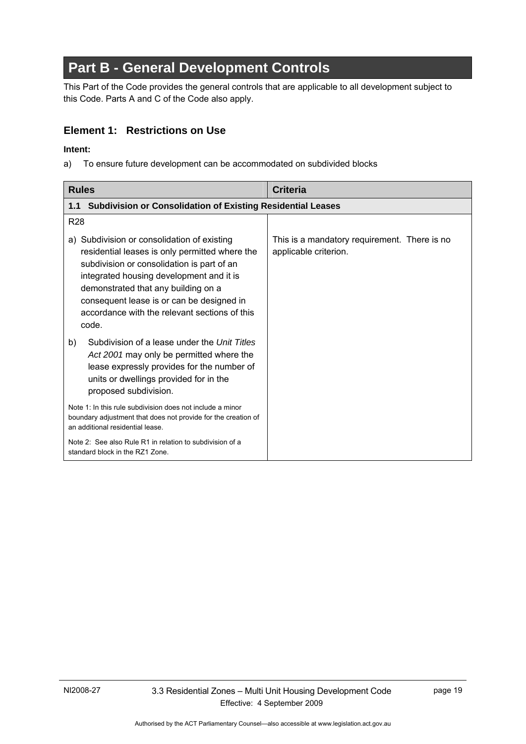# <span id="page-24-0"></span>**Part B - General Development Controls**

This Part of the Code provides the general controls that are applicable to all development subject to this Code. Parts A and C of the Code also apply.

#### **Element 1: Restrictions on Use**

#### **Intent:**

a) To ensure future development can be accommodated on subdivided blocks

| <b>Rules</b>                                                                                                                                                                                                                                                                                                                          | <b>Criteria</b>                                                       |
|---------------------------------------------------------------------------------------------------------------------------------------------------------------------------------------------------------------------------------------------------------------------------------------------------------------------------------------|-----------------------------------------------------------------------|
| <b>Subdivision or Consolidation of Existing Residential Leases</b><br>1.1                                                                                                                                                                                                                                                             |                                                                       |
| R <sub>28</sub>                                                                                                                                                                                                                                                                                                                       |                                                                       |
| a) Subdivision or consolidation of existing<br>residential leases is only permitted where the<br>subdivision or consolidation is part of an<br>integrated housing development and it is<br>demonstrated that any building on a<br>consequent lease is or can be designed in<br>accordance with the relevant sections of this<br>code. | This is a mandatory requirement. There is no<br>applicable criterion. |
| Subdivision of a lease under the Unit Titles<br>b)<br>Act 2001 may only be permitted where the<br>lease expressly provides for the number of<br>units or dwellings provided for in the<br>proposed subdivision.                                                                                                                       |                                                                       |
| Note 1: In this rule subdivision does not include a minor<br>boundary adjustment that does not provide for the creation of<br>an additional residential lease.                                                                                                                                                                        |                                                                       |
| Note 2: See also Rule R1 in relation to subdivision of a<br>standard block in the RZ1 Zone.                                                                                                                                                                                                                                           |                                                                       |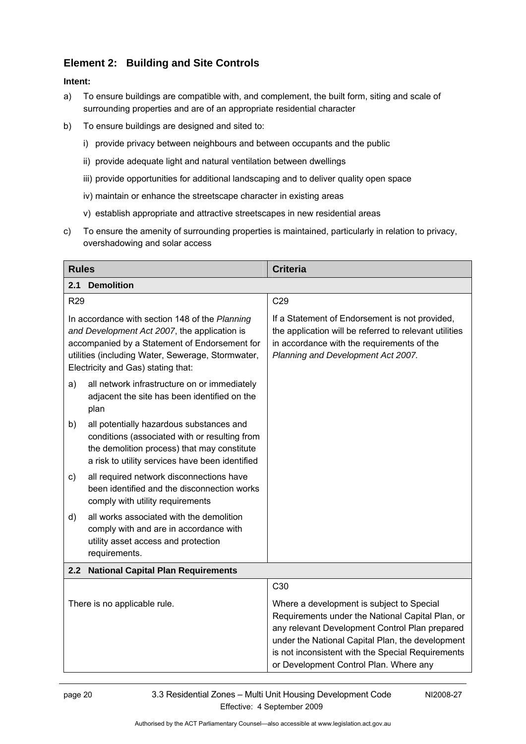#### <span id="page-25-0"></span>**Element 2: Building and Site Controls**

- a) To ensure buildings are compatible with, and complement, the built form, siting and scale of surrounding properties and are of an appropriate residential character
- b) To ensure buildings are designed and sited to:
	- i) provide privacy between neighbours and between occupants and the public
	- ii) provide adequate light and natural ventilation between dwellings
	- iii) provide opportunities for additional landscaping and to deliver quality open space
	- iv) maintain or enhance the streetscape character in existing areas
	- v) establish appropriate and attractive streetscapes in new residential areas
- c) To ensure the amenity of surrounding properties is maintained, particularly in relation to privacy, overshadowing and solar access

| <b>Rules</b>                                                                                                                                                                                                                               | <b>Criteria</b>                                                                                                                                                                                                                                                                                    |
|--------------------------------------------------------------------------------------------------------------------------------------------------------------------------------------------------------------------------------------------|----------------------------------------------------------------------------------------------------------------------------------------------------------------------------------------------------------------------------------------------------------------------------------------------------|
| 2.1<br><b>Demolition</b>                                                                                                                                                                                                                   |                                                                                                                                                                                                                                                                                                    |
| <b>R29</b>                                                                                                                                                                                                                                 | C29                                                                                                                                                                                                                                                                                                |
| In accordance with section 148 of the Planning<br>and Development Act 2007, the application is<br>accompanied by a Statement of Endorsement for<br>utilities (including Water, Sewerage, Stormwater,<br>Electricity and Gas) stating that: | If a Statement of Endorsement is not provided,<br>the application will be referred to relevant utilities<br>in accordance with the requirements of the<br>Planning and Development Act 2007.                                                                                                       |
| all network infrastructure on or immediately<br>a)<br>adjacent the site has been identified on the<br>plan                                                                                                                                 |                                                                                                                                                                                                                                                                                                    |
| all potentially hazardous substances and<br>b)<br>conditions (associated with or resulting from<br>the demolition process) that may constitute<br>a risk to utility services have been identified                                          |                                                                                                                                                                                                                                                                                                    |
| all required network disconnections have<br>c)<br>been identified and the disconnection works<br>comply with utility requirements                                                                                                          |                                                                                                                                                                                                                                                                                                    |
| all works associated with the demolition<br>d)<br>comply with and are in accordance with<br>utility asset access and protection<br>requirements.                                                                                           |                                                                                                                                                                                                                                                                                                    |
| <b>National Capital Plan Requirements</b><br>2.2                                                                                                                                                                                           |                                                                                                                                                                                                                                                                                                    |
|                                                                                                                                                                                                                                            | C <sub>30</sub>                                                                                                                                                                                                                                                                                    |
| There is no applicable rule.                                                                                                                                                                                                               | Where a development is subject to Special<br>Requirements under the National Capital Plan, or<br>any relevant Development Control Plan prepared<br>under the National Capital Plan, the development<br>is not inconsistent with the Special Requirements<br>or Development Control Plan. Where any |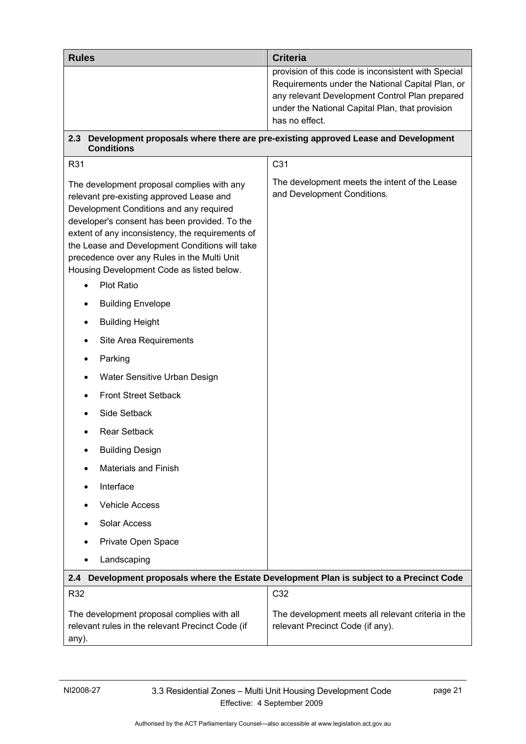<span id="page-26-0"></span>

| <b>Rules</b>                                                                                                                                                                                                                                                                                                                                                                         | <b>Criteria</b>                                                                                                                                                                                                                |
|--------------------------------------------------------------------------------------------------------------------------------------------------------------------------------------------------------------------------------------------------------------------------------------------------------------------------------------------------------------------------------------|--------------------------------------------------------------------------------------------------------------------------------------------------------------------------------------------------------------------------------|
|                                                                                                                                                                                                                                                                                                                                                                                      | provision of this code is inconsistent with Special<br>Requirements under the National Capital Plan, or<br>any relevant Development Control Plan prepared<br>under the National Capital Plan, that provision<br>has no effect. |
| 2.3<br><b>Conditions</b>                                                                                                                                                                                                                                                                                                                                                             | Development proposals where there are pre-existing approved Lease and Development                                                                                                                                              |
| R31                                                                                                                                                                                                                                                                                                                                                                                  | C <sub>31</sub>                                                                                                                                                                                                                |
| The development proposal complies with any<br>relevant pre-existing approved Lease and<br>Development Conditions and any required<br>developer's consent has been provided. To the<br>extent of any inconsistency, the requirements of<br>the Lease and Development Conditions will take<br>precedence over any Rules in the Multi Unit<br>Housing Development Code as listed below. | The development meets the intent of the Lease<br>and Development Conditions.                                                                                                                                                   |
| <b>Plot Ratio</b>                                                                                                                                                                                                                                                                                                                                                                    |                                                                                                                                                                                                                                |
| <b>Building Envelope</b>                                                                                                                                                                                                                                                                                                                                                             |                                                                                                                                                                                                                                |
| <b>Building Height</b>                                                                                                                                                                                                                                                                                                                                                               |                                                                                                                                                                                                                                |
| Site Area Requirements                                                                                                                                                                                                                                                                                                                                                               |                                                                                                                                                                                                                                |
| Parking                                                                                                                                                                                                                                                                                                                                                                              |                                                                                                                                                                                                                                |
| Water Sensitive Urban Design                                                                                                                                                                                                                                                                                                                                                         |                                                                                                                                                                                                                                |
| <b>Front Street Setback</b>                                                                                                                                                                                                                                                                                                                                                          |                                                                                                                                                                                                                                |
| Side Setback                                                                                                                                                                                                                                                                                                                                                                         |                                                                                                                                                                                                                                |
| <b>Rear Setback</b>                                                                                                                                                                                                                                                                                                                                                                  |                                                                                                                                                                                                                                |
| <b>Building Design</b>                                                                                                                                                                                                                                                                                                                                                               |                                                                                                                                                                                                                                |
| <b>Materials and Finish</b>                                                                                                                                                                                                                                                                                                                                                          |                                                                                                                                                                                                                                |
| Interface                                                                                                                                                                                                                                                                                                                                                                            |                                                                                                                                                                                                                                |
| <b>Vehicle Access</b>                                                                                                                                                                                                                                                                                                                                                                |                                                                                                                                                                                                                                |
| Solar Access                                                                                                                                                                                                                                                                                                                                                                         |                                                                                                                                                                                                                                |
| Private Open Space                                                                                                                                                                                                                                                                                                                                                                   |                                                                                                                                                                                                                                |
| Landscaping                                                                                                                                                                                                                                                                                                                                                                          |                                                                                                                                                                                                                                |
| 2.4                                                                                                                                                                                                                                                                                                                                                                                  | Development proposals where the Estate Development Plan is subject to a Precinct Code                                                                                                                                          |
| R32                                                                                                                                                                                                                                                                                                                                                                                  | C32                                                                                                                                                                                                                            |
| The development proposal complies with all<br>relevant rules in the relevant Precinct Code (if<br>any).                                                                                                                                                                                                                                                                              | The development meets all relevant criteria in the<br>relevant Precinct Code (if any).                                                                                                                                         |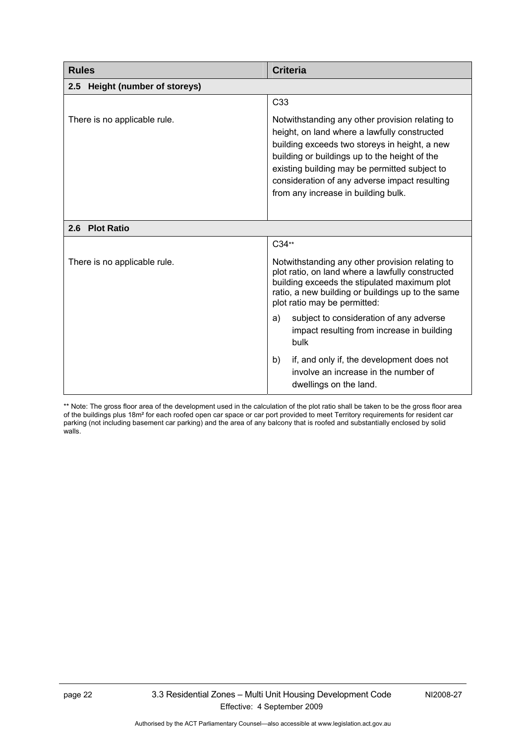<span id="page-27-0"></span>

| <b>Rules</b>                      | <b>Criteria</b>                                                                                                                                                                                                                                                                                                                            |
|-----------------------------------|--------------------------------------------------------------------------------------------------------------------------------------------------------------------------------------------------------------------------------------------------------------------------------------------------------------------------------------------|
| Height (number of storeys)<br>2.5 |                                                                                                                                                                                                                                                                                                                                            |
|                                   | C <sub>33</sub>                                                                                                                                                                                                                                                                                                                            |
| There is no applicable rule.      | Notwithstanding any other provision relating to<br>height, on land where a lawfully constructed<br>building exceeds two storeys in height, a new<br>building or buildings up to the height of the<br>existing building may be permitted subject to<br>consideration of any adverse impact resulting<br>from any increase in building bulk. |
| 2.6 Plot Ratio                    |                                                                                                                                                                                                                                                                                                                                            |
|                                   | C34**                                                                                                                                                                                                                                                                                                                                      |
| There is no applicable rule.      | Notwithstanding any other provision relating to<br>plot ratio, on land where a lawfully constructed<br>building exceeds the stipulated maximum plot<br>ratio, a new building or buildings up to the same<br>plot ratio may be permitted:                                                                                                   |
|                                   | subject to consideration of any adverse<br>a)<br>impact resulting from increase in building<br>bulk                                                                                                                                                                                                                                        |
|                                   | if, and only if, the development does not<br>b)<br>involve an increase in the number of<br>dwellings on the land.                                                                                                                                                                                                                          |

\*\* Note: The gross floor area of the development used in the calculation of the plot ratio shall be taken to be the gross floor area of the buildings plus 18m² for each roofed open car space or car port provided to meet Territory requirements for resident car parking (not including basement car parking) and the area of any balcony that is roofed and substantially enclosed by solid walls.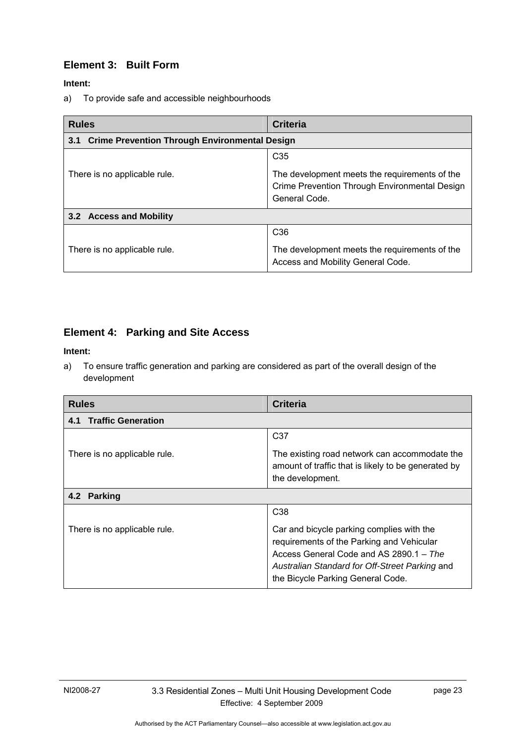#### <span id="page-28-0"></span>**Element 3: Built Form**

#### **Intent:**

a) To provide safe and accessible neighbourhoods

| <b>Rules</b>                                                | <b>Criteria</b>                                                                                                                    |  |
|-------------------------------------------------------------|------------------------------------------------------------------------------------------------------------------------------------|--|
| <b>Crime Prevention Through Environmental Design</b><br>3.1 |                                                                                                                                    |  |
| There is no applicable rule.                                | C <sub>35</sub><br>The development meets the requirements of the<br>Crime Prevention Through Environmental Design<br>General Code. |  |
| 3.2 Access and Mobility                                     |                                                                                                                                    |  |
| There is no applicable rule.                                | C <sub>36</sub><br>The development meets the requirements of the<br>Access and Mobility General Code.                              |  |

### **Element 4: Parking and Site Access**

#### **Intent:**

a) To ensure traffic generation and parking are considered as part of the overall design of the development

| <b>Rules</b>                     | <b>Criteria</b>                                                                                                                                                                                                          |  |
|----------------------------------|--------------------------------------------------------------------------------------------------------------------------------------------------------------------------------------------------------------------------|--|
| <b>Traffic Generation</b><br>4.1 |                                                                                                                                                                                                                          |  |
|                                  | C <sub>37</sub>                                                                                                                                                                                                          |  |
| There is no applicable rule.     | The existing road network can accommodate the<br>amount of traffic that is likely to be generated by<br>the development.                                                                                                 |  |
| 4.2 Parking                      |                                                                                                                                                                                                                          |  |
|                                  | C <sub>38</sub>                                                                                                                                                                                                          |  |
| There is no applicable rule.     | Car and bicycle parking complies with the<br>requirements of the Parking and Vehicular<br>Access General Code and AS 2890.1 - The<br>Australian Standard for Off-Street Parking and<br>the Bicycle Parking General Code. |  |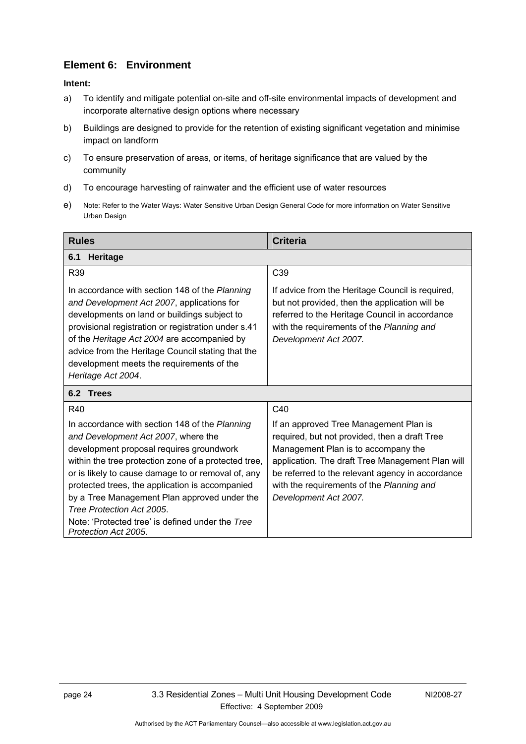#### <span id="page-29-0"></span>**Element 6: Environment**

- a) To identify and mitigate potential on-site and off-site environmental impacts of development and incorporate alternative design options where necessary
- b) Buildings are designed to provide for the retention of existing significant vegetation and minimise impact on landform
- c) To ensure preservation of areas, or items, of heritage significance that are valued by the community
- d) To encourage harvesting of rainwater and the efficient use of water resources
- e) Note: Refer to the Water Ways: Water Sensitive Urban Design General Code for more information on Water Sensitive Urban Design

| <b>Rules</b>                                                                                                                                                                                                                                                                                                                                                                                                                                                | <b>Criteria</b>                                                                                                                                                                                                                                                                                              |
|-------------------------------------------------------------------------------------------------------------------------------------------------------------------------------------------------------------------------------------------------------------------------------------------------------------------------------------------------------------------------------------------------------------------------------------------------------------|--------------------------------------------------------------------------------------------------------------------------------------------------------------------------------------------------------------------------------------------------------------------------------------------------------------|
| 6.1<br><b>Heritage</b>                                                                                                                                                                                                                                                                                                                                                                                                                                      |                                                                                                                                                                                                                                                                                                              |
| R39                                                                                                                                                                                                                                                                                                                                                                                                                                                         | C <sub>39</sub>                                                                                                                                                                                                                                                                                              |
| In accordance with section 148 of the Planning<br>and Development Act 2007, applications for<br>developments on land or buildings subject to<br>provisional registration or registration under s.41<br>of the Heritage Act 2004 are accompanied by<br>advice from the Heritage Council stating that the<br>development meets the requirements of the<br>Heritage Act 2004.                                                                                  | If advice from the Heritage Council is required,<br>but not provided, then the application will be<br>referred to the Heritage Council in accordance<br>with the requirements of the Planning and<br>Development Act 2007.                                                                                   |
| 6.2 Trees                                                                                                                                                                                                                                                                                                                                                                                                                                                   |                                                                                                                                                                                                                                                                                                              |
| <b>R40</b>                                                                                                                                                                                                                                                                                                                                                                                                                                                  | C40                                                                                                                                                                                                                                                                                                          |
| In accordance with section 148 of the Planning<br>and Development Act 2007, where the<br>development proposal requires groundwork<br>within the tree protection zone of a protected tree,<br>or is likely to cause damage to or removal of, any<br>protected trees, the application is accompanied<br>by a Tree Management Plan approved under the<br>Tree Protection Act 2005.<br>Note: 'Protected tree' is defined under the Tree<br>Protection Act 2005. | If an approved Tree Management Plan is<br>required, but not provided, then a draft Tree<br>Management Plan is to accompany the<br>application. The draft Tree Management Plan will<br>be referred to the relevant agency in accordance<br>with the requirements of the Planning and<br>Development Act 2007. |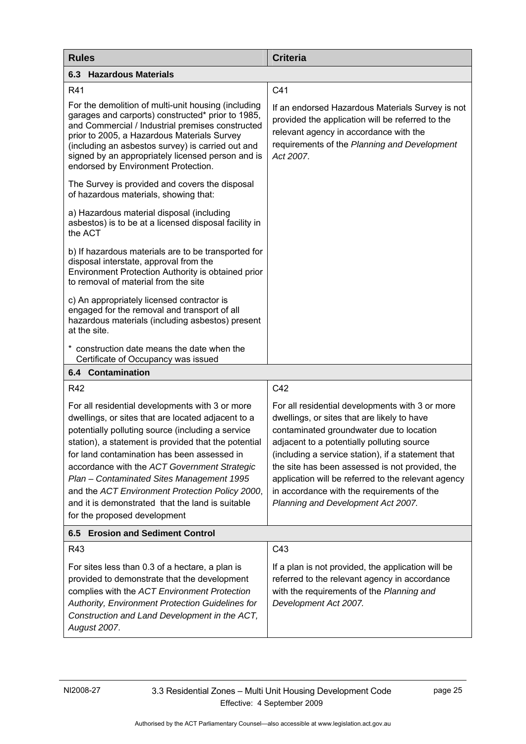<span id="page-30-0"></span>

| <b>Rules</b>                                                                                                                                                                                                                                                                                                                                                                                                                                                                                          | <b>Criteria</b>                                                                                                                                                                                                                                                                                                                                                                                                                              |  |
|-------------------------------------------------------------------------------------------------------------------------------------------------------------------------------------------------------------------------------------------------------------------------------------------------------------------------------------------------------------------------------------------------------------------------------------------------------------------------------------------------------|----------------------------------------------------------------------------------------------------------------------------------------------------------------------------------------------------------------------------------------------------------------------------------------------------------------------------------------------------------------------------------------------------------------------------------------------|--|
| <b>6.3 Hazardous Materials</b>                                                                                                                                                                                                                                                                                                                                                                                                                                                                        |                                                                                                                                                                                                                                                                                                                                                                                                                                              |  |
| R41                                                                                                                                                                                                                                                                                                                                                                                                                                                                                                   | C <sub>41</sub>                                                                                                                                                                                                                                                                                                                                                                                                                              |  |
| For the demolition of multi-unit housing (including<br>garages and carports) constructed* prior to 1985,<br>and Commercial / Industrial premises constructed<br>prior to 2005, a Hazardous Materials Survey<br>(including an asbestos survey) is carried out and<br>signed by an appropriately licensed person and is<br>endorsed by Environment Protection.                                                                                                                                          | If an endorsed Hazardous Materials Survey is not<br>provided the application will be referred to the<br>relevant agency in accordance with the<br>requirements of the Planning and Development<br>Act 2007.                                                                                                                                                                                                                                  |  |
| The Survey is provided and covers the disposal<br>of hazardous materials, showing that:                                                                                                                                                                                                                                                                                                                                                                                                               |                                                                                                                                                                                                                                                                                                                                                                                                                                              |  |
| a) Hazardous material disposal (including<br>asbestos) is to be at a licensed disposal facility in<br>the ACT                                                                                                                                                                                                                                                                                                                                                                                         |                                                                                                                                                                                                                                                                                                                                                                                                                                              |  |
| b) If hazardous materials are to be transported for<br>disposal interstate, approval from the<br>Environment Protection Authority is obtained prior<br>to removal of material from the site                                                                                                                                                                                                                                                                                                           |                                                                                                                                                                                                                                                                                                                                                                                                                                              |  |
| c) An appropriately licensed contractor is<br>engaged for the removal and transport of all<br>hazardous materials (including asbestos) present<br>at the site.                                                                                                                                                                                                                                                                                                                                        |                                                                                                                                                                                                                                                                                                                                                                                                                                              |  |
| * construction date means the date when the<br>Certificate of Occupancy was issued                                                                                                                                                                                                                                                                                                                                                                                                                    |                                                                                                                                                                                                                                                                                                                                                                                                                                              |  |
| <b>6.4 Contamination</b>                                                                                                                                                                                                                                                                                                                                                                                                                                                                              |                                                                                                                                                                                                                                                                                                                                                                                                                                              |  |
| R42                                                                                                                                                                                                                                                                                                                                                                                                                                                                                                   | C42                                                                                                                                                                                                                                                                                                                                                                                                                                          |  |
| For all residential developments with 3 or more<br>dwellings, or sites that are located adjacent to a<br>potentially polluting source (including a service<br>station), a statement is provided that the potential<br>for land contamination has been assessed in<br>accordance with the ACT Government Strategic<br>Plan - Contaminated Sites Management 1995<br>and the ACT Environment Protection Policy 2000,<br>and it is demonstrated that the land is suitable<br>for the proposed development | For all residential developments with 3 or more<br>dwellings, or sites that are likely to have<br>contaminated groundwater due to location<br>adjacent to a potentially polluting source<br>(including a service station), if a statement that<br>the site has been assessed is not provided, the<br>application will be referred to the relevant agency<br>in accordance with the requirements of the<br>Planning and Development Act 2007. |  |
| <b>Erosion and Sediment Control</b><br>6.5                                                                                                                                                                                                                                                                                                                                                                                                                                                            |                                                                                                                                                                                                                                                                                                                                                                                                                                              |  |
| R43                                                                                                                                                                                                                                                                                                                                                                                                                                                                                                   | C43                                                                                                                                                                                                                                                                                                                                                                                                                                          |  |
| For sites less than 0.3 of a hectare, a plan is<br>provided to demonstrate that the development<br>complies with the ACT Environment Protection<br>Authority, Environment Protection Guidelines for<br>Construction and Land Development in the ACT,<br>August 2007.                                                                                                                                                                                                                                  | If a plan is not provided, the application will be<br>referred to the relevant agency in accordance<br>with the requirements of the Planning and<br>Development Act 2007.                                                                                                                                                                                                                                                                    |  |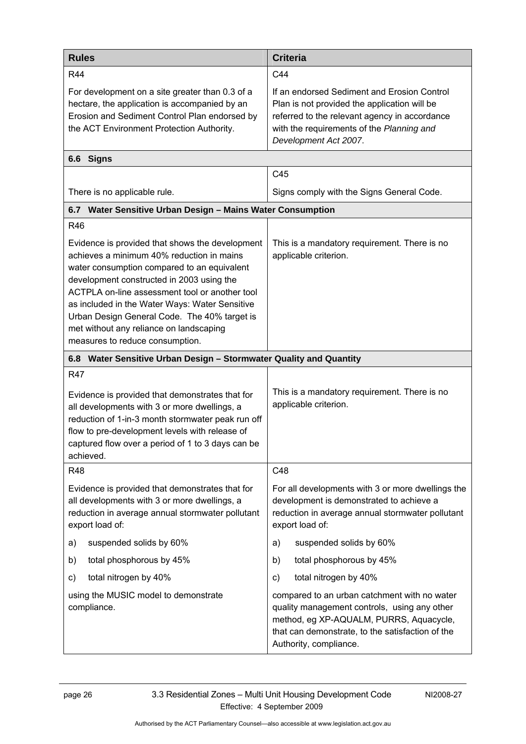<span id="page-31-0"></span>

| <b>Rules</b>                                                                                                                                                                                                                                                                                                                                                                                                               | <b>Criteria</b>                                                                                                                                                                                                       |  |
|----------------------------------------------------------------------------------------------------------------------------------------------------------------------------------------------------------------------------------------------------------------------------------------------------------------------------------------------------------------------------------------------------------------------------|-----------------------------------------------------------------------------------------------------------------------------------------------------------------------------------------------------------------------|--|
| <b>R44</b>                                                                                                                                                                                                                                                                                                                                                                                                                 | C44                                                                                                                                                                                                                   |  |
| For development on a site greater than 0.3 of a<br>hectare, the application is accompanied by an<br>Erosion and Sediment Control Plan endorsed by<br>the ACT Environment Protection Authority.                                                                                                                                                                                                                             | If an endorsed Sediment and Erosion Control<br>Plan is not provided the application will be<br>referred to the relevant agency in accordance<br>with the requirements of the Planning and<br>Development Act 2007.    |  |
| 6.6 Signs                                                                                                                                                                                                                                                                                                                                                                                                                  |                                                                                                                                                                                                                       |  |
|                                                                                                                                                                                                                                                                                                                                                                                                                            | C45                                                                                                                                                                                                                   |  |
| There is no applicable rule.                                                                                                                                                                                                                                                                                                                                                                                               | Signs comply with the Signs General Code.                                                                                                                                                                             |  |
| 6.7 Water Sensitive Urban Design - Mains Water Consumption                                                                                                                                                                                                                                                                                                                                                                 |                                                                                                                                                                                                                       |  |
| <b>R46</b>                                                                                                                                                                                                                                                                                                                                                                                                                 |                                                                                                                                                                                                                       |  |
| Evidence is provided that shows the development<br>achieves a minimum 40% reduction in mains<br>water consumption compared to an equivalent<br>development constructed in 2003 using the<br>ACTPLA on-line assessment tool or another tool<br>as included in the Water Ways: Water Sensitive<br>Urban Design General Code. The 40% target is<br>met without any reliance on landscaping<br>measures to reduce consumption. | This is a mandatory requirement. There is no<br>applicable criterion.                                                                                                                                                 |  |
| Water Sensitive Urban Design - Stormwater Quality and Quantity<br>6.8                                                                                                                                                                                                                                                                                                                                                      |                                                                                                                                                                                                                       |  |
| <b>R47</b><br>Evidence is provided that demonstrates that for<br>all developments with 3 or more dwellings, a<br>reduction of 1-in-3 month stormwater peak run off<br>flow to pre-development levels with release of<br>captured flow over a period of 1 to 3 days can be<br>achieved.                                                                                                                                     | This is a mandatory requirement. There is no<br>applicable criterion.                                                                                                                                                 |  |
| <b>R48</b>                                                                                                                                                                                                                                                                                                                                                                                                                 | C48                                                                                                                                                                                                                   |  |
| Evidence is provided that demonstrates that for<br>all developments with 3 or more dwellings, a<br>reduction in average annual stormwater pollutant<br>export load of:                                                                                                                                                                                                                                                     | For all developments with 3 or more dwellings the<br>development is demonstrated to achieve a<br>reduction in average annual stormwater pollutant<br>export load of:                                                  |  |
| suspended solids by 60%<br>a)                                                                                                                                                                                                                                                                                                                                                                                              | suspended solids by 60%<br>a)                                                                                                                                                                                         |  |
| total phosphorous by 45%<br>b)                                                                                                                                                                                                                                                                                                                                                                                             | total phosphorous by 45%<br>b)                                                                                                                                                                                        |  |
| total nitrogen by 40%<br>C)                                                                                                                                                                                                                                                                                                                                                                                                | total nitrogen by 40%<br>C)                                                                                                                                                                                           |  |
| using the MUSIC model to demonstrate<br>compliance.                                                                                                                                                                                                                                                                                                                                                                        | compared to an urban catchment with no water<br>quality management controls, using any other<br>method, eg XP-AQUALM, PURRS, Aquacycle,<br>that can demonstrate, to the satisfaction of the<br>Authority, compliance. |  |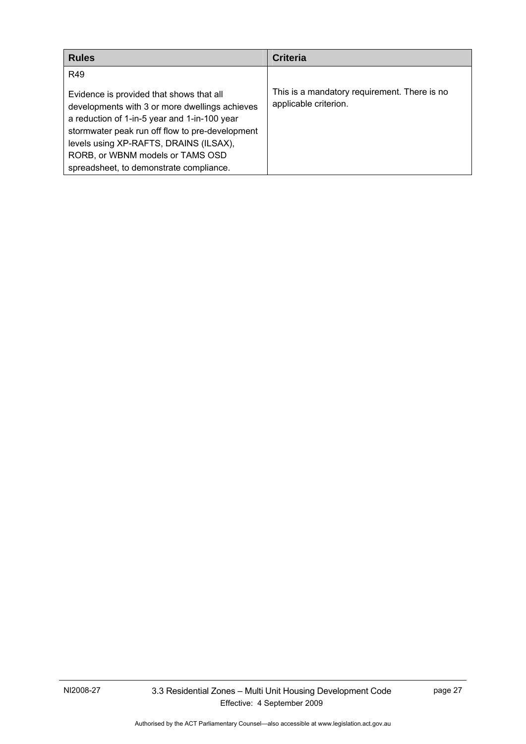<span id="page-32-0"></span>

| <b>Rules</b>                                                                                                                                                                                                                                                                       | <b>Criteria</b>                                                       |
|------------------------------------------------------------------------------------------------------------------------------------------------------------------------------------------------------------------------------------------------------------------------------------|-----------------------------------------------------------------------|
| R49<br>Evidence is provided that shows that all<br>developments with 3 or more dwellings achieves<br>a reduction of 1-in-5 year and 1-in-100 year<br>stormwater peak run off flow to pre-development<br>levels using XP-RAFTS, DRAINS (ILSAX),<br>RORB, or WBNM models or TAMS OSD | This is a mandatory requirement. There is no<br>applicable criterion. |
| spreadsheet, to demonstrate compliance.                                                                                                                                                                                                                                            |                                                                       |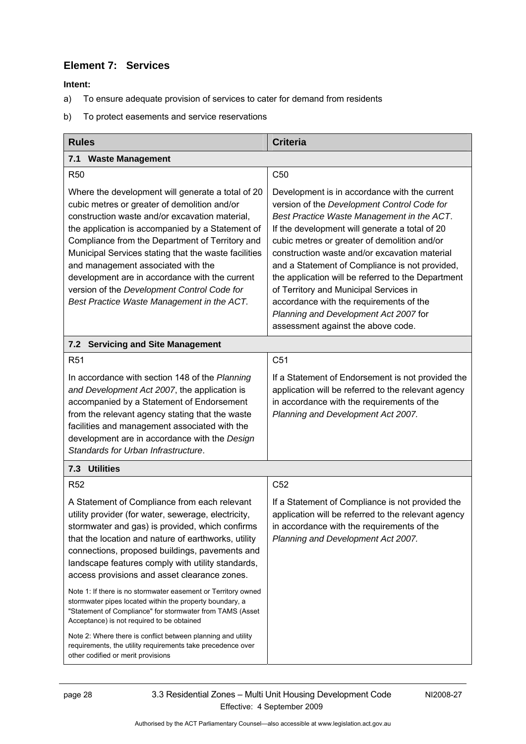### <span id="page-33-0"></span>**Element 7: Services**

- a) To ensure adequate provision of services to cater for demand from residents
- b) To protect easements and service reservations

| <b>Rules</b>                                                                                                                                                                                                                                                                                                                                                                                                                                                                                                                                                                                                 | <b>Criteria</b>                                                                                                                                                                                                                                                                                                                                                                                                                                                                                                                                                           |  |
|--------------------------------------------------------------------------------------------------------------------------------------------------------------------------------------------------------------------------------------------------------------------------------------------------------------------------------------------------------------------------------------------------------------------------------------------------------------------------------------------------------------------------------------------------------------------------------------------------------------|---------------------------------------------------------------------------------------------------------------------------------------------------------------------------------------------------------------------------------------------------------------------------------------------------------------------------------------------------------------------------------------------------------------------------------------------------------------------------------------------------------------------------------------------------------------------------|--|
| 7.1 Waste Management                                                                                                                                                                                                                                                                                                                                                                                                                                                                                                                                                                                         |                                                                                                                                                                                                                                                                                                                                                                                                                                                                                                                                                                           |  |
| <b>R50</b>                                                                                                                                                                                                                                                                                                                                                                                                                                                                                                                                                                                                   | C <sub>50</sub>                                                                                                                                                                                                                                                                                                                                                                                                                                                                                                                                                           |  |
| Where the development will generate a total of 20<br>cubic metres or greater of demolition and/or<br>construction waste and/or excavation material,<br>the application is accompanied by a Statement of<br>Compliance from the Department of Territory and<br>Municipal Services stating that the waste facilities<br>and management associated with the<br>development are in accordance with the current<br>version of the Development Control Code for<br>Best Practice Waste Management in the ACT.                                                                                                      | Development is in accordance with the current<br>version of the Development Control Code for<br>Best Practice Waste Management in the ACT.<br>If the development will generate a total of 20<br>cubic metres or greater of demolition and/or<br>construction waste and/or excavation material<br>and a Statement of Compliance is not provided,<br>the application will be referred to the Department<br>of Territory and Municipal Services in<br>accordance with the requirements of the<br>Planning and Development Act 2007 for<br>assessment against the above code. |  |
| <b>Servicing and Site Management</b><br>7.2                                                                                                                                                                                                                                                                                                                                                                                                                                                                                                                                                                  |                                                                                                                                                                                                                                                                                                                                                                                                                                                                                                                                                                           |  |
| R <sub>51</sub>                                                                                                                                                                                                                                                                                                                                                                                                                                                                                                                                                                                              | C <sub>51</sub>                                                                                                                                                                                                                                                                                                                                                                                                                                                                                                                                                           |  |
| In accordance with section 148 of the Planning<br>and Development Act 2007, the application is<br>accompanied by a Statement of Endorsement<br>from the relevant agency stating that the waste<br>facilities and management associated with the<br>development are in accordance with the Design<br>Standards for Urban Infrastructure.                                                                                                                                                                                                                                                                      | If a Statement of Endorsement is not provided the<br>application will be referred to the relevant agency<br>in accordance with the requirements of the<br>Planning and Development Act 2007.                                                                                                                                                                                                                                                                                                                                                                              |  |
| 7.3 Utilities                                                                                                                                                                                                                                                                                                                                                                                                                                                                                                                                                                                                |                                                                                                                                                                                                                                                                                                                                                                                                                                                                                                                                                                           |  |
| <b>R52</b>                                                                                                                                                                                                                                                                                                                                                                                                                                                                                                                                                                                                   | C <sub>52</sub>                                                                                                                                                                                                                                                                                                                                                                                                                                                                                                                                                           |  |
| A Statement of Compliance from each relevant<br>utility provider (for water, sewerage, electricity,<br>stormwater and gas) is provided, which confirms<br>that the location and nature of earthworks, utility<br>connections, proposed buildings, pavements and<br>landscape features comply with utility standards,<br>access provisions and asset clearance zones.<br>Note 1: If there is no stormwater easement or Territory owned<br>stormwater pipes located within the property boundary, a<br>"Statement of Compliance" for stormwater from TAMS (Asset<br>Acceptance) is not required to be obtained | If a Statement of Compliance is not provided the<br>application will be referred to the relevant agency<br>in accordance with the requirements of the<br>Planning and Development Act 2007.                                                                                                                                                                                                                                                                                                                                                                               |  |
| Note 2: Where there is conflict between planning and utility<br>requirements, the utility requirements take precedence over<br>other codified or merit provisions                                                                                                                                                                                                                                                                                                                                                                                                                                            |                                                                                                                                                                                                                                                                                                                                                                                                                                                                                                                                                                           |  |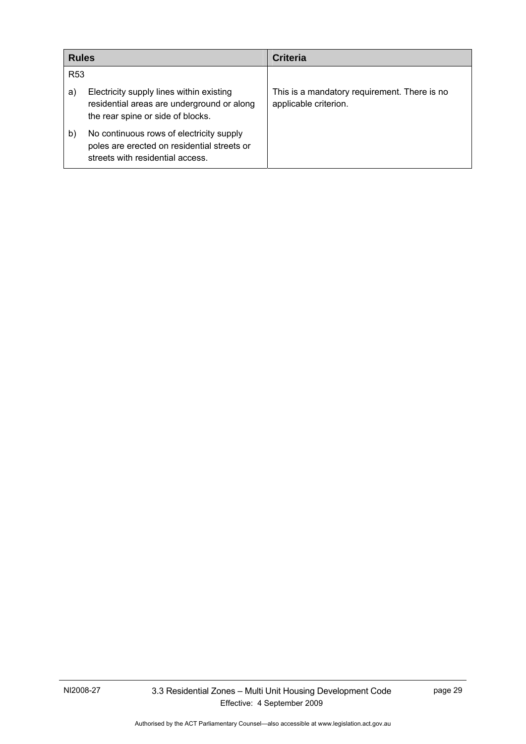<span id="page-34-0"></span>

| <b>Rules</b>    |                                                                                                                             | <b>Criteria</b>                                                       |
|-----------------|-----------------------------------------------------------------------------------------------------------------------------|-----------------------------------------------------------------------|
| R <sub>53</sub> |                                                                                                                             |                                                                       |
| a)              | Electricity supply lines within existing<br>residential areas are underground or along<br>the rear spine or side of blocks. | This is a mandatory requirement. There is no<br>applicable criterion. |
| b)              | No continuous rows of electricity supply<br>poles are erected on residential streets or<br>streets with residential access. |                                                                       |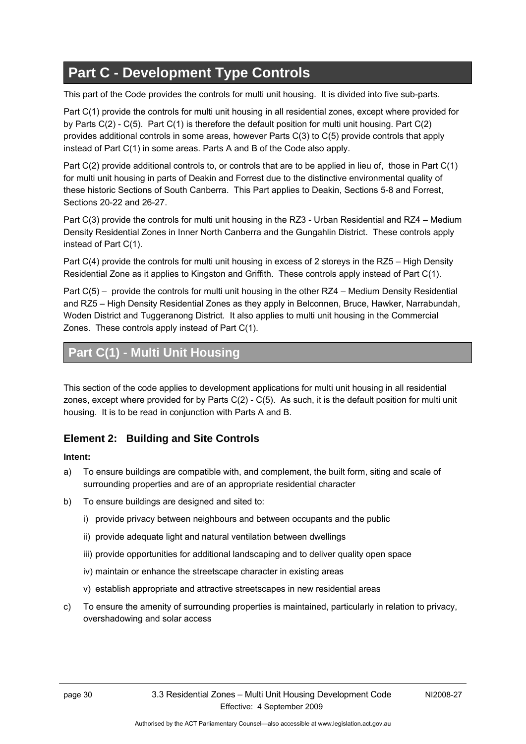# <span id="page-35-0"></span>**Part C - Development Type Controls**

This part of the Code provides the controls for multi unit housing. It is divided into five sub-parts.

Part C(1) provide the controls for multi unit housing in all residential zones, except where provided for by Parts C(2) - C(5). Part C(1) is therefore the default position for multi unit housing. Part C(2) provides additional controls in some areas, however Parts C(3) to C(5) provide controls that apply instead of Part C(1) in some areas. Parts A and B of the Code also apply.

Part C(2) provide additional controls to, or controls that are to be applied in lieu of, those in Part C(1) for multi unit housing in parts of Deakin and Forrest due to the distinctive environmental quality of these historic Sections of South Canberra. This Part applies to Deakin, Sections 5-8 and Forrest, Sections 20-22 and 26-27.

Part C(3) provide the controls for multi unit housing in the RZ3 - Urban Residential and RZ4 – Medium Density Residential Zones in Inner North Canberra and the Gungahlin District. These controls apply instead of Part C(1).

Part C(4) provide the controls for multi unit housing in excess of 2 storeys in the RZ5 – High Density Residential Zone as it applies to Kingston and Griffith. These controls apply instead of Part C(1).

Part C(5) – provide the controls for multi unit housing in the other RZ4 – Medium Density Residential and RZ5 – High Density Residential Zones as they apply in Belconnen, Bruce, Hawker, Narrabundah, Woden District and Tuggeranong District. It also applies to multi unit housing in the Commercial Zones. These controls apply instead of Part C(1).

# **Part C(1) - Multi Unit Housing**

This section of the code applies to development applications for multi unit housing in all residential zones, except where provided for by Parts C(2) - C(5). As such, it is the default position for multi unit housing. It is to be read in conjunction with Parts A and B.

#### **Element 2: Building and Site Controls**

#### **Intent:**

- a) To ensure buildings are compatible with, and complement, the built form, siting and scale of surrounding properties and are of an appropriate residential character
- b) To ensure buildings are designed and sited to:
	- i) provide privacy between neighbours and between occupants and the public
	- ii) provide adequate light and natural ventilation between dwellings
	- iii) provide opportunities for additional landscaping and to deliver quality open space
	- iv) maintain or enhance the streetscape character in existing areas
	- v) establish appropriate and attractive streetscapes in new residential areas
- c) To ensure the amenity of surrounding properties is maintained, particularly in relation to privacy, overshadowing and solar access

Authorised by the ACT Parliamentary Counsel—also accessible at www.legislation.act.gov.au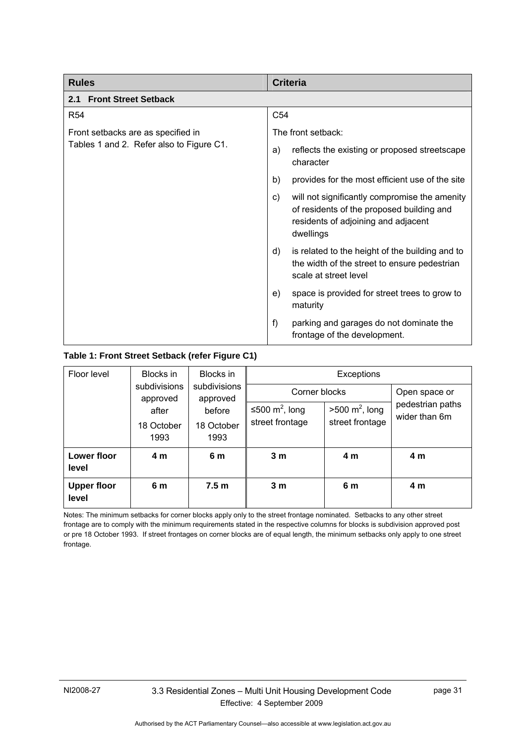| <b>Rules</b>                             | <b>Criteria</b>                                                                                                                                      |
|------------------------------------------|------------------------------------------------------------------------------------------------------------------------------------------------------|
| <b>Front Street Setback</b><br>2.1       |                                                                                                                                                      |
| <b>R54</b>                               | C <sub>54</sub>                                                                                                                                      |
| Front setbacks are as specified in       | The front setback:                                                                                                                                   |
| Tables 1 and 2. Refer also to Figure C1. | reflects the existing or proposed streetscape<br>a)<br>character                                                                                     |
|                                          | provides for the most efficient use of the site<br>b)                                                                                                |
|                                          | will not significantly compromise the amenity<br>C)<br>of residents of the proposed building and<br>residents of adjoining and adjacent<br>dwellings |
|                                          | is related to the height of the building and to<br>d)<br>the width of the street to ensure pedestrian<br>scale at street level                       |
|                                          | space is provided for street trees to grow to<br>e)<br>maturity                                                                                      |
|                                          | f)<br>parking and garages do not dominate the<br>frontage of the development.                                                                        |

#### **Table 1: Front Street Setback (refer Figure C1)**

| Floor level                 | Blocks in                | Blocks in<br>subdivisions<br>approved | Exceptions                 |                           |                                   |
|-----------------------------|--------------------------|---------------------------------------|----------------------------|---------------------------|-----------------------------------|
|                             | subdivisions<br>approved |                                       | Corner blocks              |                           | Open space or                     |
|                             | after                    | before                                | ≤500 m <sup>2</sup> , long | $>500 \text{ m}^2$ , long | pedestrian paths<br>wider than 6m |
|                             | 18 October<br>1993       | 18 October<br>1993                    | street frontage            | street frontage           |                                   |
| Lower floor<br>level        | 4 m                      | 6 m                                   | 3 <sub>m</sub>             | 4 m                       | 4 m                               |
| <b>Upper floor</b><br>level | 6 m                      | 7.5 <sub>m</sub>                      | 3 <sub>m</sub>             | 6 m                       | 4 m                               |

Notes: The minimum setbacks for corner blocks apply only to the street frontage nominated. Setbacks to any other street frontage are to comply with the minimum requirements stated in the respective columns for blocks is subdivision approved post or pre 18 October 1993. If street frontages on corner blocks are of equal length, the minimum setbacks only apply to one street frontage.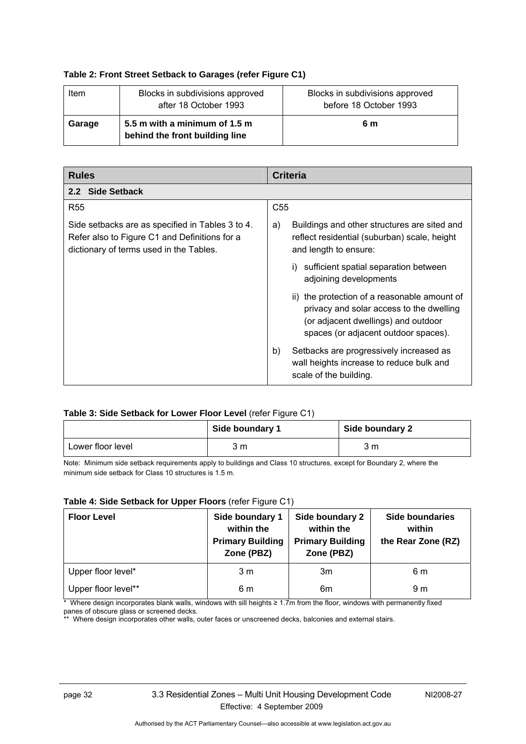#### **Table 2: Front Street Setback to Garages (refer Figure C1)**

| Item   | Blocks in subdivisions approved<br>after 18 October 1993        | Blocks in subdivisions approved<br>before 18 October 1993 |
|--------|-----------------------------------------------------------------|-----------------------------------------------------------|
| Garage | 5.5 m with a minimum of 1.5 m<br>behind the front building line | 6 m                                                       |

| <b>Rules</b>                                                                                                                                 | <b>Criteria</b>                                                                                                                                                         |
|----------------------------------------------------------------------------------------------------------------------------------------------|-------------------------------------------------------------------------------------------------------------------------------------------------------------------------|
| 2.2 Side Setback                                                                                                                             |                                                                                                                                                                         |
| <b>R55</b>                                                                                                                                   | C <sub>55</sub>                                                                                                                                                         |
| Side setbacks are as specified in Tables 3 to 4.<br>Refer also to Figure C1 and Definitions for a<br>dictionary of terms used in the Tables. | Buildings and other structures are sited and<br>a)<br>reflect residential (suburban) scale, height<br>and length to ensure:                                             |
|                                                                                                                                              | sufficient spatial separation between<br>adjoining developments                                                                                                         |
|                                                                                                                                              | ii) the protection of a reasonable amount of<br>privacy and solar access to the dwelling<br>(or adjacent dwellings) and outdoor<br>spaces (or adjacent outdoor spaces). |
|                                                                                                                                              | Setbacks are progressively increased as<br>b)<br>wall heights increase to reduce bulk and<br>scale of the building.                                                     |

#### **Table 3: Side Setback for Lower Floor Level** (refer Figure C1)

|                   | Side boundary 1 | Side boundary 2 |
|-------------------|-----------------|-----------------|
| Lower floor level | 3 m             | 3 m             |

Note: Minimum side setback requirements apply to buildings and Class 10 structures, except for Boundary 2, where the minimum side setback for Class 10 structures is 1.5 m.

#### **Table 4: Side Setback for Upper Floors** (refer Figure C1)

| <b>Floor Level</b>  | Side boundary 1<br>within the<br><b>Primary Building</b><br>Zone (PBZ) | Side boundary 2<br>within the<br><b>Primary Building</b><br>Zone (PBZ) | <b>Side boundaries</b><br>within<br>the Rear Zone (RZ) |
|---------------------|------------------------------------------------------------------------|------------------------------------------------------------------------|--------------------------------------------------------|
| Upper floor level*  | 3 <sub>m</sub>                                                         | 3m                                                                     | 6 m                                                    |
| Upper floor level** | 6 m                                                                    | 6m                                                                     | 9 m                                                    |

\* Where design incorporates blank walls, windows with sill heights ≥ 1.7m from the floor, windows with permanently fixed panes of obscure glass or screened decks.

\*\* Where design incorporates other walls, outer faces or unscreened decks, balconies and external stairs.

Authorised by the ACT Parliamentary Counsel—also accessible at www.legislation.act.gov.au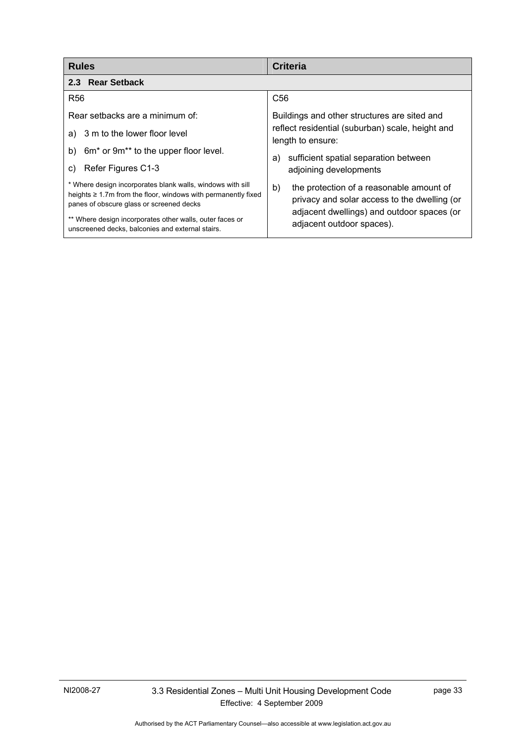| <b>Rules</b>                                                                                                                                                                                                                                                                                  | <b>Criteria</b>                                                                                                                                                           |
|-----------------------------------------------------------------------------------------------------------------------------------------------------------------------------------------------------------------------------------------------------------------------------------------------|---------------------------------------------------------------------------------------------------------------------------------------------------------------------------|
| 2.3 Rear Setback                                                                                                                                                                                                                                                                              |                                                                                                                                                                           |
| <b>R56</b>                                                                                                                                                                                                                                                                                    | C <sub>56</sub>                                                                                                                                                           |
| Rear setbacks are a minimum of:<br>a) 3 m to the lower floor level                                                                                                                                                                                                                            | Buildings and other structures are sited and<br>reflect residential (suburban) scale, height and<br>length to ensure:                                                     |
| 6m <sup>*</sup> or 9m <sup>**</sup> to the upper floor level.<br>b)<br>Refer Figures C1-3<br>C)                                                                                                                                                                                               | sufficient spatial separation between<br>a)<br>adjoining developments                                                                                                     |
| * Where design incorporates blank walls, windows with sill<br>heights $\geq 1.7$ m from the floor, windows with permanently fixed<br>panes of obscure glass or screened decks<br>** Where design incorporates other walls, outer faces or<br>unscreened decks, balconies and external stairs. | b)<br>the protection of a reasonable amount of<br>privacy and solar access to the dwelling (or<br>adjacent dwellings) and outdoor spaces (or<br>adjacent outdoor spaces). |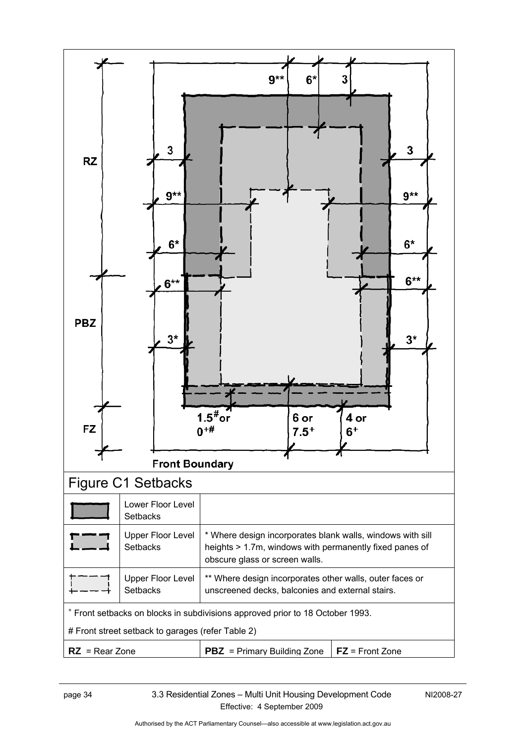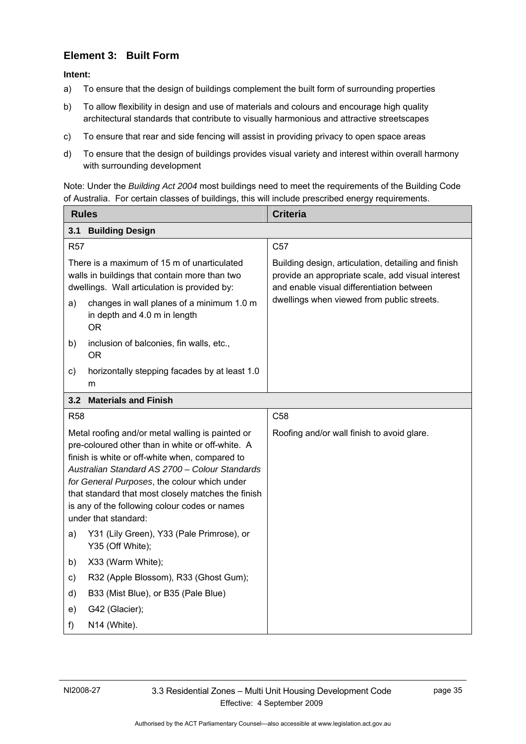# **Element 3: Built Form**

**Intent:** 

- a) To ensure that the design of buildings complement the built form of surrounding properties
- b) To allow flexibility in design and use of materials and colours and encourage high quality architectural standards that contribute to visually harmonious and attractive streetscapes
- c) To ensure that rear and side fencing will assist in providing privacy to open space areas
- d) To ensure that the design of buildings provides visual variety and interest within overall harmony with surrounding development

Note: Under the *Building Act 2004* most buildings need to meet the requirements of the Building Code of Australia. For certain classes of buildings, this will include prescribed energy requirements.

| <b>Rules</b>                                                                                                                                 |                                                                                                                                                                                                                                                                                                                                                                                         | <b>Criteria</b>                                                                                                                                       |
|----------------------------------------------------------------------------------------------------------------------------------------------|-----------------------------------------------------------------------------------------------------------------------------------------------------------------------------------------------------------------------------------------------------------------------------------------------------------------------------------------------------------------------------------------|-------------------------------------------------------------------------------------------------------------------------------------------------------|
| 3.1                                                                                                                                          | <b>Building Design</b>                                                                                                                                                                                                                                                                                                                                                                  |                                                                                                                                                       |
| <b>R57</b>                                                                                                                                   |                                                                                                                                                                                                                                                                                                                                                                                         | C <sub>57</sub>                                                                                                                                       |
| There is a maximum of 15 m of unarticulated<br>walls in buildings that contain more than two<br>dwellings. Wall articulation is provided by: |                                                                                                                                                                                                                                                                                                                                                                                         | Building design, articulation, detailing and finish<br>provide an appropriate scale, add visual interest<br>and enable visual differentiation between |
| a)                                                                                                                                           | changes in wall planes of a minimum 1.0 m<br>in depth and 4.0 m in length<br><b>OR</b>                                                                                                                                                                                                                                                                                                  | dwellings when viewed from public streets.                                                                                                            |
| b)                                                                                                                                           | inclusion of balconies, fin walls, etc.,<br><b>OR</b>                                                                                                                                                                                                                                                                                                                                   |                                                                                                                                                       |
| C)                                                                                                                                           | horizontally stepping facades by at least 1.0<br>m                                                                                                                                                                                                                                                                                                                                      |                                                                                                                                                       |
| 3.2                                                                                                                                          | <b>Materials and Finish</b>                                                                                                                                                                                                                                                                                                                                                             |                                                                                                                                                       |
| <b>R58</b>                                                                                                                                   |                                                                                                                                                                                                                                                                                                                                                                                         | C <sub>58</sub>                                                                                                                                       |
|                                                                                                                                              | Metal roofing and/or metal walling is painted or<br>pre-coloured other than in white or off-white. A<br>finish is white or off-white when, compared to<br>Australian Standard AS 2700 - Colour Standards<br>for General Purposes, the colour which under<br>that standard that most closely matches the finish<br>is any of the following colour codes or names<br>under that standard: | Roofing and/or wall finish to avoid glare.                                                                                                            |
| a)                                                                                                                                           | Y31 (Lily Green), Y33 (Pale Primrose), or<br>Y35 (Off White);                                                                                                                                                                                                                                                                                                                           |                                                                                                                                                       |
| b)                                                                                                                                           | X33 (Warm White);                                                                                                                                                                                                                                                                                                                                                                       |                                                                                                                                                       |
| C)                                                                                                                                           | R32 (Apple Blossom), R33 (Ghost Gum);                                                                                                                                                                                                                                                                                                                                                   |                                                                                                                                                       |
| d)                                                                                                                                           | B33 (Mist Blue), or B35 (Pale Blue)                                                                                                                                                                                                                                                                                                                                                     |                                                                                                                                                       |
| e)                                                                                                                                           | G42 (Glacier);                                                                                                                                                                                                                                                                                                                                                                          |                                                                                                                                                       |
| f)                                                                                                                                           | N14 (White).                                                                                                                                                                                                                                                                                                                                                                            |                                                                                                                                                       |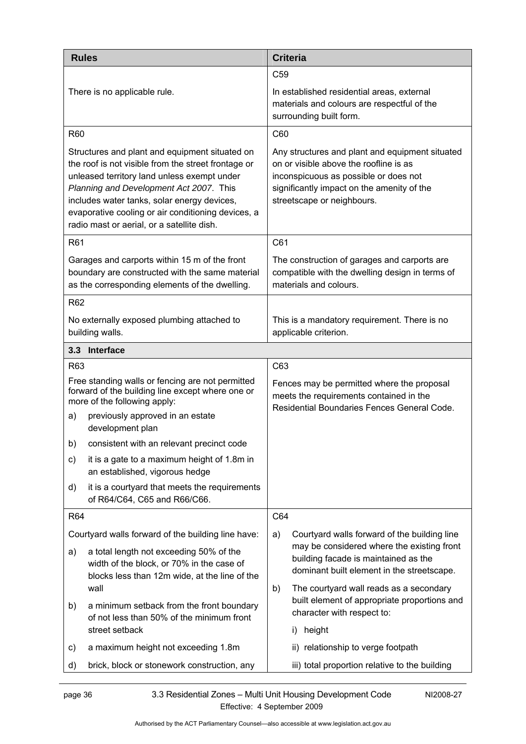| <b>Rules</b>                                                                                                                                                                                                                                                                                                                                       | <b>Criteria</b>                                                                                                                                                                                                |  |
|----------------------------------------------------------------------------------------------------------------------------------------------------------------------------------------------------------------------------------------------------------------------------------------------------------------------------------------------------|----------------------------------------------------------------------------------------------------------------------------------------------------------------------------------------------------------------|--|
|                                                                                                                                                                                                                                                                                                                                                    | C <sub>59</sub>                                                                                                                                                                                                |  |
| There is no applicable rule.                                                                                                                                                                                                                                                                                                                       | In established residential areas, external<br>materials and colours are respectful of the<br>surrounding built form.                                                                                           |  |
| R60                                                                                                                                                                                                                                                                                                                                                | C60                                                                                                                                                                                                            |  |
| Structures and plant and equipment situated on<br>the roof is not visible from the street frontage or<br>unleased territory land unless exempt under<br>Planning and Development Act 2007. This<br>includes water tanks, solar energy devices,<br>evaporative cooling or air conditioning devices, a<br>radio mast or aerial, or a satellite dish. | Any structures and plant and equipment situated<br>on or visible above the roofline is as<br>inconspicuous as possible or does not<br>significantly impact on the amenity of the<br>streetscape or neighbours. |  |
| R61                                                                                                                                                                                                                                                                                                                                                | C61                                                                                                                                                                                                            |  |
| Garages and carports within 15 m of the front<br>boundary are constructed with the same material<br>as the corresponding elements of the dwelling.                                                                                                                                                                                                 | The construction of garages and carports are<br>compatible with the dwelling design in terms of<br>materials and colours.                                                                                      |  |
| R62                                                                                                                                                                                                                                                                                                                                                |                                                                                                                                                                                                                |  |
| No externally exposed plumbing attached to<br>building walls.                                                                                                                                                                                                                                                                                      | This is a mandatory requirement. There is no<br>applicable criterion.                                                                                                                                          |  |
| 3.3 Interface                                                                                                                                                                                                                                                                                                                                      |                                                                                                                                                                                                                |  |
| R <sub>63</sub>                                                                                                                                                                                                                                                                                                                                    | C63                                                                                                                                                                                                            |  |
| Free standing walls or fencing are not permitted<br>forward of the building line except where one or<br>more of the following apply:                                                                                                                                                                                                               | Fences may be permitted where the proposal<br>meets the requirements contained in the<br>Residential Boundaries Fences General Code.                                                                           |  |
| previously approved in an estate<br>a)<br>development plan                                                                                                                                                                                                                                                                                         |                                                                                                                                                                                                                |  |
| b) consistent with an relevant precinct code                                                                                                                                                                                                                                                                                                       |                                                                                                                                                                                                                |  |
| it is a gate to a maximum height of 1.8m in<br>C)<br>an established, vigorous hedge                                                                                                                                                                                                                                                                |                                                                                                                                                                                                                |  |
| it is a courtyard that meets the requirements<br>d)<br>of R64/C64, C65 and R66/C66.                                                                                                                                                                                                                                                                |                                                                                                                                                                                                                |  |
| R64                                                                                                                                                                                                                                                                                                                                                | C64                                                                                                                                                                                                            |  |
| Courtyard walls forward of the building line have:                                                                                                                                                                                                                                                                                                 | Courtyard walls forward of the building line<br>a)                                                                                                                                                             |  |
| a total length not exceeding 50% of the<br>a)<br>width of the block, or 70% in the case of<br>blocks less than 12m wide, at the line of the                                                                                                                                                                                                        | may be considered where the existing front<br>building facade is maintained as the<br>dominant built element in the streetscape.                                                                               |  |
| wall                                                                                                                                                                                                                                                                                                                                               | The courtyard wall reads as a secondary<br>b)                                                                                                                                                                  |  |
| a minimum setback from the front boundary<br>b)<br>of not less than 50% of the minimum front                                                                                                                                                                                                                                                       | built element of appropriate proportions and<br>character with respect to:                                                                                                                                     |  |
| street setback                                                                                                                                                                                                                                                                                                                                     | height<br>i)                                                                                                                                                                                                   |  |
| a maximum height not exceeding 1.8m<br>c)                                                                                                                                                                                                                                                                                                          | ii) relationship to verge footpath                                                                                                                                                                             |  |
| brick, block or stonework construction, any<br>d)                                                                                                                                                                                                                                                                                                  | iii) total proportion relative to the building                                                                                                                                                                 |  |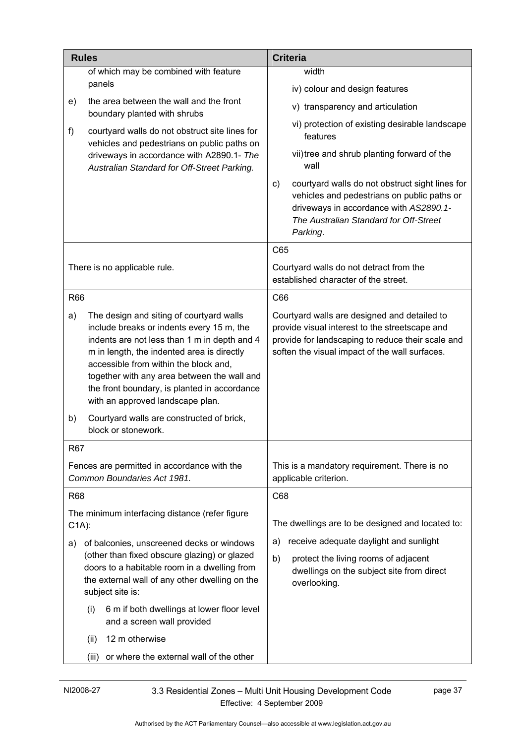|            | <b>Rules</b>                                                                                                                                                                                                                                                                                                                                                    | <b>Criteria</b>                                                                                                                                                                                       |  |
|------------|-----------------------------------------------------------------------------------------------------------------------------------------------------------------------------------------------------------------------------------------------------------------------------------------------------------------------------------------------------------------|-------------------------------------------------------------------------------------------------------------------------------------------------------------------------------------------------------|--|
|            | of which may be combined with feature                                                                                                                                                                                                                                                                                                                           | width                                                                                                                                                                                                 |  |
|            | panels                                                                                                                                                                                                                                                                                                                                                          | iv) colour and design features                                                                                                                                                                        |  |
| e)         | the area between the wall and the front<br>boundary planted with shrubs                                                                                                                                                                                                                                                                                         | v) transparency and articulation                                                                                                                                                                      |  |
| f)         | courtyard walls do not obstruct site lines for<br>vehicles and pedestrians on public paths on                                                                                                                                                                                                                                                                   | vi) protection of existing desirable landscape<br>features                                                                                                                                            |  |
|            | driveways in accordance with A2890.1- The<br>Australian Standard for Off-Street Parking.                                                                                                                                                                                                                                                                        | vii) tree and shrub planting forward of the<br>wall                                                                                                                                                   |  |
|            |                                                                                                                                                                                                                                                                                                                                                                 | courtyard walls do not obstruct sight lines for<br>C)<br>vehicles and pedestrians on public paths or<br>driveways in accordance with AS2890.1-<br>The Australian Standard for Off-Street<br>Parking.  |  |
|            |                                                                                                                                                                                                                                                                                                                                                                 | C65                                                                                                                                                                                                   |  |
|            | There is no applicable rule.                                                                                                                                                                                                                                                                                                                                    | Courtyard walls do not detract from the<br>established character of the street.                                                                                                                       |  |
| <b>R66</b> |                                                                                                                                                                                                                                                                                                                                                                 | C66                                                                                                                                                                                                   |  |
| a)         | The design and siting of courtyard walls<br>include breaks or indents every 15 m, the<br>indents are not less than 1 m in depth and 4<br>m in length, the indented area is directly<br>accessible from within the block and,<br>together with any area between the wall and<br>the front boundary, is planted in accordance<br>with an approved landscape plan. | Courtyard walls are designed and detailed to<br>provide visual interest to the streetscape and<br>provide for landscaping to reduce their scale and<br>soften the visual impact of the wall surfaces. |  |
| b)         | Courtyard walls are constructed of brick,<br>block or stonework.                                                                                                                                                                                                                                                                                                |                                                                                                                                                                                                       |  |
| R67        |                                                                                                                                                                                                                                                                                                                                                                 |                                                                                                                                                                                                       |  |
|            | Fences are permitted in accordance with the<br>Common Boundaries Act 1981.                                                                                                                                                                                                                                                                                      | This is a mandatory requirement. There is no<br>applicable criterion.                                                                                                                                 |  |
| R68        |                                                                                                                                                                                                                                                                                                                                                                 | C68                                                                                                                                                                                                   |  |
| $C1A)$ :   | The minimum interfacing distance (refer figure                                                                                                                                                                                                                                                                                                                  | The dwellings are to be designed and located to:                                                                                                                                                      |  |
| a)         | of balconies, unscreened decks or windows                                                                                                                                                                                                                                                                                                                       | receive adequate daylight and sunlight<br>a)                                                                                                                                                          |  |
|            | (other than fixed obscure glazing) or glazed<br>doors to a habitable room in a dwelling from<br>the external wall of any other dwelling on the<br>subject site is:                                                                                                                                                                                              | b)<br>protect the living rooms of adjacent<br>dwellings on the subject site from direct<br>overlooking.                                                                                               |  |
|            | 6 m if both dwellings at lower floor level<br>(i)<br>and a screen wall provided                                                                                                                                                                                                                                                                                 |                                                                                                                                                                                                       |  |
|            | 12 m otherwise<br>(ii)                                                                                                                                                                                                                                                                                                                                          |                                                                                                                                                                                                       |  |
|            | or where the external wall of the other<br>(iii)                                                                                                                                                                                                                                                                                                                |                                                                                                                                                                                                       |  |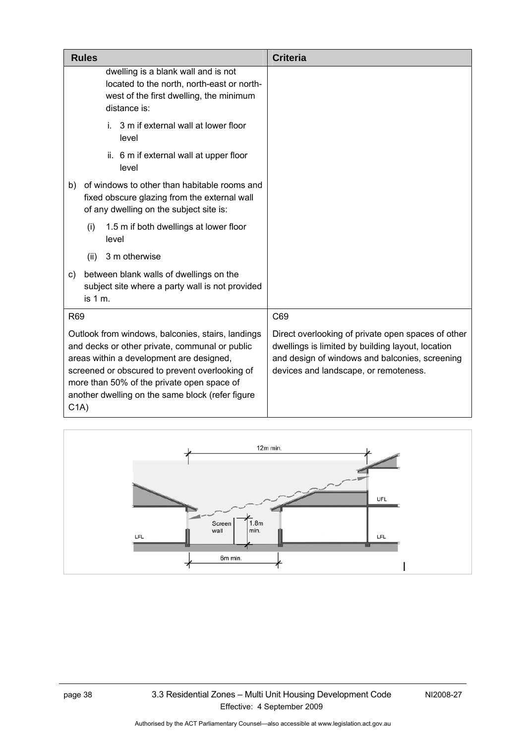| <b>Rules</b>                                                                                                                                                                                                                                                                                                            | <b>Criteria</b>                                                                                                                                                                                    |
|-------------------------------------------------------------------------------------------------------------------------------------------------------------------------------------------------------------------------------------------------------------------------------------------------------------------------|----------------------------------------------------------------------------------------------------------------------------------------------------------------------------------------------------|
| dwelling is a blank wall and is not<br>located to the north, north-east or north-<br>west of the first dwelling, the minimum<br>distance is:                                                                                                                                                                            |                                                                                                                                                                                                    |
| 3 m if external wall at lower floor<br>i.<br>level                                                                                                                                                                                                                                                                      |                                                                                                                                                                                                    |
| ii. 6 m if external wall at upper floor<br>level                                                                                                                                                                                                                                                                        |                                                                                                                                                                                                    |
| of windows to other than habitable rooms and<br>b)<br>fixed obscure glazing from the external wall<br>of any dwelling on the subject site is:                                                                                                                                                                           |                                                                                                                                                                                                    |
| 1.5 m if both dwellings at lower floor<br>(i)<br>level                                                                                                                                                                                                                                                                  |                                                                                                                                                                                                    |
| 3 m otherwise<br>(ii)                                                                                                                                                                                                                                                                                                   |                                                                                                                                                                                                    |
| between blank walls of dwellings on the<br>C)<br>subject site where a party wall is not provided<br>is 1 m.                                                                                                                                                                                                             |                                                                                                                                                                                                    |
| R69                                                                                                                                                                                                                                                                                                                     | C69                                                                                                                                                                                                |
| Outlook from windows, balconies, stairs, landings<br>and decks or other private, communal or public<br>areas within a development are designed,<br>screened or obscured to prevent overlooking of<br>more than 50% of the private open space of<br>another dwelling on the same block (refer figure<br>C <sub>1</sub> A | Direct overlooking of private open spaces of other<br>dwellings is limited by building layout, location<br>and design of windows and balconies, screening<br>devices and landscape, or remoteness. |

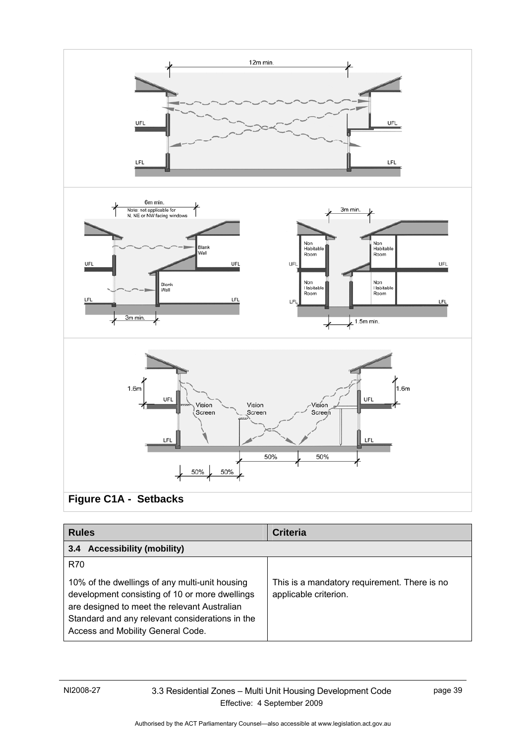

| <b>Rules</b>                                                                                                                                            | <b>Criteria</b>                                                       |
|---------------------------------------------------------------------------------------------------------------------------------------------------------|-----------------------------------------------------------------------|
| <b>Accessibility (mobility)</b><br>3.4                                                                                                                  |                                                                       |
| R70<br>10% of the dwellings of any multi-unit housing<br>development consisting of 10 or more dwellings<br>are designed to meet the relevant Australian | This is a mandatory requirement. There is no<br>applicable criterion. |
| Standard and any relevant considerations in the<br>Access and Mobility General Code.                                                                    |                                                                       |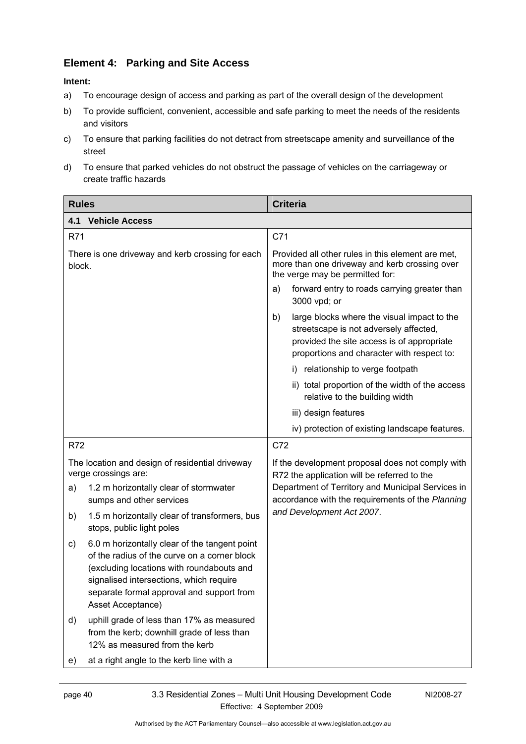# **Element 4: Parking and Site Access**

- a) To encourage design of access and parking as part of the overall design of the development
- b) To provide sufficient, convenient, accessible and safe parking to meet the needs of the residents and visitors
- c) To ensure that parking facilities do not detract from streetscape amenity and surveillance of the street
- d) To ensure that parked vehicles do not obstruct the passage of vehicles on the carriageway or create traffic hazards

| <b>Rules</b>                                                                                                                                                                                                                                                  | <b>Criteria</b>                                                                                                                                                                         |
|---------------------------------------------------------------------------------------------------------------------------------------------------------------------------------------------------------------------------------------------------------------|-----------------------------------------------------------------------------------------------------------------------------------------------------------------------------------------|
| 4.1<br><b>Vehicle Access</b>                                                                                                                                                                                                                                  |                                                                                                                                                                                         |
| R71                                                                                                                                                                                                                                                           | C71                                                                                                                                                                                     |
| There is one driveway and kerb crossing for each<br>block.                                                                                                                                                                                                    | Provided all other rules in this element are met,<br>more than one driveway and kerb crossing over<br>the verge may be permitted for:                                                   |
|                                                                                                                                                                                                                                                               | forward entry to roads carrying greater than<br>a)<br>3000 vpd; or                                                                                                                      |
|                                                                                                                                                                                                                                                               | large blocks where the visual impact to the<br>b)<br>streetscape is not adversely affected,<br>provided the site access is of appropriate<br>proportions and character with respect to: |
|                                                                                                                                                                                                                                                               | i) relationship to verge footpath                                                                                                                                                       |
|                                                                                                                                                                                                                                                               | ii) total proportion of the width of the access<br>relative to the building width                                                                                                       |
|                                                                                                                                                                                                                                                               | iii) design features                                                                                                                                                                    |
|                                                                                                                                                                                                                                                               | iv) protection of existing landscape features.                                                                                                                                          |
| R72                                                                                                                                                                                                                                                           | C72                                                                                                                                                                                     |
| The location and design of residential driveway<br>verge crossings are:                                                                                                                                                                                       | If the development proposal does not comply with<br>R72 the application will be referred to the                                                                                         |
| 1.2 m horizontally clear of stormwater<br>a)<br>sumps and other services                                                                                                                                                                                      | Department of Territory and Municipal Services in<br>accordance with the requirements of the Planning                                                                                   |
| 1.5 m horizontally clear of transformers, bus<br>b)<br>stops, public light poles                                                                                                                                                                              | and Development Act 2007.                                                                                                                                                               |
| 6.0 m horizontally clear of the tangent point<br>C)<br>of the radius of the curve on a corner block<br>(excluding locations with roundabouts and<br>signalised intersections, which require<br>separate formal approval and support from<br>Asset Acceptance) |                                                                                                                                                                                         |
| uphill grade of less than 17% as measured<br>d)<br>from the kerb; downhill grade of less than<br>12% as measured from the kerb                                                                                                                                |                                                                                                                                                                                         |
| at a right angle to the kerb line with a<br>e)                                                                                                                                                                                                                |                                                                                                                                                                                         |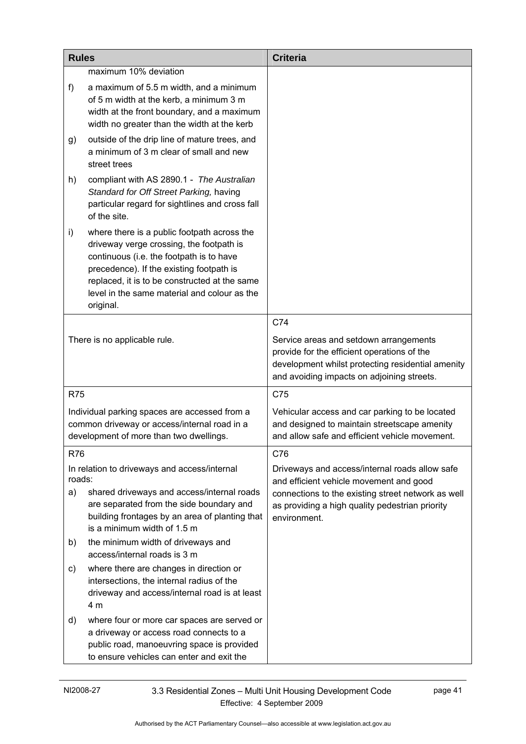| <b>Rules</b> |                                                                                                                                                                                                                                                                                               | <b>Criteria</b>                                                                                                                                                                          |
|--------------|-----------------------------------------------------------------------------------------------------------------------------------------------------------------------------------------------------------------------------------------------------------------------------------------------|------------------------------------------------------------------------------------------------------------------------------------------------------------------------------------------|
|              | maximum 10% deviation                                                                                                                                                                                                                                                                         |                                                                                                                                                                                          |
| f)           | a maximum of 5.5 m width, and a minimum<br>of 5 m width at the kerb, a minimum 3 m<br>width at the front boundary, and a maximum<br>width no greater than the width at the kerb                                                                                                               |                                                                                                                                                                                          |
| g)           | outside of the drip line of mature trees, and<br>a minimum of 3 m clear of small and new<br>street trees                                                                                                                                                                                      |                                                                                                                                                                                          |
| h)           | compliant with AS 2890.1 - The Australian<br>Standard for Off Street Parking, having<br>particular regard for sightlines and cross fall<br>of the site.                                                                                                                                       |                                                                                                                                                                                          |
| i)           | where there is a public footpath across the<br>driveway verge crossing, the footpath is<br>continuous (i.e. the footpath is to have<br>precedence). If the existing footpath is<br>replaced, it is to be constructed at the same<br>level in the same material and colour as the<br>original. |                                                                                                                                                                                          |
|              |                                                                                                                                                                                                                                                                                               | C74                                                                                                                                                                                      |
|              | There is no applicable rule.                                                                                                                                                                                                                                                                  | Service areas and setdown arrangements<br>provide for the efficient operations of the<br>development whilst protecting residential amenity<br>and avoiding impacts on adjoining streets. |
| <b>R75</b>   |                                                                                                                                                                                                                                                                                               | C75                                                                                                                                                                                      |
|              | Individual parking spaces are accessed from a<br>common driveway or access/internal road in a<br>development of more than two dwellings.                                                                                                                                                      | Vehicular access and car parking to be located<br>and designed to maintain streetscape amenity<br>and allow safe and efficient vehicle movement.                                         |
| R76          |                                                                                                                                                                                                                                                                                               | C76                                                                                                                                                                                      |
| roads:       | In relation to driveways and access/internal                                                                                                                                                                                                                                                  | Driveways and access/internal roads allow safe<br>and efficient vehicle movement and good                                                                                                |
| a)           | shared driveways and access/internal roads<br>are separated from the side boundary and<br>building frontages by an area of planting that<br>is a minimum width of 1.5 m                                                                                                                       | connections to the existing street network as well<br>as providing a high quality pedestrian priority<br>environment.                                                                    |
| b)           | the minimum width of driveways and<br>access/internal roads is 3 m                                                                                                                                                                                                                            |                                                                                                                                                                                          |
| C)           | where there are changes in direction or<br>intersections, the internal radius of the<br>driveway and access/internal road is at least<br>4 m                                                                                                                                                  |                                                                                                                                                                                          |
| d)           | where four or more car spaces are served or<br>a driveway or access road connects to a<br>public road, manoeuvring space is provided<br>to ensure vehicles can enter and exit the                                                                                                             |                                                                                                                                                                                          |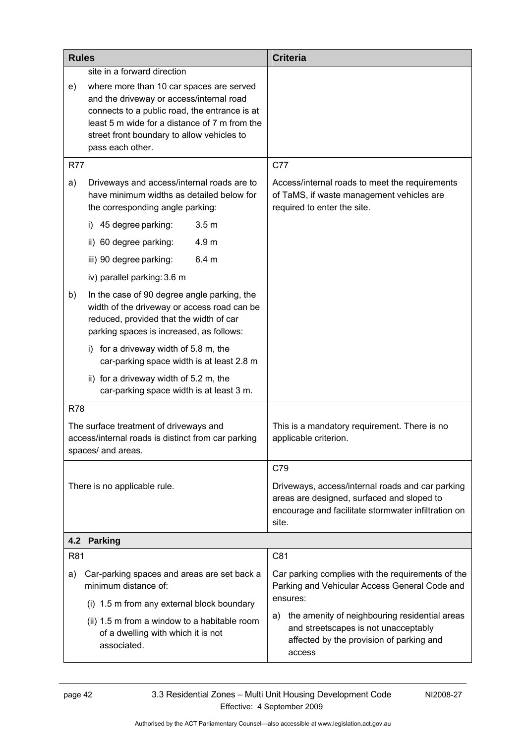| <b>Rules</b> |                                                                                                                                                                                                                                                                                         | <b>Criteria</b>                                                                                                                                                |
|--------------|-----------------------------------------------------------------------------------------------------------------------------------------------------------------------------------------------------------------------------------------------------------------------------------------|----------------------------------------------------------------------------------------------------------------------------------------------------------------|
| e)           | site in a forward direction<br>where more than 10 car spaces are served<br>and the driveway or access/internal road<br>connects to a public road, the entrance is at<br>least 5 m wide for a distance of 7 m from the<br>street front boundary to allow vehicles to<br>pass each other. |                                                                                                                                                                |
| <b>R77</b>   |                                                                                                                                                                                                                                                                                         | C77                                                                                                                                                            |
| a)           | Driveways and access/internal roads are to<br>have minimum widths as detailed below for<br>the corresponding angle parking:                                                                                                                                                             | Access/internal roads to meet the requirements<br>of TaMS, if waste management vehicles are<br>required to enter the site.                                     |
|              | i) 45 degree parking:<br>3.5 <sub>m</sub>                                                                                                                                                                                                                                               |                                                                                                                                                                |
|              | ii) 60 degree parking:<br>4.9 <sub>m</sub>                                                                                                                                                                                                                                              |                                                                                                                                                                |
|              | iii) 90 degree parking:<br>6.4 <sub>m</sub>                                                                                                                                                                                                                                             |                                                                                                                                                                |
|              | iv) parallel parking: 3.6 m                                                                                                                                                                                                                                                             |                                                                                                                                                                |
| b)           | In the case of 90 degree angle parking, the<br>width of the driveway or access road can be<br>reduced, provided that the width of car<br>parking spaces is increased, as follows:                                                                                                       |                                                                                                                                                                |
|              | for a driveway width of 5.8 m, the<br>i)<br>car-parking space width is at least 2.8 m                                                                                                                                                                                                   |                                                                                                                                                                |
|              | ii) for a driveway width of 5.2 m, the<br>car-parking space width is at least 3 m.                                                                                                                                                                                                      |                                                                                                                                                                |
| <b>R78</b>   |                                                                                                                                                                                                                                                                                         |                                                                                                                                                                |
|              | The surface treatment of driveways and<br>access/internal roads is distinct from car parking<br>spaces/ and areas.                                                                                                                                                                      | This is a mandatory requirement. There is no<br>applicable criterion.                                                                                          |
|              |                                                                                                                                                                                                                                                                                         | C79                                                                                                                                                            |
|              | There is no applicable rule.                                                                                                                                                                                                                                                            | Driveways, access/internal roads and car parking<br>areas are designed, surfaced and sloped to<br>encourage and facilitate stormwater infiltration on<br>site. |
| 4.2          | <b>Parking</b>                                                                                                                                                                                                                                                                          |                                                                                                                                                                |
| R81          |                                                                                                                                                                                                                                                                                         | C81                                                                                                                                                            |
| a)           | Car-parking spaces and areas are set back a<br>minimum distance of:<br>(i) 1.5 m from any external block boundary                                                                                                                                                                       | Car parking complies with the requirements of the<br>Parking and Vehicular Access General Code and<br>ensures:                                                 |
|              | (ii) 1.5 m from a window to a habitable room<br>of a dwelling with which it is not<br>associated.                                                                                                                                                                                       | the amenity of neighbouring residential areas<br>a)<br>and streetscapes is not unacceptably<br>affected by the provision of parking and<br>access              |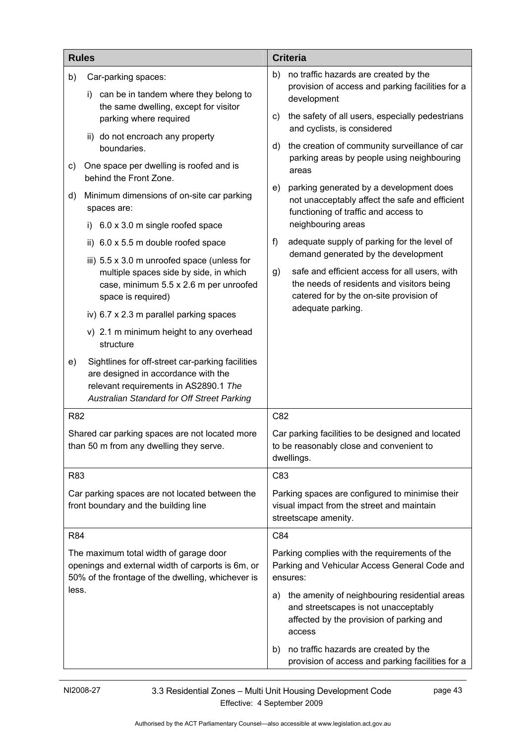|                                                                 | <b>Rules</b>                                                                                                                                                                   | <b>Criteria</b>                                                                |                                                                                                                                             |
|-----------------------------------------------------------------|--------------------------------------------------------------------------------------------------------------------------------------------------------------------------------|--------------------------------------------------------------------------------|---------------------------------------------------------------------------------------------------------------------------------------------|
| b)                                                              | Car-parking spaces:<br>can be in tandem where they belong to<br>i)                                                                                                             | b)                                                                             | no traffic hazards are created by the<br>provision of access and parking facilities for a<br>development                                    |
| the same dwelling, except for visitor<br>parking where required | C)                                                                                                                                                                             | the safety of all users, especially pedestrians<br>and cyclists, is considered |                                                                                                                                             |
|                                                                 | ii) do not encroach any property<br>boundaries.                                                                                                                                | d)                                                                             | the creation of community surveillance of car<br>parking areas by people using neighbouring                                                 |
| C)                                                              | One space per dwelling is roofed and is<br>behind the Front Zone.                                                                                                              |                                                                                | areas                                                                                                                                       |
| d)                                                              | Minimum dimensions of on-site car parking<br>spaces are:                                                                                                                       | e)                                                                             | parking generated by a development does<br>not unacceptably affect the safe and efficient<br>functioning of traffic and access to           |
|                                                                 | 6.0 x 3.0 m single roofed space<br>i)                                                                                                                                          |                                                                                | neighbouring areas                                                                                                                          |
|                                                                 | ii) 6.0 x 5.5 m double roofed space                                                                                                                                            | f)                                                                             | adequate supply of parking for the level of<br>demand generated by the development                                                          |
|                                                                 | iii) 5.5 x 3.0 m unroofed space (unless for<br>multiple spaces side by side, in which<br>case, minimum 5.5 x 2.6 m per unroofed<br>space is required)                          | g)                                                                             | safe and efficient access for all users, with<br>the needs of residents and visitors being<br>catered for by the on-site provision of       |
|                                                                 | iv) 6.7 x 2.3 m parallel parking spaces                                                                                                                                        |                                                                                | adequate parking.                                                                                                                           |
|                                                                 | v) 2.1 m minimum height to any overhead<br>structure                                                                                                                           |                                                                                |                                                                                                                                             |
| e)                                                              | Sightlines for off-street car-parking facilities<br>are designed in accordance with the<br>relevant requirements in AS2890.1 The<br>Australian Standard for Off Street Parking |                                                                                |                                                                                                                                             |
| R82                                                             |                                                                                                                                                                                | C82                                                                            |                                                                                                                                             |
|                                                                 | Shared car parking spaces are not located more<br>than 50 m from any dwelling they serve.                                                                                      |                                                                                | Car parking facilities to be designed and located<br>to be reasonably close and convenient to<br>dwellings.                                 |
| R83                                                             |                                                                                                                                                                                | C83                                                                            |                                                                                                                                             |
|                                                                 | Car parking spaces are not located between the<br>front boundary and the building line                                                                                         |                                                                                | Parking spaces are configured to minimise their<br>visual impact from the street and maintain<br>streetscape amenity.                       |
| R84                                                             |                                                                                                                                                                                | C84                                                                            |                                                                                                                                             |
|                                                                 | The maximum total width of garage door<br>openings and external width of carports is 6m, or<br>50% of the frontage of the dwelling, whichever is                               | ensures:                                                                       | Parking complies with the requirements of the<br>Parking and Vehicular Access General Code and                                              |
| less.                                                           |                                                                                                                                                                                | a)                                                                             | the amenity of neighbouring residential areas<br>and streetscapes is not unacceptably<br>affected by the provision of parking and<br>access |
|                                                                 |                                                                                                                                                                                | b)                                                                             | no traffic hazards are created by the<br>provision of access and parking facilities for a                                                   |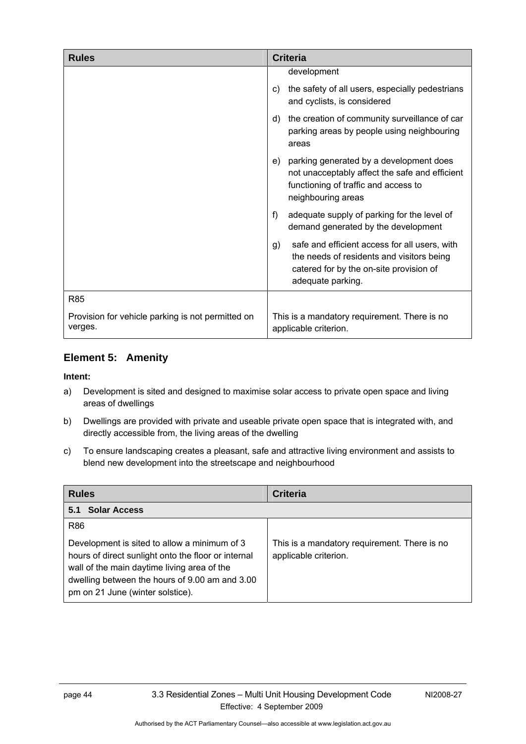| <b>Rules</b>                                                 | <b>Criteria</b>                                                                                                                                                  |
|--------------------------------------------------------------|------------------------------------------------------------------------------------------------------------------------------------------------------------------|
|                                                              | development                                                                                                                                                      |
|                                                              | the safety of all users, especially pedestrians<br>C)<br>and cyclists, is considered                                                                             |
|                                                              | the creation of community surveillance of car<br>d)<br>parking areas by people using neighbouring<br>areas                                                       |
|                                                              | parking generated by a development does<br>e)<br>not unacceptably affect the safe and efficient<br>functioning of traffic and access to<br>neighbouring areas    |
|                                                              | f)<br>adequate supply of parking for the level of<br>demand generated by the development                                                                         |
|                                                              | safe and efficient access for all users, with<br>g)<br>the needs of residents and visitors being<br>catered for by the on-site provision of<br>adequate parking. |
| R85                                                          |                                                                                                                                                                  |
| Provision for vehicle parking is not permitted on<br>verges. | This is a mandatory requirement. There is no<br>applicable criterion.                                                                                            |

### **Element 5: Amenity**

- a) Development is sited and designed to maximise solar access to private open space and living areas of dwellings
- b) Dwellings are provided with private and useable private open space that is integrated with, and directly accessible from, the living areas of the dwelling
- c) To ensure landscaping creates a pleasant, safe and attractive living environment and assists to blend new development into the streetscape and neighbourhood

| <b>Rules</b>                                                                                                                                                                                                                                           | <b>Criteria</b>                                                       |
|--------------------------------------------------------------------------------------------------------------------------------------------------------------------------------------------------------------------------------------------------------|-----------------------------------------------------------------------|
| <b>Solar Access</b><br>5.1                                                                                                                                                                                                                             |                                                                       |
| <b>R86</b><br>Development is sited to allow a minimum of 3<br>hours of direct sunlight onto the floor or internal<br>wall of the main daytime living area of the<br>dwelling between the hours of 9.00 am and 3.00<br>pm on 21 June (winter solstice). | This is a mandatory requirement. There is no<br>applicable criterion. |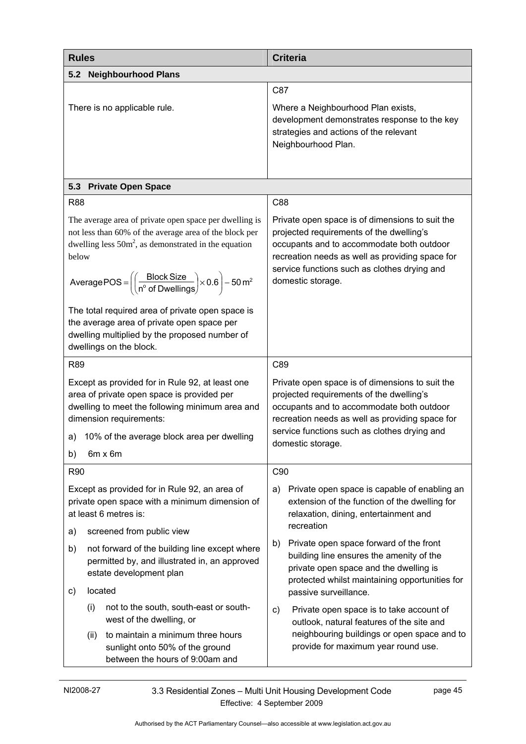| <b>Rules</b>                                                                                                                                                                                                                                                                                                   | <b>Criteria</b>                                                                                                                                                                                                                                                  |
|----------------------------------------------------------------------------------------------------------------------------------------------------------------------------------------------------------------------------------------------------------------------------------------------------------------|------------------------------------------------------------------------------------------------------------------------------------------------------------------------------------------------------------------------------------------------------------------|
| <b>Neighbourhood Plans</b><br>5.2                                                                                                                                                                                                                                                                              |                                                                                                                                                                                                                                                                  |
|                                                                                                                                                                                                                                                                                                                | C87                                                                                                                                                                                                                                                              |
| There is no applicable rule.                                                                                                                                                                                                                                                                                   | Where a Neighbourhood Plan exists,<br>development demonstrates response to the key<br>strategies and actions of the relevant<br>Neighbourhood Plan.                                                                                                              |
|                                                                                                                                                                                                                                                                                                                |                                                                                                                                                                                                                                                                  |
| <b>Private Open Space</b><br>5.3                                                                                                                                                                                                                                                                               |                                                                                                                                                                                                                                                                  |
| <b>R88</b>                                                                                                                                                                                                                                                                                                     | C88                                                                                                                                                                                                                                                              |
| The average area of private open space per dwelling is<br>not less than 60% of the average area of the block per<br>dwelling less $50m^2$ , as demonstrated in the equation<br>below<br>Average POS = $\left(\left(\frac{\text{Block Size}}{n^{\circ} \text{ of Dwellings}}\right) \times 0.6\right) - 50 m^2$ | Private open space is of dimensions to suit the<br>projected requirements of the dwelling's<br>occupants and to accommodate both outdoor<br>recreation needs as well as providing space for<br>service functions such as clothes drying and<br>domestic storage. |
| The total required area of private open space is<br>the average area of private open space per<br>dwelling multiplied by the proposed number of<br>dwellings on the block.                                                                                                                                     |                                                                                                                                                                                                                                                                  |
| R89                                                                                                                                                                                                                                                                                                            | C89                                                                                                                                                                                                                                                              |
| Except as provided for in Rule 92, at least one<br>area of private open space is provided per<br>dwelling to meet the following minimum area and<br>dimension requirements:                                                                                                                                    | Private open space is of dimensions to suit the<br>projected requirements of the dwelling's<br>occupants and to accommodate both outdoor<br>recreation needs as well as providing space for                                                                      |
| 10% of the average block area per dwelling<br>a)                                                                                                                                                                                                                                                               | service functions such as clothes drying and<br>domestic storage.                                                                                                                                                                                                |
| $6m \times 6m$<br>b)                                                                                                                                                                                                                                                                                           |                                                                                                                                                                                                                                                                  |
| R90                                                                                                                                                                                                                                                                                                            | C90                                                                                                                                                                                                                                                              |
| Except as provided for in Rule 92, an area of<br>private open space with a minimum dimension of<br>at least 6 metres is:                                                                                                                                                                                       | Private open space is capable of enabling an<br>a)<br>extension of the function of the dwelling for<br>relaxation, dining, entertainment and<br>recreation                                                                                                       |
| screened from public view<br>a)                                                                                                                                                                                                                                                                                |                                                                                                                                                                                                                                                                  |
| not forward of the building line except where<br>b)<br>permitted by, and illustrated in, an approved<br>estate development plan                                                                                                                                                                                | Private open space forward of the front<br>b)<br>building line ensures the amenity of the<br>private open space and the dwelling is<br>protected whilst maintaining opportunities for                                                                            |
| located<br>c)                                                                                                                                                                                                                                                                                                  | passive surveillance.                                                                                                                                                                                                                                            |
| not to the south, south-east or south-<br>(i)<br>west of the dwelling, or                                                                                                                                                                                                                                      | Private open space is to take account of<br>C)<br>outlook, natural features of the site and                                                                                                                                                                      |
| to maintain a minimum three hours<br>(ii)<br>sunlight onto 50% of the ground<br>between the hours of 9:00am and                                                                                                                                                                                                | neighbouring buildings or open space and to<br>provide for maximum year round use.                                                                                                                                                                               |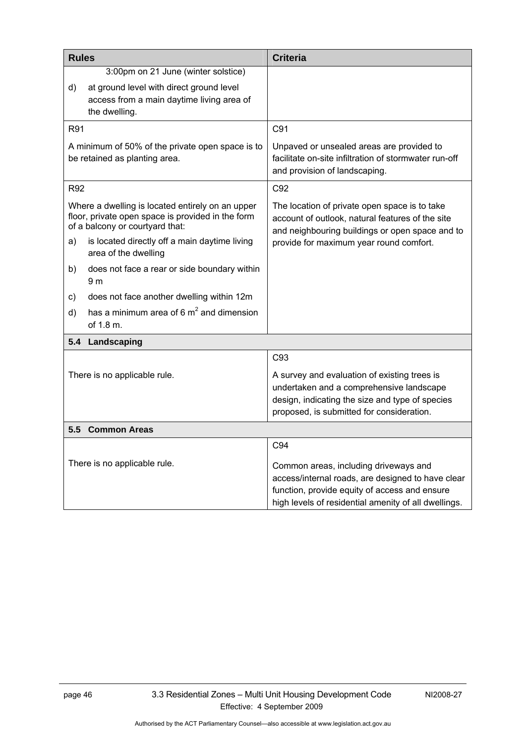| <b>Rules</b> |                                                                                                                                          | <b>Criteria</b>                                                                                                                                                                                     |
|--------------|------------------------------------------------------------------------------------------------------------------------------------------|-----------------------------------------------------------------------------------------------------------------------------------------------------------------------------------------------------|
|              | 3:00pm on 21 June (winter solstice)                                                                                                      |                                                                                                                                                                                                     |
| d)           | at ground level with direct ground level<br>access from a main daytime living area of<br>the dwelling.                                   |                                                                                                                                                                                                     |
| R91          |                                                                                                                                          | C91                                                                                                                                                                                                 |
|              | A minimum of 50% of the private open space is to<br>be retained as planting area.                                                        | Unpaved or unsealed areas are provided to<br>facilitate on-site infiltration of stormwater run-off<br>and provision of landscaping.                                                                 |
| R92          |                                                                                                                                          | C92                                                                                                                                                                                                 |
|              | Where a dwelling is located entirely on an upper<br>floor, private open space is provided in the form<br>of a balcony or courtyard that: | The location of private open space is to take<br>account of outlook, natural features of the site<br>and neighbouring buildings or open space and to                                                |
| a)           | is located directly off a main daytime living<br>area of the dwelling                                                                    | provide for maximum year round comfort.                                                                                                                                                             |
| b)           | does not face a rear or side boundary within<br>9 <sub>m</sub>                                                                           |                                                                                                                                                                                                     |
| C)           | does not face another dwelling within 12m                                                                                                |                                                                                                                                                                                                     |
| d)           | has a minimum area of 6 $m2$ and dimension<br>of 1.8 m.                                                                                  |                                                                                                                                                                                                     |
| 5.4          | Landscaping                                                                                                                              |                                                                                                                                                                                                     |
|              |                                                                                                                                          | C93                                                                                                                                                                                                 |
|              | There is no applicable rule.                                                                                                             | A survey and evaluation of existing trees is<br>undertaken and a comprehensive landscape<br>design, indicating the size and type of species<br>proposed, is submitted for consideration.            |
| 5.5          | <b>Common Areas</b>                                                                                                                      |                                                                                                                                                                                                     |
|              |                                                                                                                                          | C94                                                                                                                                                                                                 |
|              | There is no applicable rule.                                                                                                             | Common areas, including driveways and<br>access/internal roads, are designed to have clear<br>function, provide equity of access and ensure<br>high levels of residential amenity of all dwellings. |

Authorised by the ACT Parliamentary Counsel—also accessible at www.legislation.act.gov.au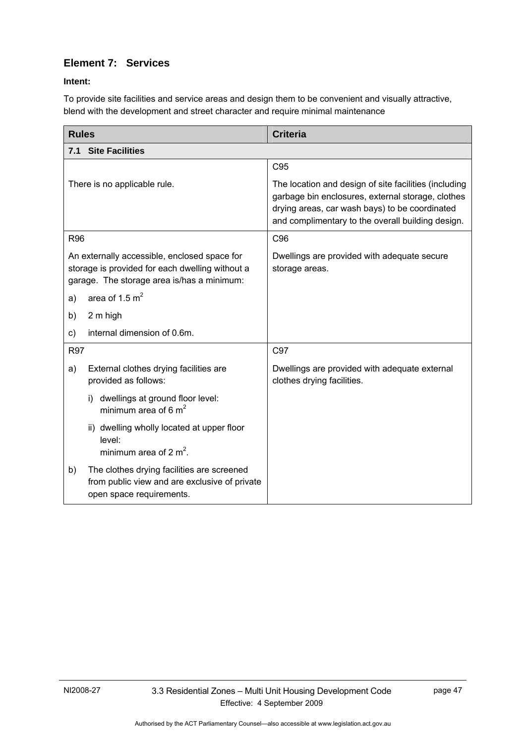# **Element 7: Services**

### **Intent:**

To provide site facilities and service areas and design them to be convenient and visually attractive, blend with the development and street character and require minimal maintenance

| <b>Rules</b>                                                                                                                                  | <b>Criteria</b>                                                                                                                                                                                                   |
|-----------------------------------------------------------------------------------------------------------------------------------------------|-------------------------------------------------------------------------------------------------------------------------------------------------------------------------------------------------------------------|
| <b>Site Facilities</b><br>7.1                                                                                                                 |                                                                                                                                                                                                                   |
|                                                                                                                                               | C95                                                                                                                                                                                                               |
| There is no applicable rule.                                                                                                                  | The location and design of site facilities (including<br>garbage bin enclosures, external storage, clothes<br>drying areas, car wash bays) to be coordinated<br>and complimentary to the overall building design. |
| <b>R96</b>                                                                                                                                    | C96                                                                                                                                                                                                               |
| An externally accessible, enclosed space for<br>storage is provided for each dwelling without a<br>garage. The storage area is/has a minimum: | Dwellings are provided with adequate secure<br>storage areas.                                                                                                                                                     |
| area of 1.5 $m2$<br>a)                                                                                                                        |                                                                                                                                                                                                                   |
| 2 m high<br>b)                                                                                                                                |                                                                                                                                                                                                                   |
| internal dimension of 0.6m.<br>C)                                                                                                             |                                                                                                                                                                                                                   |
| <b>R97</b>                                                                                                                                    | C97                                                                                                                                                                                                               |
| External clothes drying facilities are<br>a)<br>provided as follows:                                                                          | Dwellings are provided with adequate external<br>clothes drying facilities.                                                                                                                                       |
| dwellings at ground floor level:<br>i)<br>minimum area of 6 $m2$                                                                              |                                                                                                                                                                                                                   |
| ii) dwelling wholly located at upper floor<br>level:<br>minimum area of 2 $m^2$ .                                                             |                                                                                                                                                                                                                   |
| The clothes drying facilities are screened<br>b)<br>from public view and are exclusive of private<br>open space requirements.                 |                                                                                                                                                                                                                   |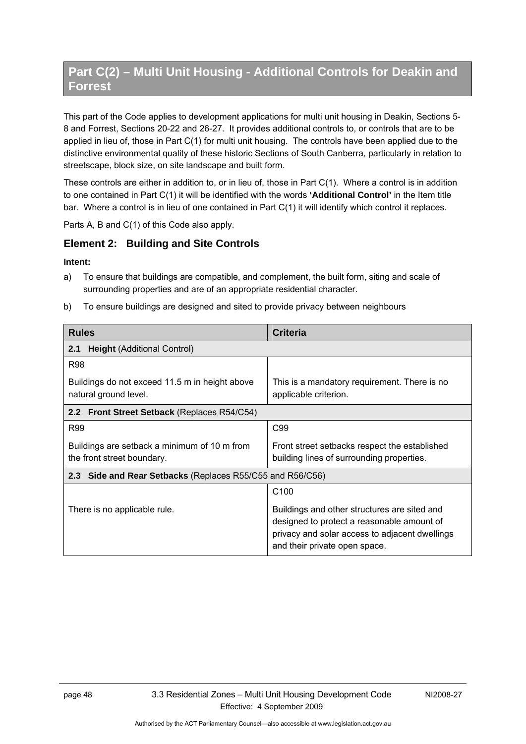# **Part C(2) – Multi Unit Housing - Additional Controls for Deakin and Forrest**

This part of the Code applies to development applications for multi unit housing in Deakin, Sections 5- 8 and Forrest, Sections 20-22 and 26-27. It provides additional controls to, or controls that are to be applied in lieu of, those in Part C(1) for multi unit housing. The controls have been applied due to the distinctive environmental quality of these historic Sections of South Canberra, particularly in relation to streetscape, block size, on site landscape and built form.

These controls are either in addition to, or in lieu of, those in Part C(1). Where a control is in addition to one contained in Part C(1) it will be identified with the words **'Additional Control'** in the Item title bar. Where a control is in lieu of one contained in Part C(1) it will identify which control it replaces.

Parts A, B and C(1) of this Code also apply.

### **Element 2: Building and Site Controls**

#### **Intent:**

- a) To ensure that buildings are compatible, and complement, the built form, siting and scale of surrounding properties and are of an appropriate residential character.
- b) To ensure buildings are designed and sited to provide privacy between neighbours

| <b>Rules</b>                                                               | <b>Criteria</b>                                                                                                                                                               |  |
|----------------------------------------------------------------------------|-------------------------------------------------------------------------------------------------------------------------------------------------------------------------------|--|
| <b>Height (Additional Control)</b><br>2.1                                  |                                                                                                                                                                               |  |
| <b>R98</b>                                                                 |                                                                                                                                                                               |  |
| Buildings do not exceed 11.5 m in height above<br>natural ground level.    | This is a mandatory requirement. There is no<br>applicable criterion.                                                                                                         |  |
| 2.2 Front Street Setback (Replaces R54/C54)                                |                                                                                                                                                                               |  |
| <b>R99</b>                                                                 | C99                                                                                                                                                                           |  |
| Buildings are setback a minimum of 10 m from<br>the front street boundary. | Front street setbacks respect the established<br>building lines of surrounding properties.                                                                                    |  |
| 2.3 Side and Rear Setbacks (Replaces R55/C55 and R56/C56)                  |                                                                                                                                                                               |  |
|                                                                            | C <sub>100</sub>                                                                                                                                                              |  |
| There is no applicable rule.                                               | Buildings and other structures are sited and<br>designed to protect a reasonable amount of<br>privacy and solar access to adjacent dwellings<br>and their private open space. |  |

Authorised by the ACT Parliamentary Counsel—also accessible at www.legislation.act.gov.au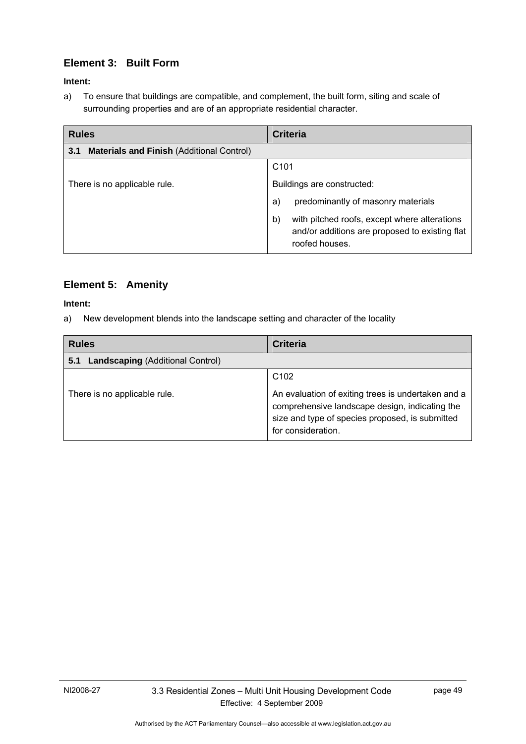# **Element 3: Built Form**

### **Intent:**

a) To ensure that buildings are compatible, and complement, the built form, siting and scale of surrounding properties and are of an appropriate residential character.

| <b>Rules</b>                                            | <b>Criteria</b>                                                                                                        |
|---------------------------------------------------------|------------------------------------------------------------------------------------------------------------------------|
| <b>Materials and Finish (Additional Control)</b><br>3.1 |                                                                                                                        |
|                                                         | C <sub>101</sub>                                                                                                       |
| There is no applicable rule.                            | Buildings are constructed:                                                                                             |
|                                                         | predominantly of masonry materials<br>a)                                                                               |
|                                                         | with pitched roofs, except where alterations<br>b)<br>and/or additions are proposed to existing flat<br>roofed houses. |

## **Element 5: Amenity**

### **Intent:**

a) New development blends into the landscape setting and character of the locality

| <b>Rules</b>                                   | <b>Criteria</b>                                                                                                                                                                                   |
|------------------------------------------------|---------------------------------------------------------------------------------------------------------------------------------------------------------------------------------------------------|
| <b>Landscaping (Additional Control)</b><br>5.1 |                                                                                                                                                                                                   |
| There is no applicable rule.                   | C <sub>102</sub><br>An evaluation of exiting trees is undertaken and a<br>comprehensive landscape design, indicating the<br>size and type of species proposed, is submitted<br>for consideration. |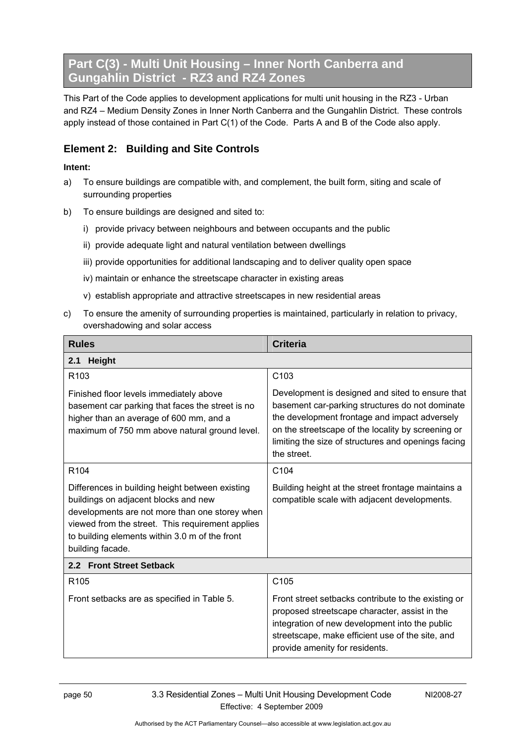# **Part C(3) - Multi Unit Housing – Inner North Canberra and Gungahlin District - RZ3 and RZ4 Zones**

This Part of the Code applies to development applications for multi unit housing in the RZ3 - Urban and RZ4 – Medium Density Zones in Inner North Canberra and the Gungahlin District. These controls apply instead of those contained in Part C(1) of the Code. Parts A and B of the Code also apply.

## **Element 2: Building and Site Controls**

- a) To ensure buildings are compatible with, and complement, the built form, siting and scale of surrounding properties
- b) To ensure buildings are designed and sited to:
	- i) provide privacy between neighbours and between occupants and the public
	- ii) provide adequate light and natural ventilation between dwellings
	- iii) provide opportunities for additional landscaping and to deliver quality open space
	- iv) maintain or enhance the streetscape character in existing areas
	- v) establish appropriate and attractive streetscapes in new residential areas
- c) To ensure the amenity of surrounding properties is maintained, particularly in relation to privacy, overshadowing and solar access

| <b>Rules</b>                                                                                                                                                                                                                                                        | <b>Criteria</b>                                                                                                                                                                                                                                                                  |  |  |
|---------------------------------------------------------------------------------------------------------------------------------------------------------------------------------------------------------------------------------------------------------------------|----------------------------------------------------------------------------------------------------------------------------------------------------------------------------------------------------------------------------------------------------------------------------------|--|--|
| <b>Height</b><br>2.1                                                                                                                                                                                                                                                |                                                                                                                                                                                                                                                                                  |  |  |
| R <sub>103</sub>                                                                                                                                                                                                                                                    | C <sub>103</sub>                                                                                                                                                                                                                                                                 |  |  |
| Finished floor levels immediately above<br>basement car parking that faces the street is no<br>higher than an average of 600 mm, and a<br>maximum of 750 mm above natural ground level.                                                                             | Development is designed and sited to ensure that<br>basement car-parking structures do not dominate<br>the development frontage and impact adversely<br>on the streetscape of the locality by screening or<br>limiting the size of structures and openings facing<br>the street. |  |  |
| R <sub>104</sub>                                                                                                                                                                                                                                                    | C104                                                                                                                                                                                                                                                                             |  |  |
| Differences in building height between existing<br>buildings on adjacent blocks and new<br>developments are not more than one storey when<br>viewed from the street. This requirement applies<br>to building elements within 3.0 m of the front<br>building facade. | Building height at the street frontage maintains a<br>compatible scale with adjacent developments.                                                                                                                                                                               |  |  |
| 2.2 Front Street Setback                                                                                                                                                                                                                                            |                                                                                                                                                                                                                                                                                  |  |  |
| R <sub>105</sub>                                                                                                                                                                                                                                                    | C <sub>105</sub>                                                                                                                                                                                                                                                                 |  |  |
| Front setbacks are as specified in Table 5.                                                                                                                                                                                                                         | Front street setbacks contribute to the existing or<br>proposed streetscape character, assist in the<br>integration of new development into the public<br>streetscape, make efficient use of the site, and<br>provide amenity for residents.                                     |  |  |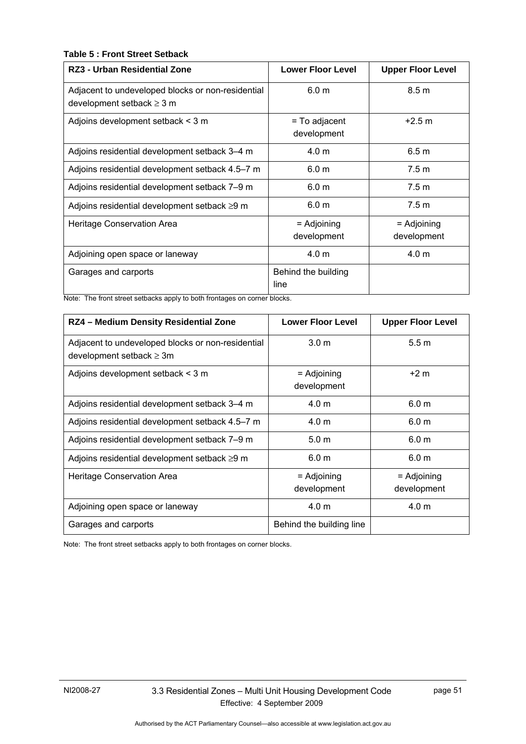### **Table 5 : Front Street Setback**

| <b>RZ3 - Urban Residential Zone</b>                                                 | <b>Lower Floor Level</b>     | <b>Upper Floor Level</b>     |
|-------------------------------------------------------------------------------------|------------------------------|------------------------------|
| Adjacent to undeveloped blocks or non-residential<br>development setback $\geq$ 3 m | 6.0 <sub>m</sub>             | 8.5 m                        |
| Adjoins development setback < 3 m                                                   | = To adjacent<br>development | $+2.5 m$                     |
| Adjoins residential development setback 3-4 m                                       | 4.0 <sub>m</sub>             | 6.5 <sub>m</sub>             |
| Adjoins residential development setback 4.5–7 m                                     | 6.0 <sub>m</sub>             | 7.5 <sub>m</sub>             |
| Adjoins residential development setback 7-9 m                                       | 6.0 <sub>m</sub>             | 7.5 m                        |
| Adjoins residential development setback $\geq$ 9 m                                  | 6.0 <sub>m</sub>             | 7.5 <sub>m</sub>             |
| Heritage Conservation Area                                                          | = Adjoining<br>development   | $=$ Adjoining<br>development |
| Adjoining open space or laneway                                                     | 4.0 <sub>m</sub>             | 4.0 <sub>m</sub>             |
| Garages and carports                                                                | Behind the building<br>line  |                              |

Note: The front street setbacks apply to both frontages on corner blocks.

| RZ4 - Medium Density Residential Zone                                              | <b>Lower Floor Level</b>     | <b>Upper Floor Level</b>     |
|------------------------------------------------------------------------------------|------------------------------|------------------------------|
| Adjacent to undeveloped blocks or non-residential<br>development setback $\geq 3m$ | 3.0 <sub>m</sub>             | 5.5 <sub>m</sub>             |
| Adjoins development setback < 3 m                                                  | $=$ Adjoining<br>development | $+2m$                        |
| Adjoins residential development setback 3-4 m                                      | 4.0 <sub>m</sub>             | 6.0 <sub>m</sub>             |
| Adjoins residential development setback 4.5–7 m                                    | 4.0 m                        | 6.0 m                        |
| Adjoins residential development setback 7-9 m                                      | 5.0 <sub>m</sub>             | 6.0 <sub>m</sub>             |
| Adjoins residential development setback ≥9 m                                       | 6.0 <sub>m</sub>             | 6.0 <sub>m</sub>             |
| Heritage Conservation Area                                                         | $=$ Adjoining<br>development | $=$ Adjoining<br>development |
| Adjoining open space or laneway                                                    | 4.0 m                        | 4.0 <sub>m</sub>             |
| Garages and carports                                                               | Behind the building line     |                              |

Note: The front street setbacks apply to both frontages on corner blocks.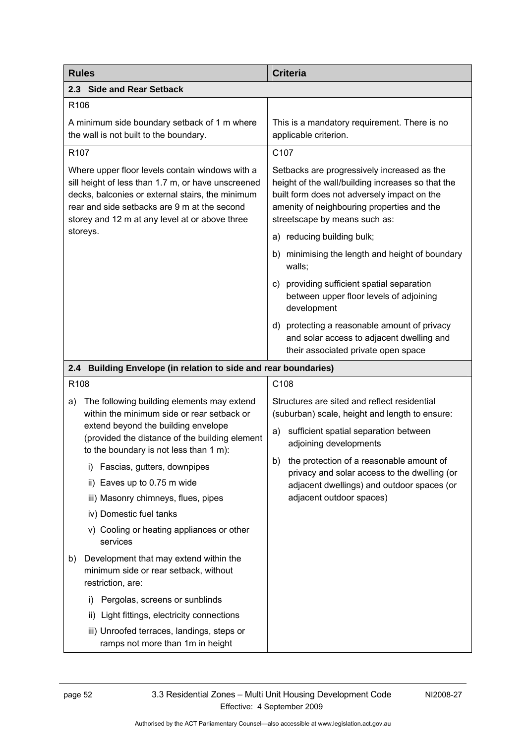| <b>Rules</b>                                                                                                                                                                                                                                                | <b>Criteria</b>                                                                                                                                                                                                                |
|-------------------------------------------------------------------------------------------------------------------------------------------------------------------------------------------------------------------------------------------------------------|--------------------------------------------------------------------------------------------------------------------------------------------------------------------------------------------------------------------------------|
| 2.3 Side and Rear Setback                                                                                                                                                                                                                                   |                                                                                                                                                                                                                                |
| R <sub>106</sub>                                                                                                                                                                                                                                            |                                                                                                                                                                                                                                |
| A minimum side boundary setback of 1 m where<br>the wall is not built to the boundary.                                                                                                                                                                      | This is a mandatory requirement. There is no<br>applicable criterion.                                                                                                                                                          |
| R <sub>107</sub>                                                                                                                                                                                                                                            | C107                                                                                                                                                                                                                           |
| Where upper floor levels contain windows with a<br>sill height of less than 1.7 m, or have unscreened<br>decks, balconies or external stairs, the minimum<br>rear and side setbacks are 9 m at the second<br>storey and 12 m at any level at or above three | Setbacks are progressively increased as the<br>height of the wall/building increases so that the<br>built form does not adversely impact on the<br>amenity of neighbouring properties and the<br>streetscape by means such as: |
| storeys.                                                                                                                                                                                                                                                    | a) reducing building bulk;                                                                                                                                                                                                     |
|                                                                                                                                                                                                                                                             | b) minimising the length and height of boundary<br>walls;                                                                                                                                                                      |
|                                                                                                                                                                                                                                                             | c) providing sufficient spatial separation<br>between upper floor levels of adjoining<br>development                                                                                                                           |
|                                                                                                                                                                                                                                                             | d) protecting a reasonable amount of privacy<br>and solar access to adjacent dwelling and<br>their associated private open space                                                                                               |
| 2.4 Building Envelope (in relation to side and rear boundaries)                                                                                                                                                                                             |                                                                                                                                                                                                                                |
| R <sub>108</sub>                                                                                                                                                                                                                                            | C108                                                                                                                                                                                                                           |
| The following building elements may extend<br>a)<br>within the minimum side or rear setback or<br>extend beyond the building envelope<br>(provided the distance of the building element<br>to the boundary is not less than 1 m):                           | Structures are sited and reflect residential<br>(suburban) scale, height and length to ensure:<br>sufficient spatial separation between<br>a)<br>adjoining developments                                                        |
| Fascias, gutters, downpipes<br>i)<br>Eaves up to 0.75 m wide<br>ii)<br>iii) Masonry chimneys, flues, pipes<br>iv) Domestic fuel tanks<br>v) Cooling or heating appliances or other<br>services                                                              | b) the protection of a reasonable amount of<br>privacy and solar access to the dwelling (or<br>adjacent dwellings) and outdoor spaces (or<br>adjacent outdoor spaces)                                                          |
| Development that may extend within the<br>b)<br>minimum side or rear setback, without<br>restriction, are:                                                                                                                                                  |                                                                                                                                                                                                                                |
| Pergolas, screens or sunblinds<br>D.                                                                                                                                                                                                                        |                                                                                                                                                                                                                                |
| Light fittings, electricity connections<br>ii)                                                                                                                                                                                                              |                                                                                                                                                                                                                                |
| iii) Unroofed terraces, landings, steps or<br>ramps not more than 1m in height                                                                                                                                                                              |                                                                                                                                                                                                                                |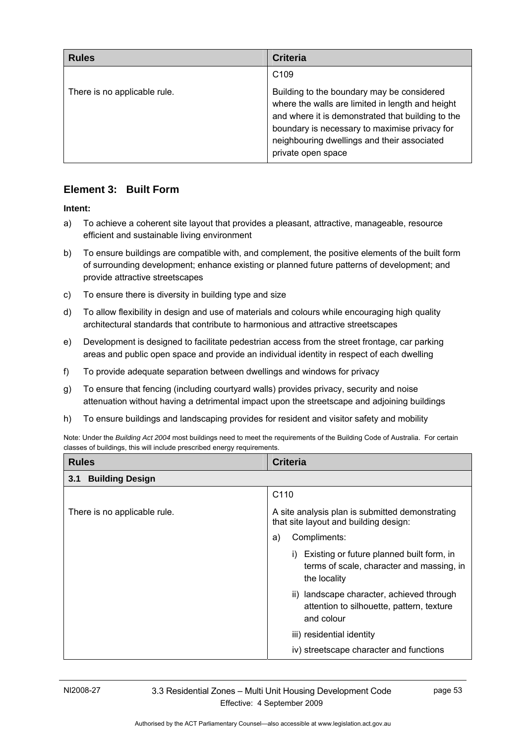| <b>Rules</b>                 | <b>Criteria</b>                                                                                                                                                                                                                                                           |
|------------------------------|---------------------------------------------------------------------------------------------------------------------------------------------------------------------------------------------------------------------------------------------------------------------------|
|                              | C <sub>109</sub>                                                                                                                                                                                                                                                          |
| There is no applicable rule. | Building to the boundary may be considered<br>where the walls are limited in length and height<br>and where it is demonstrated that building to the<br>boundary is necessary to maximise privacy for<br>neighbouring dwellings and their associated<br>private open space |

## **Element 3: Built Form**

### **Intent:**

- a) To achieve a coherent site layout that provides a pleasant, attractive, manageable, resource efficient and sustainable living environment
- b) To ensure buildings are compatible with, and complement, the positive elements of the built form of surrounding development; enhance existing or planned future patterns of development; and provide attractive streetscapes
- c) To ensure there is diversity in building type and size
- d) To allow flexibility in design and use of materials and colours while encouraging high quality architectural standards that contribute to harmonious and attractive streetscapes
- e) Development is designed to facilitate pedestrian access from the street frontage, car parking areas and public open space and provide an individual identity in respect of each dwelling
- f) To provide adequate separation between dwellings and windows for privacy
- g) To ensure that fencing (including courtyard walls) provides privacy, security and noise attenuation without having a detrimental impact upon the streetscape and adjoining buildings
- h) To ensure buildings and landscaping provides for resident and visitor safety and mobility

Note: Under the *Building Act 2004* most buildings need to meet the requirements of the Building Code of Australia. For certain classes of buildings, this will include prescribed energy requirements.

| <b>Rules</b>                  | <b>Criteria</b>                                                                                        |  |
|-------------------------------|--------------------------------------------------------------------------------------------------------|--|
| <b>Building Design</b><br>3.1 |                                                                                                        |  |
|                               | C <sub>110</sub>                                                                                       |  |
| There is no applicable rule.  | A site analysis plan is submitted demonstrating<br>that site layout and building design:               |  |
|                               | Compliments:<br>a)                                                                                     |  |
|                               | Existing or future planned built form, in<br>terms of scale, character and massing, in<br>the locality |  |
|                               | ii) landscape character, achieved through<br>attention to silhouette, pattern, texture<br>and colour   |  |
|                               | iii) residential identity                                                                              |  |
|                               | iv) streetscape character and functions                                                                |  |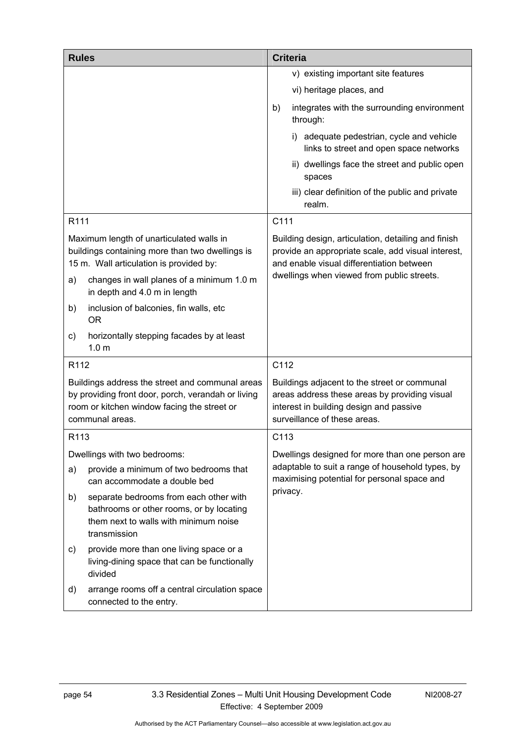| <b>Rules</b>     |                                                                                                                                                                                     |          | <b>Criteria</b>                                                                                                                                                                                      |
|------------------|-------------------------------------------------------------------------------------------------------------------------------------------------------------------------------------|----------|------------------------------------------------------------------------------------------------------------------------------------------------------------------------------------------------------|
|                  |                                                                                                                                                                                     |          | v) existing important site features                                                                                                                                                                  |
|                  |                                                                                                                                                                                     |          | vi) heritage places, and                                                                                                                                                                             |
|                  |                                                                                                                                                                                     | b)       | integrates with the surrounding environment<br>through:                                                                                                                                              |
|                  |                                                                                                                                                                                     |          | i) adequate pedestrian, cycle and vehicle<br>links to street and open space networks                                                                                                                 |
|                  |                                                                                                                                                                                     |          | ii) dwellings face the street and public open<br>spaces                                                                                                                                              |
|                  |                                                                                                                                                                                     |          | iii) clear definition of the public and private<br>realm.                                                                                                                                            |
| R111             |                                                                                                                                                                                     | C111     |                                                                                                                                                                                                      |
| a)               | Maximum length of unarticulated walls in<br>buildings containing more than two dwellings is<br>15 m. Wall articulation is provided by:<br>changes in wall planes of a minimum 1.0 m |          | Building design, articulation, detailing and finish<br>provide an appropriate scale, add visual interest,<br>and enable visual differentiation between<br>dwellings when viewed from public streets. |
|                  | in depth and 4.0 m in length                                                                                                                                                        |          |                                                                                                                                                                                                      |
| b)               | inclusion of balconies, fin walls, etc<br><b>OR</b>                                                                                                                                 |          |                                                                                                                                                                                                      |
| C)               | horizontally stepping facades by at least<br>1.0 <sub>m</sub>                                                                                                                       |          |                                                                                                                                                                                                      |
| R112             |                                                                                                                                                                                     | C112     |                                                                                                                                                                                                      |
|                  | Buildings address the street and communal areas<br>by providing front door, porch, verandah or living<br>room or kitchen window facing the street or<br>communal areas.             |          | Buildings adjacent to the street or communal<br>areas address these areas by providing visual<br>interest in building design and passive<br>surveillance of these areas.                             |
| R <sub>113</sub> |                                                                                                                                                                                     | C113     |                                                                                                                                                                                                      |
|                  | Dwellings with two bedrooms:                                                                                                                                                        |          | Dwellings designed for more than one person are                                                                                                                                                      |
| a)               | provide a minimum of two bedrooms that<br>can accommodate a double bed                                                                                                              |          | adaptable to suit a range of household types, by<br>maximising potential for personal space and                                                                                                      |
| b)               | separate bedrooms from each other with<br>bathrooms or other rooms, or by locating<br>them next to walls with minimum noise<br>transmission                                         | privacy. |                                                                                                                                                                                                      |
| C)               | provide more than one living space or a<br>living-dining space that can be functionally<br>divided                                                                                  |          |                                                                                                                                                                                                      |
| d)               | arrange rooms off a central circulation space<br>connected to the entry.                                                                                                            |          |                                                                                                                                                                                                      |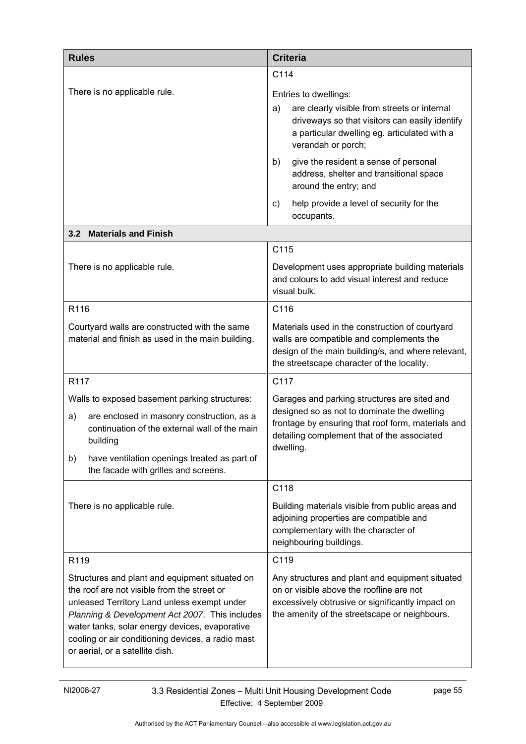| <b>Rules</b>                                                                                                                                                                                                                                                                                                                             | <b>Criteria</b>                                                                                                                                                                                               |  |
|------------------------------------------------------------------------------------------------------------------------------------------------------------------------------------------------------------------------------------------------------------------------------------------------------------------------------------------|---------------------------------------------------------------------------------------------------------------------------------------------------------------------------------------------------------------|--|
|                                                                                                                                                                                                                                                                                                                                          | C114                                                                                                                                                                                                          |  |
| There is no applicable rule.                                                                                                                                                                                                                                                                                                             | Entries to dwellings:<br>are clearly visible from streets or internal<br>a)<br>driveways so that visitors can easily identify<br>a particular dwelling eg. articulated with a<br>verandah or porch;           |  |
|                                                                                                                                                                                                                                                                                                                                          | give the resident a sense of personal<br>b)<br>address, shelter and transitional space<br>around the entry; and                                                                                               |  |
|                                                                                                                                                                                                                                                                                                                                          | help provide a level of security for the<br>C)<br>occupants.                                                                                                                                                  |  |
| 3.2 Materials and Finish                                                                                                                                                                                                                                                                                                                 |                                                                                                                                                                                                               |  |
|                                                                                                                                                                                                                                                                                                                                          | C115                                                                                                                                                                                                          |  |
| There is no applicable rule.                                                                                                                                                                                                                                                                                                             | Development uses appropriate building materials<br>and colours to add visual interest and reduce<br>visual bulk.                                                                                              |  |
| R116                                                                                                                                                                                                                                                                                                                                     | C116                                                                                                                                                                                                          |  |
| Courtyard walls are constructed with the same<br>material and finish as used in the main building.                                                                                                                                                                                                                                       | Materials used in the construction of courtyard<br>walls are compatible and complements the<br>design of the main building/s, and where relevant,<br>the streetscape character of the locality.               |  |
| R117                                                                                                                                                                                                                                                                                                                                     | C117                                                                                                                                                                                                          |  |
| Walls to exposed basement parking structures:<br>are enclosed in masonry construction, as a<br>a)<br>continuation of the external wall of the main<br>building<br>have ventilation openings treated as part of<br>b)<br>the facade with grilles and screens.                                                                             | Garages and parking structures are sited and<br>designed so as not to dominate the dwelling<br>frontage by ensuring that roof form, materials and<br>detailing complement that of the associated<br>dwelling. |  |
|                                                                                                                                                                                                                                                                                                                                          | C118                                                                                                                                                                                                          |  |
| There is no applicable rule.                                                                                                                                                                                                                                                                                                             | Building materials visible from public areas and<br>adjoining properties are compatible and<br>complementary with the character of<br>neighbouring buildings.                                                 |  |
| R119                                                                                                                                                                                                                                                                                                                                     | C119                                                                                                                                                                                                          |  |
| Structures and plant and equipment situated on<br>the roof are not visible from the street or<br>unleased Territory Land unless exempt under<br>Planning & Development Act 2007. This includes<br>water tanks, solar energy devices, evaporative<br>cooling or air conditioning devices, a radio mast<br>or aerial, or a satellite dish. | Any structures and plant and equipment situated<br>on or visible above the roofline are not<br>excessively obtrusive or significantly impact on<br>the amenity of the streetscape or neighbours.              |  |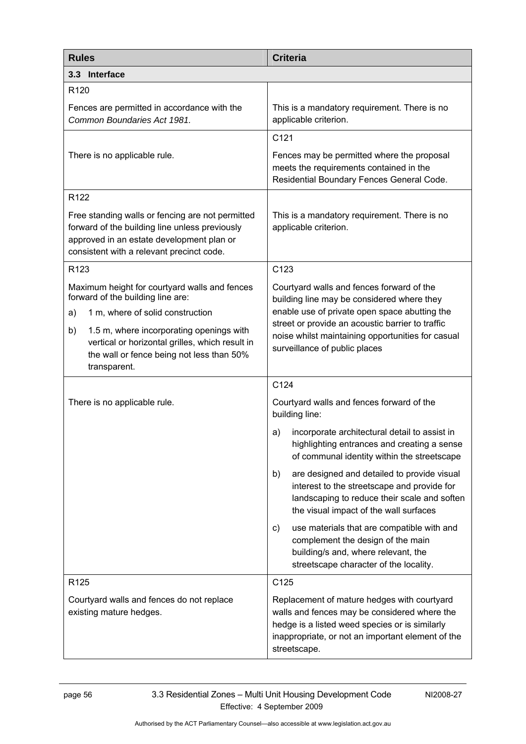| <b>Rules</b>                                                                                                                                                                                                                                                                                   | <b>Criteria</b>                                                                                                                                                                                                                                                                    |  |
|------------------------------------------------------------------------------------------------------------------------------------------------------------------------------------------------------------------------------------------------------------------------------------------------|------------------------------------------------------------------------------------------------------------------------------------------------------------------------------------------------------------------------------------------------------------------------------------|--|
| 3.3 Interface                                                                                                                                                                                                                                                                                  |                                                                                                                                                                                                                                                                                    |  |
| R <sub>120</sub>                                                                                                                                                                                                                                                                               |                                                                                                                                                                                                                                                                                    |  |
| Fences are permitted in accordance with the<br>Common Boundaries Act 1981.                                                                                                                                                                                                                     | This is a mandatory requirement. There is no<br>applicable criterion.                                                                                                                                                                                                              |  |
|                                                                                                                                                                                                                                                                                                | C121                                                                                                                                                                                                                                                                               |  |
| There is no applicable rule.                                                                                                                                                                                                                                                                   | Fences may be permitted where the proposal<br>meets the requirements contained in the<br>Residential Boundary Fences General Code.                                                                                                                                                 |  |
| R <sub>122</sub>                                                                                                                                                                                                                                                                               |                                                                                                                                                                                                                                                                                    |  |
| Free standing walls or fencing are not permitted<br>forward of the building line unless previously<br>approved in an estate development plan or<br>consistent with a relevant precinct code.                                                                                                   | This is a mandatory requirement. There is no<br>applicable criterion.                                                                                                                                                                                                              |  |
| R <sub>123</sub>                                                                                                                                                                                                                                                                               | C123                                                                                                                                                                                                                                                                               |  |
| Maximum height for courtyard walls and fences<br>forward of the building line are:<br>1 m, where of solid construction<br>a)<br>1.5 m, where incorporating openings with<br>b)<br>vertical or horizontal grilles, which result in<br>the wall or fence being not less than 50%<br>transparent. | Courtyard walls and fences forward of the<br>building line may be considered where they<br>enable use of private open space abutting the<br>street or provide an acoustic barrier to traffic<br>noise whilst maintaining opportunities for casual<br>surveillance of public places |  |
|                                                                                                                                                                                                                                                                                                | C124                                                                                                                                                                                                                                                                               |  |
| There is no applicable rule.                                                                                                                                                                                                                                                                   | Courtyard walls and fences forward of the<br>building line:                                                                                                                                                                                                                        |  |
|                                                                                                                                                                                                                                                                                                | incorporate architectural detail to assist in<br>a)<br>highlighting entrances and creating a sense<br>of communal identity within the streetscape                                                                                                                                  |  |
|                                                                                                                                                                                                                                                                                                | are designed and detailed to provide visual<br>b)<br>interest to the streetscape and provide for<br>landscaping to reduce their scale and soften<br>the visual impact of the wall surfaces                                                                                         |  |
|                                                                                                                                                                                                                                                                                                | use materials that are compatible with and<br>C)<br>complement the design of the main<br>building/s and, where relevant, the<br>streetscape character of the locality.                                                                                                             |  |
| R <sub>125</sub>                                                                                                                                                                                                                                                                               | C125                                                                                                                                                                                                                                                                               |  |
| Courtyard walls and fences do not replace<br>existing mature hedges.                                                                                                                                                                                                                           | Replacement of mature hedges with courtyard<br>walls and fences may be considered where the<br>hedge is a listed weed species or is similarly<br>inappropriate, or not an important element of the<br>streetscape.                                                                 |  |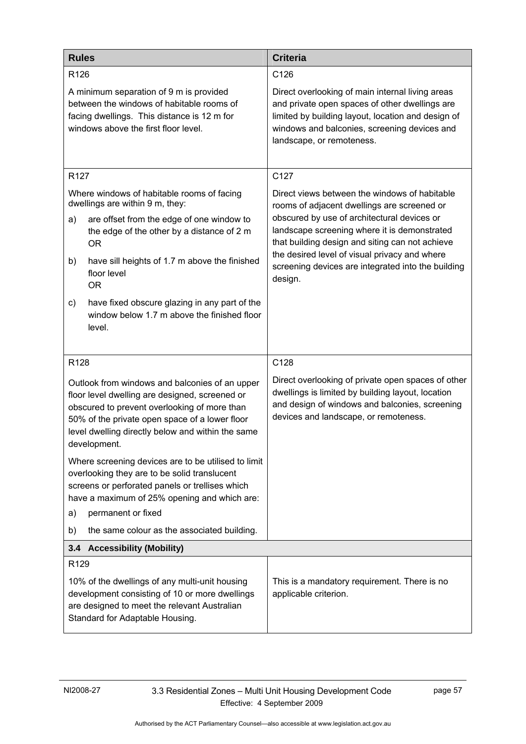| <b>Rules</b>                                                                                                                                                                                                                                                            | <b>Criteria</b>                                                                                                                                                                                                                       |
|-------------------------------------------------------------------------------------------------------------------------------------------------------------------------------------------------------------------------------------------------------------------------|---------------------------------------------------------------------------------------------------------------------------------------------------------------------------------------------------------------------------------------|
| R126                                                                                                                                                                                                                                                                    | C126                                                                                                                                                                                                                                  |
| A minimum separation of 9 m is provided<br>between the windows of habitable rooms of<br>facing dwellings. This distance is 12 m for<br>windows above the first floor level.                                                                                             | Direct overlooking of main internal living areas<br>and private open spaces of other dwellings are<br>limited by building layout, location and design of<br>windows and balconies, screening devices and<br>landscape, or remoteness. |
| R <sub>127</sub>                                                                                                                                                                                                                                                        | C127                                                                                                                                                                                                                                  |
| Where windows of habitable rooms of facing<br>dwellings are within 9 m, they:                                                                                                                                                                                           | Direct views between the windows of habitable<br>rooms of adjacent dwellings are screened or                                                                                                                                          |
| are offset from the edge of one window to<br>a)<br>the edge of the other by a distance of 2 m<br><b>OR</b>                                                                                                                                                              | obscured by use of architectural devices or<br>landscape screening where it is demonstrated<br>that building design and siting can not achieve                                                                                        |
| have sill heights of 1.7 m above the finished<br>b)<br>floor level<br><b>OR</b>                                                                                                                                                                                         | the desired level of visual privacy and where<br>screening devices are integrated into the building<br>design.                                                                                                                        |
| have fixed obscure glazing in any part of the<br>c)<br>window below 1.7 m above the finished floor<br>level.                                                                                                                                                            |                                                                                                                                                                                                                                       |
| R128                                                                                                                                                                                                                                                                    | C128                                                                                                                                                                                                                                  |
| Outlook from windows and balconies of an upper<br>floor level dwelling are designed, screened or<br>obscured to prevent overlooking of more than<br>50% of the private open space of a lower floor<br>level dwelling directly below and within the same<br>development. | Direct overlooking of private open spaces of other<br>dwellings is limited by building layout, location<br>and design of windows and balconies, screening<br>devices and landscape, or remoteness.                                    |
| Where screening devices are to be utilised to limit<br>overlooking they are to be solid translucent<br>screens or perforated panels or trellises which<br>have a maximum of 25% opening and which are:<br>permanent or fixed<br>a)                                      |                                                                                                                                                                                                                                       |
| the same colour as the associated building.<br>b)                                                                                                                                                                                                                       |                                                                                                                                                                                                                                       |
| 3.4 Accessibility (Mobility)                                                                                                                                                                                                                                            |                                                                                                                                                                                                                                       |
| R <sub>129</sub>                                                                                                                                                                                                                                                        |                                                                                                                                                                                                                                       |
| 10% of the dwellings of any multi-unit housing<br>development consisting of 10 or more dwellings<br>are designed to meet the relevant Australian<br>Standard for Adaptable Housing.                                                                                     | This is a mandatory requirement. There is no<br>applicable criterion.                                                                                                                                                                 |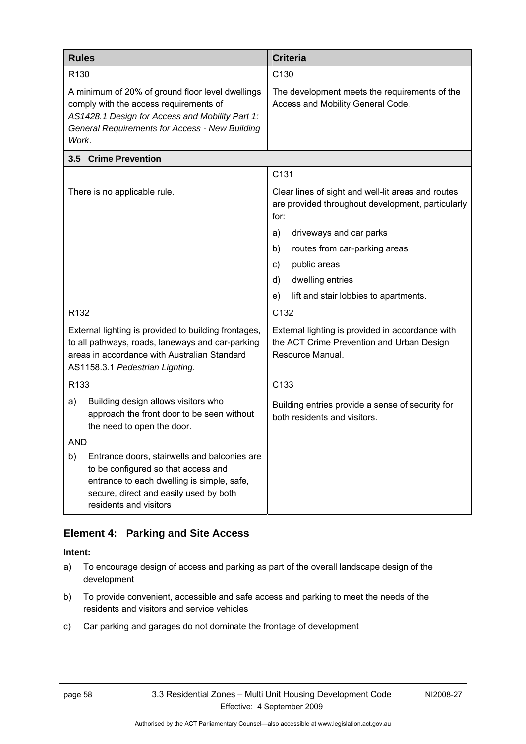| <b>Rules</b>                 |                                                                                                                                                                                                        | <b>Criteria</b>                                                                                                   |  |
|------------------------------|--------------------------------------------------------------------------------------------------------------------------------------------------------------------------------------------------------|-------------------------------------------------------------------------------------------------------------------|--|
| R <sub>130</sub>             |                                                                                                                                                                                                        | C130                                                                                                              |  |
| Work.                        | A minimum of 20% of ground floor level dwellings<br>comply with the access requirements of<br>AS1428.1 Design for Access and Mobility Part 1:<br><b>General Requirements for Access - New Building</b> | The development meets the requirements of the<br>Access and Mobility General Code.                                |  |
|                              | 3.5 Crime Prevention                                                                                                                                                                                   |                                                                                                                   |  |
|                              |                                                                                                                                                                                                        | C131                                                                                                              |  |
| There is no applicable rule. |                                                                                                                                                                                                        | Clear lines of sight and well-lit areas and routes<br>are provided throughout development, particularly<br>for:   |  |
|                              |                                                                                                                                                                                                        | driveways and car parks<br>a)                                                                                     |  |
|                              |                                                                                                                                                                                                        | b)<br>routes from car-parking areas                                                                               |  |
|                              |                                                                                                                                                                                                        | public areas<br>C)                                                                                                |  |
|                              |                                                                                                                                                                                                        | dwelling entries<br>d)                                                                                            |  |
|                              |                                                                                                                                                                                                        | lift and stair lobbies to apartments.<br>e)                                                                       |  |
| R <sub>132</sub>             |                                                                                                                                                                                                        | C132                                                                                                              |  |
|                              | External lighting is provided to building frontages,<br>to all pathways, roads, laneways and car-parking<br>areas in accordance with Australian Standard<br>AS1158.3.1 Pedestrian Lighting.            | External lighting is provided in accordance with<br>the ACT Crime Prevention and Urban Design<br>Resource Manual. |  |
| R133                         |                                                                                                                                                                                                        | C133                                                                                                              |  |
| a)                           | Building design allows visitors who<br>approach the front door to be seen without<br>the need to open the door.                                                                                        | Building entries provide a sense of security for<br>both residents and visitors.                                  |  |
| <b>AND</b>                   |                                                                                                                                                                                                        |                                                                                                                   |  |
| b)                           | Entrance doors, stairwells and balconies are<br>to be configured so that access and<br>entrance to each dwelling is simple, safe,<br>secure, direct and easily used by both<br>residents and visitors  |                                                                                                                   |  |

## **Element 4: Parking and Site Access**

- a) To encourage design of access and parking as part of the overall landscape design of the development
- b) To provide convenient, accessible and safe access and parking to meet the needs of the residents and visitors and service vehicles
- c) Car parking and garages do not dominate the frontage of development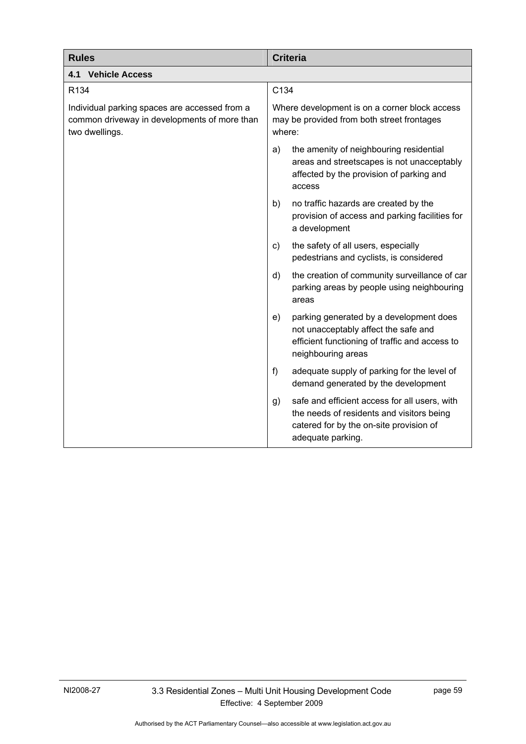| <b>Rules</b>                                                                                                    | <b>Criteria</b>                                                                                                                                                  |  |
|-----------------------------------------------------------------------------------------------------------------|------------------------------------------------------------------------------------------------------------------------------------------------------------------|--|
| <b>4.1 Vehicle Access</b>                                                                                       |                                                                                                                                                                  |  |
| R <sub>134</sub>                                                                                                | C134                                                                                                                                                             |  |
| Individual parking spaces are accessed from a<br>common driveway in developments of more than<br>two dwellings. | Where development is on a corner block access<br>may be provided from both street frontages<br>where:                                                            |  |
|                                                                                                                 | the amenity of neighbouring residential<br>a)<br>areas and streetscapes is not unacceptably<br>affected by the provision of parking and<br>access                |  |
|                                                                                                                 | no traffic hazards are created by the<br>b)<br>provision of access and parking facilities for<br>a development                                                   |  |
|                                                                                                                 | the safety of all users, especially<br>C)<br>pedestrians and cyclists, is considered                                                                             |  |
|                                                                                                                 | the creation of community surveillance of car<br>d)<br>parking areas by people using neighbouring<br>areas                                                       |  |
|                                                                                                                 | parking generated by a development does<br>e)<br>not unacceptably affect the safe and<br>efficient functioning of traffic and access to<br>neighbouring areas    |  |
|                                                                                                                 | $f$ )<br>adequate supply of parking for the level of<br>demand generated by the development                                                                      |  |
|                                                                                                                 | safe and efficient access for all users, with<br>g)<br>the needs of residents and visitors being<br>catered for by the on-site provision of<br>adequate parking. |  |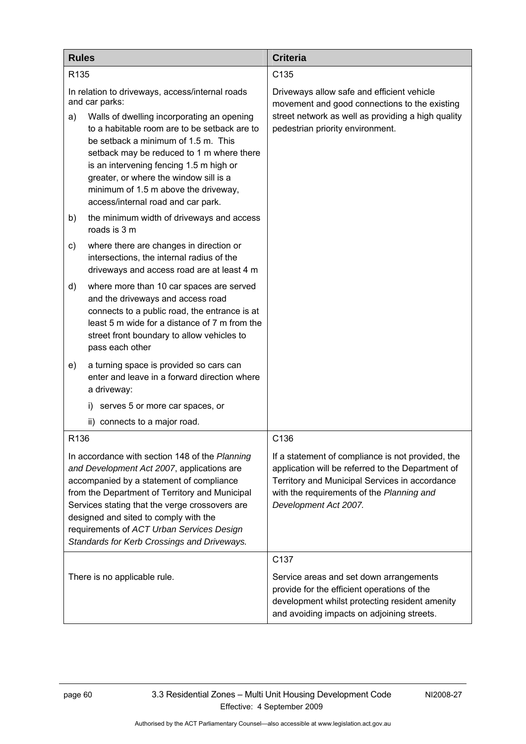| <b>Rules</b>                                                                                                                                                                                                                                                                                                                                                                      | <b>Criteria</b>                                                                                                                                                                                                                |  |
|-----------------------------------------------------------------------------------------------------------------------------------------------------------------------------------------------------------------------------------------------------------------------------------------------------------------------------------------------------------------------------------|--------------------------------------------------------------------------------------------------------------------------------------------------------------------------------------------------------------------------------|--|
| R <sub>135</sub>                                                                                                                                                                                                                                                                                                                                                                  | C135                                                                                                                                                                                                                           |  |
| In relation to driveways, access/internal roads<br>and car parks:                                                                                                                                                                                                                                                                                                                 | Driveways allow safe and efficient vehicle<br>movement and good connections to the existing                                                                                                                                    |  |
| Walls of dwelling incorporating an opening<br>a)<br>to a habitable room are to be setback are to<br>be setback a minimum of 1.5 m. This<br>setback may be reduced to 1 m where there<br>is an intervening fencing 1.5 m high or<br>greater, or where the window sill is a<br>minimum of 1.5 m above the driveway,<br>access/internal road and car park.                           | street network as well as providing a high quality<br>pedestrian priority environment.                                                                                                                                         |  |
| the minimum width of driveways and access<br>b)<br>roads is 3 m                                                                                                                                                                                                                                                                                                                   |                                                                                                                                                                                                                                |  |
| where there are changes in direction or<br>C)<br>intersections, the internal radius of the<br>driveways and access road are at least 4 m                                                                                                                                                                                                                                          |                                                                                                                                                                                                                                |  |
| where more than 10 car spaces are served<br>d)<br>and the driveways and access road<br>connects to a public road, the entrance is at<br>least 5 m wide for a distance of 7 m from the<br>street front boundary to allow vehicles to<br>pass each other                                                                                                                            |                                                                                                                                                                                                                                |  |
| a turning space is provided so cars can<br>e)<br>enter and leave in a forward direction where<br>a driveway:                                                                                                                                                                                                                                                                      |                                                                                                                                                                                                                                |  |
| serves 5 or more car spaces, or<br>i)                                                                                                                                                                                                                                                                                                                                             |                                                                                                                                                                                                                                |  |
| ii)<br>connects to a major road.                                                                                                                                                                                                                                                                                                                                                  |                                                                                                                                                                                                                                |  |
| R <sub>136</sub>                                                                                                                                                                                                                                                                                                                                                                  | C136                                                                                                                                                                                                                           |  |
| In accordance with section 148 of the Planning<br>and Development Act 2007, applications are<br>accompanied by a statement of compliance<br>from the Department of Territory and Municipal<br>Services stating that the verge crossovers are<br>designed and sited to comply with the<br>requirements of ACT Urban Services Design<br>Standards for Kerb Crossings and Driveways. | If a statement of compliance is not provided, the<br>application will be referred to the Department of<br>Territory and Municipal Services in accordance<br>with the requirements of the Planning and<br>Development Act 2007. |  |
| There is no applicable rule.                                                                                                                                                                                                                                                                                                                                                      | C <sub>137</sub><br>Service areas and set down arrangements<br>provide for the efficient operations of the<br>development whilst protecting resident amenity<br>and avoiding impacts on adjoining streets.                     |  |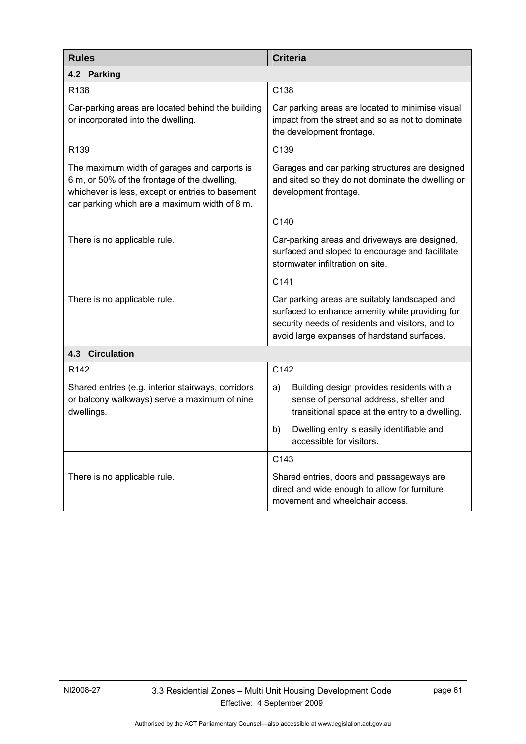| <b>Rules</b>                                                                                                                                                                                      | <b>Criteria</b>                                                                                                                                                                                     |  |  |
|---------------------------------------------------------------------------------------------------------------------------------------------------------------------------------------------------|-----------------------------------------------------------------------------------------------------------------------------------------------------------------------------------------------------|--|--|
| 4.2 Parking                                                                                                                                                                                       |                                                                                                                                                                                                     |  |  |
| R138                                                                                                                                                                                              | C138                                                                                                                                                                                                |  |  |
| Car-parking areas are located behind the building<br>or incorporated into the dwelling.                                                                                                           | Car parking areas are located to minimise visual<br>impact from the street and so as not to dominate<br>the development frontage.                                                                   |  |  |
| R139                                                                                                                                                                                              | C139                                                                                                                                                                                                |  |  |
| The maximum width of garages and carports is<br>6 m, or 50% of the frontage of the dwelling,<br>whichever is less, except or entries to basement<br>car parking which are a maximum width of 8 m. | Garages and car parking structures are designed<br>and sited so they do not dominate the dwelling or<br>development frontage.                                                                       |  |  |
|                                                                                                                                                                                                   | C140                                                                                                                                                                                                |  |  |
| There is no applicable rule.                                                                                                                                                                      | Car-parking areas and driveways are designed,<br>surfaced and sloped to encourage and facilitate<br>stormwater infiltration on site.                                                                |  |  |
|                                                                                                                                                                                                   | C141                                                                                                                                                                                                |  |  |
| There is no applicable rule.                                                                                                                                                                      | Car parking areas are suitably landscaped and<br>surfaced to enhance amenity while providing for<br>security needs of residents and visitors, and to<br>avoid large expanses of hardstand surfaces. |  |  |
| <b>4.3 Circulation</b>                                                                                                                                                                            |                                                                                                                                                                                                     |  |  |
| R <sub>142</sub>                                                                                                                                                                                  | C142                                                                                                                                                                                                |  |  |
| Shared entries (e.g. interior stairways, corridors<br>or balcony walkways) serve a maximum of nine<br>dwellings.                                                                                  | Building design provides residents with a<br>a)<br>sense of personal address, shelter and<br>transitional space at the entry to a dwelling.                                                         |  |  |
|                                                                                                                                                                                                   | Dwelling entry is easily identifiable and<br>b)<br>accessible for visitors.                                                                                                                         |  |  |
|                                                                                                                                                                                                   | C143                                                                                                                                                                                                |  |  |
| There is no applicable rule.                                                                                                                                                                      | Shared entries, doors and passageways are<br>direct and wide enough to allow for furniture<br>movement and wheelchair access.                                                                       |  |  |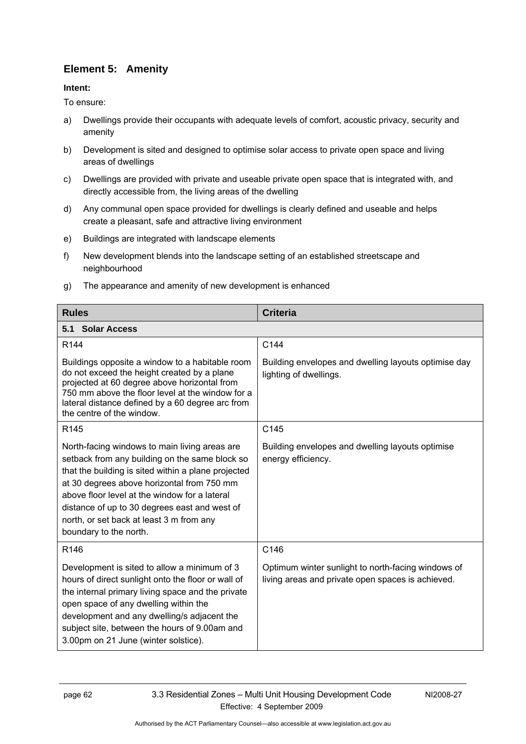# **Element 5: Amenity**

#### **Intent:**

To ensure:

- a) Dwellings provide their occupants with adequate levels of comfort, acoustic privacy, security and amenity
- b) Development is sited and designed to optimise solar access to private open space and living areas of dwellings
- c) Dwellings are provided with private and useable private open space that is integrated with, and directly accessible from, the living areas of the dwelling
- d) Any communal open space provided for dwellings is clearly defined and useable and helps create a pleasant, safe and attractive living environment
- e) Buildings are integrated with landscape elements
- f) New development blends into the landscape setting of an established streetscape and neighbourhood
- g) The appearance and amenity of new development is enhanced

| <b>Rules</b>                                                                                                                                                                                                                                                                                                                                                                 | <b>Criteria</b>                                                                                         |  |
|------------------------------------------------------------------------------------------------------------------------------------------------------------------------------------------------------------------------------------------------------------------------------------------------------------------------------------------------------------------------------|---------------------------------------------------------------------------------------------------------|--|
| 5.1 Solar Access                                                                                                                                                                                                                                                                                                                                                             |                                                                                                         |  |
| R144                                                                                                                                                                                                                                                                                                                                                                         | C144                                                                                                    |  |
| Buildings opposite a window to a habitable room<br>do not exceed the height created by a plane<br>projected at 60 degree above horizontal from<br>750 mm above the floor level at the window for a<br>lateral distance defined by a 60 degree arc from<br>the centre of the window.                                                                                          | Building envelopes and dwelling layouts optimise day<br>lighting of dwellings.                          |  |
| R <sub>145</sub>                                                                                                                                                                                                                                                                                                                                                             | C145                                                                                                    |  |
| North-facing windows to main living areas are<br>setback from any building on the same block so<br>that the building is sited within a plane projected<br>at 30 degrees above horizontal from 750 mm<br>above floor level at the window for a lateral<br>distance of up to 30 degrees east and west of<br>north, or set back at least 3 m from any<br>boundary to the north. | Building envelopes and dwelling layouts optimise<br>energy efficiency.                                  |  |
| R146                                                                                                                                                                                                                                                                                                                                                                         | C146                                                                                                    |  |
| Development is sited to allow a minimum of 3<br>hours of direct sunlight onto the floor or wall of<br>the internal primary living space and the private<br>open space of any dwelling within the<br>development and any dwelling/s adjacent the<br>subject site, between the hours of 9.00am and<br>3.00pm on 21 June (winter solstice).                                     | Optimum winter sunlight to north-facing windows of<br>living areas and private open spaces is achieved. |  |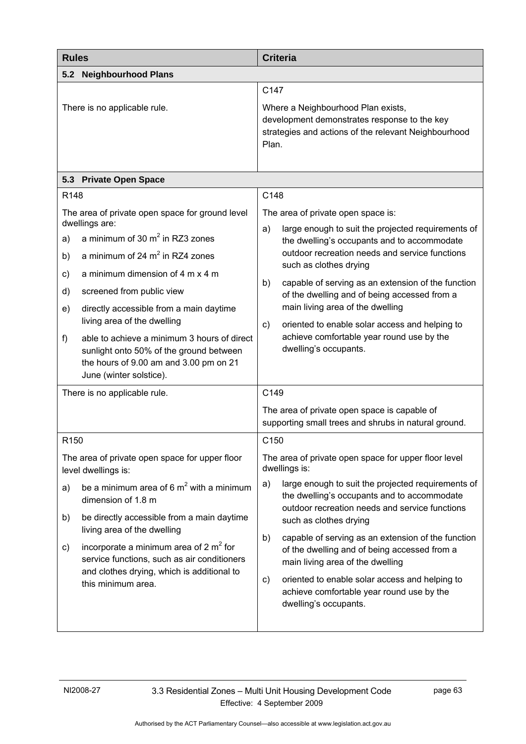| <b>Rules</b>                     |                                                                                                                                                                                                                                                                                                                                                                                                                                                       | <b>Criteria</b>                                                                                                                                             |                                                                                                                                                                                                                                                                                                                                                                                                                                                                                       |
|----------------------------------|-------------------------------------------------------------------------------------------------------------------------------------------------------------------------------------------------------------------------------------------------------------------------------------------------------------------------------------------------------------------------------------------------------------------------------------------------------|-------------------------------------------------------------------------------------------------------------------------------------------------------------|---------------------------------------------------------------------------------------------------------------------------------------------------------------------------------------------------------------------------------------------------------------------------------------------------------------------------------------------------------------------------------------------------------------------------------------------------------------------------------------|
| 5.2                              | <b>Neighbourhood Plans</b>                                                                                                                                                                                                                                                                                                                                                                                                                            |                                                                                                                                                             |                                                                                                                                                                                                                                                                                                                                                                                                                                                                                       |
|                                  | There is no applicable rule.                                                                                                                                                                                                                                                                                                                                                                                                                          | C147<br>Where a Neighbourhood Plan exists,<br>development demonstrates response to the key<br>strategies and actions of the relevant Neighbourhood<br>Plan. |                                                                                                                                                                                                                                                                                                                                                                                                                                                                                       |
|                                  | 5.3 Private Open Space                                                                                                                                                                                                                                                                                                                                                                                                                                |                                                                                                                                                             |                                                                                                                                                                                                                                                                                                                                                                                                                                                                                       |
| R148                             |                                                                                                                                                                                                                                                                                                                                                                                                                                                       | C148                                                                                                                                                        |                                                                                                                                                                                                                                                                                                                                                                                                                                                                                       |
| a)<br>b)<br>c)<br>d)<br>e)<br>f) | The area of private open space for ground level<br>dwellings are:<br>a minimum of 30 $m2$ in RZ3 zones<br>a minimum of 24 $m2$ in RZ4 zones<br>a minimum dimension of 4 m x 4 m<br>screened from public view<br>directly accessible from a main daytime<br>living area of the dwelling<br>able to achieve a minimum 3 hours of direct<br>sunlight onto 50% of the ground between<br>the hours of 9.00 am and 3.00 pm on 21<br>June (winter solstice). | a)<br>b)<br>C)                                                                                                                                              | The area of private open space is:<br>large enough to suit the projected requirements of<br>the dwelling's occupants and to accommodate<br>outdoor recreation needs and service functions<br>such as clothes drying<br>capable of serving as an extension of the function<br>of the dwelling and of being accessed from a<br>main living area of the dwelling<br>oriented to enable solar access and helping to<br>achieve comfortable year round use by the<br>dwelling's occupants. |
| There is no applicable rule.     |                                                                                                                                                                                                                                                                                                                                                                                                                                                       | C149                                                                                                                                                        |                                                                                                                                                                                                                                                                                                                                                                                                                                                                                       |
|                                  |                                                                                                                                                                                                                                                                                                                                                                                                                                                       |                                                                                                                                                             | The area of private open space is capable of<br>supporting small trees and shrubs in natural ground.                                                                                                                                                                                                                                                                                                                                                                                  |
| R <sub>150</sub>                 |                                                                                                                                                                                                                                                                                                                                                                                                                                                       | C150                                                                                                                                                        |                                                                                                                                                                                                                                                                                                                                                                                                                                                                                       |
|                                  | The area of private open space for upper floor<br>level dwellings is:                                                                                                                                                                                                                                                                                                                                                                                 |                                                                                                                                                             | The area of private open space for upper floor level<br>dwellings is:                                                                                                                                                                                                                                                                                                                                                                                                                 |
| a)<br>b)                         | be a minimum area of 6 $m2$ with a minimum<br>dimension of 1.8 m<br>be directly accessible from a main daytime<br>living area of the dwelling                                                                                                                                                                                                                                                                                                         | a)                                                                                                                                                          | large enough to suit the projected requirements of<br>the dwelling's occupants and to accommodate<br>outdoor recreation needs and service functions<br>such as clothes drying                                                                                                                                                                                                                                                                                                         |
| C)                               | incorporate a minimum area of 2 $m2$ for<br>service functions, such as air conditioners<br>and clothes drying, which is additional to<br>this minimum area.                                                                                                                                                                                                                                                                                           | b)<br>c)                                                                                                                                                    | capable of serving as an extension of the function<br>of the dwelling and of being accessed from a<br>main living area of the dwelling<br>oriented to enable solar access and helping to<br>achieve comfortable year round use by the<br>dwelling's occupants.                                                                                                                                                                                                                        |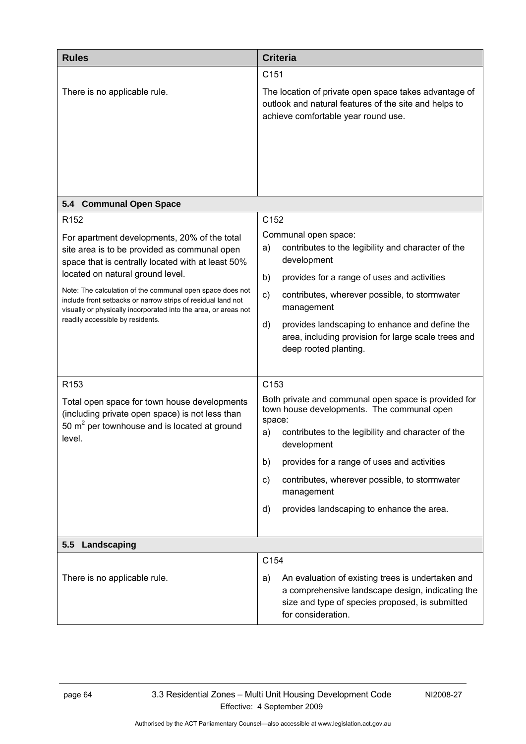| <b>Rules</b>                                                                                                                                                                                                                                                                                                                                                                                                                                  | <b>Criteria</b>                                                                                                                                                                                                                                                                                                                                                                      |
|-----------------------------------------------------------------------------------------------------------------------------------------------------------------------------------------------------------------------------------------------------------------------------------------------------------------------------------------------------------------------------------------------------------------------------------------------|--------------------------------------------------------------------------------------------------------------------------------------------------------------------------------------------------------------------------------------------------------------------------------------------------------------------------------------------------------------------------------------|
| There is no applicable rule.                                                                                                                                                                                                                                                                                                                                                                                                                  | C151<br>The location of private open space takes advantage of<br>outlook and natural features of the site and helps to<br>achieve comfortable year round use.                                                                                                                                                                                                                        |
| 5.4 Communal Open Space                                                                                                                                                                                                                                                                                                                                                                                                                       |                                                                                                                                                                                                                                                                                                                                                                                      |
| R <sub>152</sub><br>For apartment developments, 20% of the total<br>site area is to be provided as communal open<br>space that is centrally located with at least 50%<br>located on natural ground level.<br>Note: The calculation of the communal open space does not<br>include front setbacks or narrow strips of residual land not<br>visually or physically incorporated into the area, or areas not<br>readily accessible by residents. | C152<br>Communal open space:<br>contributes to the legibility and character of the<br>a)<br>development<br>b)<br>provides for a range of uses and activities<br>$\mathsf{c})$<br>contributes, wherever possible, to stormwater<br>management<br>provides landscaping to enhance and define the<br>d)<br>area, including provision for large scale trees and<br>deep rooted planting. |
| R <sub>153</sub><br>Total open space for town house developments<br>(including private open space) is not less than<br>50 $m2$ per townhouse and is located at ground<br>level.                                                                                                                                                                                                                                                               | C153<br>Both private and communal open space is provided for<br>town house developments. The communal open<br>space:<br>contributes to the legibility and character of the<br>a)<br>development<br>provides for a range of uses and activities<br>b)<br>contributes, wherever possible, to stormwater<br>C)<br>management<br>provides landscaping to enhance the area.<br>d)         |
| Landscaping<br>5.5                                                                                                                                                                                                                                                                                                                                                                                                                            |                                                                                                                                                                                                                                                                                                                                                                                      |
| There is no applicable rule.                                                                                                                                                                                                                                                                                                                                                                                                                  | C154<br>An evaluation of existing trees is undertaken and<br>a)<br>a comprehensive landscape design, indicating the<br>size and type of species proposed, is submitted<br>for consideration.                                                                                                                                                                                         |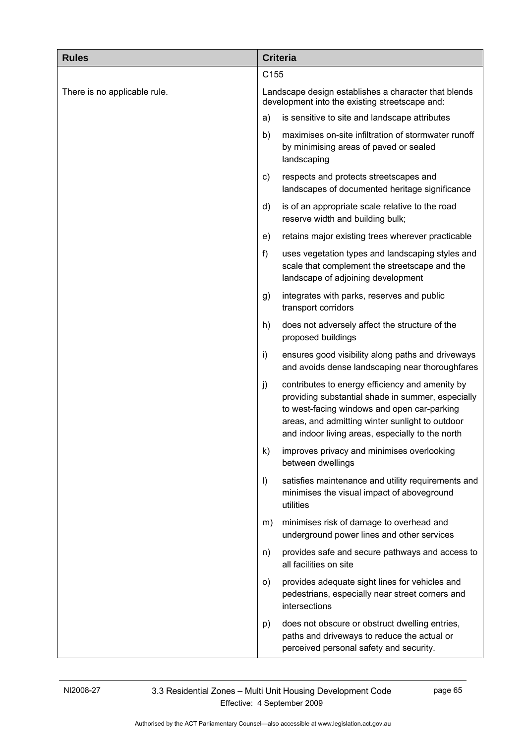| <b>Rules</b>                 |                                                                                                        | <b>Criteria</b>                                                                                                                                                                                                                                            |
|------------------------------|--------------------------------------------------------------------------------------------------------|------------------------------------------------------------------------------------------------------------------------------------------------------------------------------------------------------------------------------------------------------------|
|                              | C155                                                                                                   |                                                                                                                                                                                                                                                            |
| There is no applicable rule. | Landscape design establishes a character that blends<br>development into the existing streetscape and: |                                                                                                                                                                                                                                                            |
|                              | a)                                                                                                     | is sensitive to site and landscape attributes                                                                                                                                                                                                              |
|                              | b)                                                                                                     | maximises on-site infiltration of stormwater runoff<br>by minimising areas of paved or sealed<br>landscaping                                                                                                                                               |
|                              | c)                                                                                                     | respects and protects streetscapes and<br>landscapes of documented heritage significance                                                                                                                                                                   |
|                              | d)                                                                                                     | is of an appropriate scale relative to the road<br>reserve width and building bulk;                                                                                                                                                                        |
|                              | e)                                                                                                     | retains major existing trees wherever practicable                                                                                                                                                                                                          |
|                              | f)                                                                                                     | uses vegetation types and landscaping styles and<br>scale that complement the streetscape and the<br>landscape of adjoining development                                                                                                                    |
|                              | g)                                                                                                     | integrates with parks, reserves and public<br>transport corridors                                                                                                                                                                                          |
|                              | h)                                                                                                     | does not adversely affect the structure of the<br>proposed buildings                                                                                                                                                                                       |
|                              | i)                                                                                                     | ensures good visibility along paths and driveways<br>and avoids dense landscaping near thoroughfares                                                                                                                                                       |
|                              | j)                                                                                                     | contributes to energy efficiency and amenity by<br>providing substantial shade in summer, especially<br>to west-facing windows and open car-parking<br>areas, and admitting winter sunlight to outdoor<br>and indoor living areas, especially to the north |
|                              | k)                                                                                                     | improves privacy and minimises overlooking<br>between dwellings                                                                                                                                                                                            |
|                              | $\vert$                                                                                                | satisfies maintenance and utility requirements and<br>minimises the visual impact of aboveground<br>utilities                                                                                                                                              |
|                              | m)                                                                                                     | minimises risk of damage to overhead and<br>underground power lines and other services                                                                                                                                                                     |
|                              | n)                                                                                                     | provides safe and secure pathways and access to<br>all facilities on site                                                                                                                                                                                  |
|                              | O)                                                                                                     | provides adequate sight lines for vehicles and<br>pedestrians, especially near street corners and<br>intersections                                                                                                                                         |
|                              | p)                                                                                                     | does not obscure or obstruct dwelling entries,<br>paths and driveways to reduce the actual or<br>perceived personal safety and security.                                                                                                                   |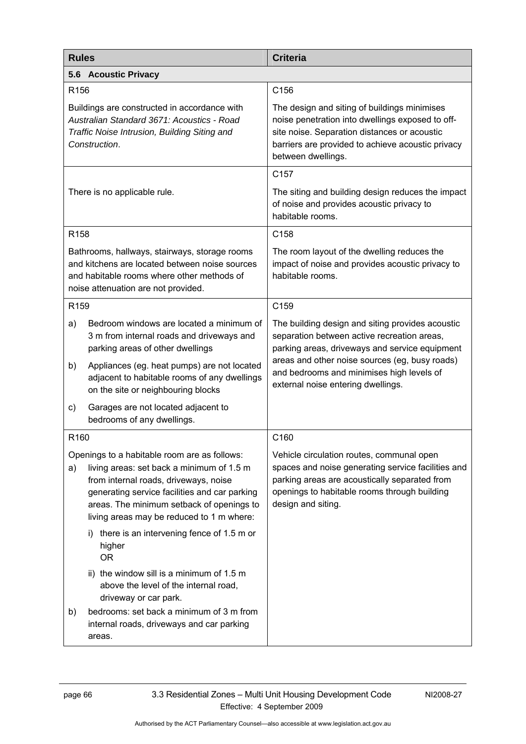| <b>Rules</b>                                                                                                                                                |                                                                                                                                                                                                                                                                               | <b>Criteria</b>                                                                                                                                                                                                             |  |
|-------------------------------------------------------------------------------------------------------------------------------------------------------------|-------------------------------------------------------------------------------------------------------------------------------------------------------------------------------------------------------------------------------------------------------------------------------|-----------------------------------------------------------------------------------------------------------------------------------------------------------------------------------------------------------------------------|--|
| 5.6 Acoustic Privacy                                                                                                                                        |                                                                                                                                                                                                                                                                               |                                                                                                                                                                                                                             |  |
| R <sub>156</sub>                                                                                                                                            |                                                                                                                                                                                                                                                                               | C156                                                                                                                                                                                                                        |  |
| Buildings are constructed in accordance with<br>Australian Standard 3671: Acoustics - Road<br>Traffic Noise Intrusion, Building Siting and<br>Construction. |                                                                                                                                                                                                                                                                               | The design and siting of buildings minimises<br>noise penetration into dwellings exposed to off-<br>site noise. Separation distances or acoustic<br>barriers are provided to achieve acoustic privacy<br>between dwellings. |  |
|                                                                                                                                                             |                                                                                                                                                                                                                                                                               | C <sub>157</sub>                                                                                                                                                                                                            |  |
| There is no applicable rule.                                                                                                                                |                                                                                                                                                                                                                                                                               | The siting and building design reduces the impact<br>of noise and provides acoustic privacy to<br>habitable rooms.                                                                                                          |  |
| R <sub>158</sub>                                                                                                                                            |                                                                                                                                                                                                                                                                               | C <sub>158</sub>                                                                                                                                                                                                            |  |
|                                                                                                                                                             | Bathrooms, hallways, stairways, storage rooms<br>and kitchens are located between noise sources<br>and habitable rooms where other methods of<br>noise attenuation are not provided.                                                                                          | The room layout of the dwelling reduces the<br>impact of noise and provides acoustic privacy to<br>habitable rooms.                                                                                                         |  |
| R <sub>159</sub>                                                                                                                                            |                                                                                                                                                                                                                                                                               | C159                                                                                                                                                                                                                        |  |
| a)                                                                                                                                                          | Bedroom windows are located a minimum of<br>3 m from internal roads and driveways and<br>parking areas of other dwellings                                                                                                                                                     | The building design and siting provides acoustic<br>separation between active recreation areas,<br>parking areas, driveways and service equipment                                                                           |  |
| b)                                                                                                                                                          | Appliances (eg. heat pumps) are not located<br>adjacent to habitable rooms of any dwellings<br>on the site or neighbouring blocks                                                                                                                                             | areas and other noise sources (eg, busy roads)<br>and bedrooms and minimises high levels of<br>external noise entering dwellings.                                                                                           |  |
| C)                                                                                                                                                          | Garages are not located adjacent to<br>bedrooms of any dwellings.                                                                                                                                                                                                             |                                                                                                                                                                                                                             |  |
| R <sub>160</sub>                                                                                                                                            |                                                                                                                                                                                                                                                                               | C160                                                                                                                                                                                                                        |  |
| a)                                                                                                                                                          | Openings to a habitable room are as follows:<br>living areas: set back a minimum of 1.5 m<br>from internal roads, driveways, noise<br>generating service facilities and car parking<br>areas. The minimum setback of openings to<br>living areas may be reduced to 1 m where: | Vehicle circulation routes, communal open<br>spaces and noise generating service facilities and<br>parking areas are acoustically separated from<br>openings to habitable rooms through building<br>design and siting.      |  |
|                                                                                                                                                             | there is an intervening fence of 1.5 m or<br>i)<br>higher<br><b>OR</b>                                                                                                                                                                                                        |                                                                                                                                                                                                                             |  |
|                                                                                                                                                             | ii) the window sill is a minimum of 1.5 m<br>above the level of the internal road,<br>driveway or car park.                                                                                                                                                                   |                                                                                                                                                                                                                             |  |
| b)                                                                                                                                                          | bedrooms: set back a minimum of 3 m from<br>internal roads, driveways and car parking<br>areas.                                                                                                                                                                               |                                                                                                                                                                                                                             |  |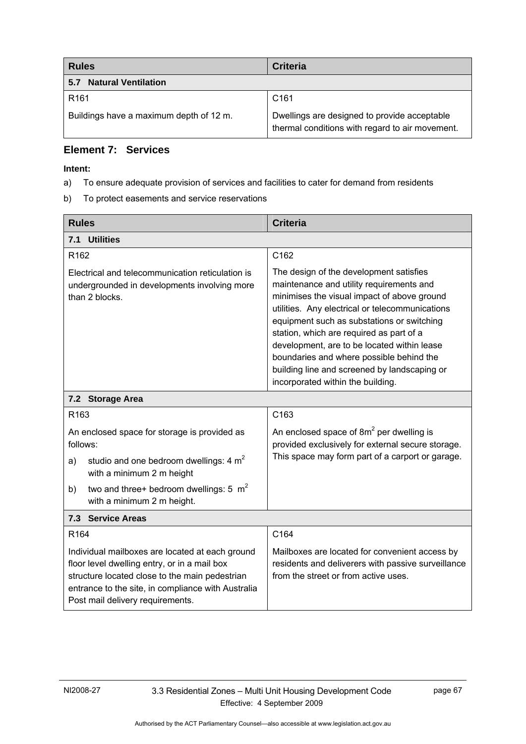| <b>Rules</b>                            | <b>Criteria</b>                                                                                 |
|-----------------------------------------|-------------------------------------------------------------------------------------------------|
| <b>Natural Ventilation</b><br>5.7       |                                                                                                 |
| R <sub>161</sub>                        | C <sub>161</sub>                                                                                |
| Buildings have a maximum depth of 12 m. | Dwellings are designed to provide acceptable<br>thermal conditions with regard to air movement. |

#### **Element 7: Services**

- a) To ensure adequate provision of services and facilities to cater for demand from residents
- b) To protect easements and service reservations

| <b>Rules</b>                                                                                                                                                                                                                                | <b>Criteria</b>                                                                                                                                                                                                                                                                                                                                                                                                                                                 |  |
|---------------------------------------------------------------------------------------------------------------------------------------------------------------------------------------------------------------------------------------------|-----------------------------------------------------------------------------------------------------------------------------------------------------------------------------------------------------------------------------------------------------------------------------------------------------------------------------------------------------------------------------------------------------------------------------------------------------------------|--|
| <b>Utilities</b><br>7.1                                                                                                                                                                                                                     |                                                                                                                                                                                                                                                                                                                                                                                                                                                                 |  |
| R <sub>162</sub>                                                                                                                                                                                                                            | C162                                                                                                                                                                                                                                                                                                                                                                                                                                                            |  |
| Electrical and telecommunication reticulation is<br>undergrounded in developments involving more<br>than 2 blocks.                                                                                                                          | The design of the development satisfies<br>maintenance and utility requirements and<br>minimises the visual impact of above ground<br>utilities. Any electrical or telecommunications<br>equipment such as substations or switching<br>station, which are required as part of a<br>development, are to be located within lease<br>boundaries and where possible behind the<br>building line and screened by landscaping or<br>incorporated within the building. |  |
| 7.2 Storage Area                                                                                                                                                                                                                            |                                                                                                                                                                                                                                                                                                                                                                                                                                                                 |  |
| R <sub>163</sub>                                                                                                                                                                                                                            | C163                                                                                                                                                                                                                                                                                                                                                                                                                                                            |  |
| An enclosed space for storage is provided as<br>follows:                                                                                                                                                                                    | An enclosed space of $8m^2$ per dwelling is<br>provided exclusively for external secure storage.                                                                                                                                                                                                                                                                                                                                                                |  |
| studio and one bedroom dwellings: 4 m <sup>2</sup><br>a)<br>with a minimum 2 m height                                                                                                                                                       | This space may form part of a carport or garage.                                                                                                                                                                                                                                                                                                                                                                                                                |  |
| two and three+ bedroom dwellings: 5 $m2$<br>b)<br>with a minimum 2 m height.                                                                                                                                                                |                                                                                                                                                                                                                                                                                                                                                                                                                                                                 |  |
| 7.3 Service Areas                                                                                                                                                                                                                           |                                                                                                                                                                                                                                                                                                                                                                                                                                                                 |  |
| R <sub>164</sub>                                                                                                                                                                                                                            | C164                                                                                                                                                                                                                                                                                                                                                                                                                                                            |  |
| Individual mailboxes are located at each ground<br>floor level dwelling entry, or in a mail box<br>structure located close to the main pedestrian<br>entrance to the site, in compliance with Australia<br>Post mail delivery requirements. | Mailboxes are located for convenient access by<br>residents and deliverers with passive surveillance<br>from the street or from active uses.                                                                                                                                                                                                                                                                                                                    |  |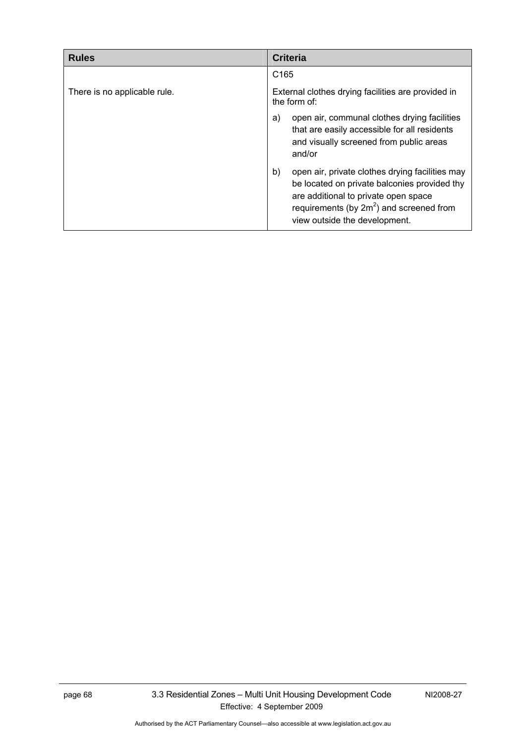| <b>Rules</b>                 | <b>Criteria</b>                                                                                                                                                                                                               |
|------------------------------|-------------------------------------------------------------------------------------------------------------------------------------------------------------------------------------------------------------------------------|
|                              | C <sub>165</sub>                                                                                                                                                                                                              |
| There is no applicable rule. | External clothes drying facilities are provided in<br>the form of:                                                                                                                                                            |
|                              | open air, communal clothes drying facilities<br>a)<br>that are easily accessible for all residents<br>and visually screened from public areas<br>and/or                                                                       |
|                              | b)<br>open air, private clothes drying facilities may<br>be located on private balconies provided thy<br>are additional to private open space<br>requirements (by $2m^2$ ) and screened from<br>view outside the development. |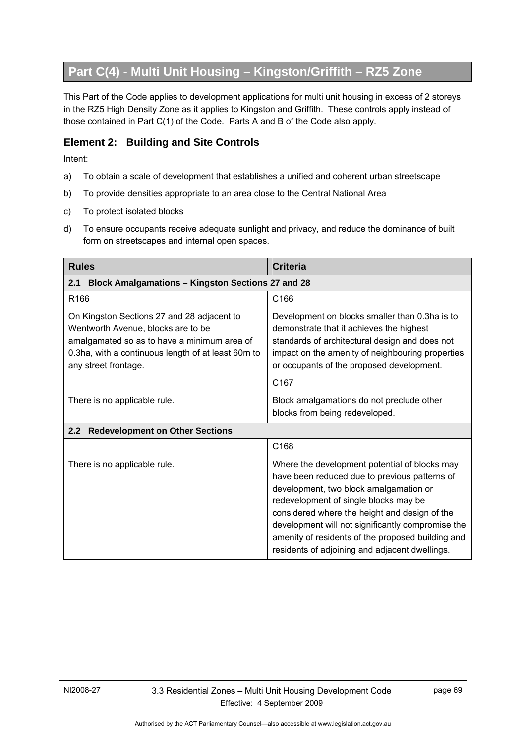# **Part C(4) - Multi Unit Housing – Kingston/Griffith – RZ5 Zone**

This Part of the Code applies to development applications for multi unit housing in excess of 2 storeys in the RZ5 High Density Zone as it applies to Kingston and Griffith. These controls apply instead of those contained in Part C(1) of the Code. Parts A and B of the Code also apply.

#### **Element 2: Building and Site Controls**

- a) To obtain a scale of development that establishes a unified and coherent urban streetscape
- b) To provide densities appropriate to an area close to the Central National Area
- c) To protect isolated blocks
- d) To ensure occupants receive adequate sunlight and privacy, and reduce the dominance of built form on streetscapes and internal open spaces.

| <b>Rules</b>                                                                                                                                                                                                  | <b>Criteria</b>                                                                                                                                                                                                                                                                                                                                                                                |  |
|---------------------------------------------------------------------------------------------------------------------------------------------------------------------------------------------------------------|------------------------------------------------------------------------------------------------------------------------------------------------------------------------------------------------------------------------------------------------------------------------------------------------------------------------------------------------------------------------------------------------|--|
| <b>Block Amalgamations - Kingston Sections 27 and 28</b><br>2.1                                                                                                                                               |                                                                                                                                                                                                                                                                                                                                                                                                |  |
| R <sub>166</sub>                                                                                                                                                                                              | C <sub>166</sub>                                                                                                                                                                                                                                                                                                                                                                               |  |
| On Kingston Sections 27 and 28 adjacent to<br>Wentworth Avenue, blocks are to be<br>amalgamated so as to have a minimum area of<br>0.3ha, with a continuous length of at least 60m to<br>any street frontage. | Development on blocks smaller than 0.3ha is to<br>demonstrate that it achieves the highest<br>standards of architectural design and does not<br>impact on the amenity of neighbouring properties<br>or occupants of the proposed development.                                                                                                                                                  |  |
|                                                                                                                                                                                                               | C167                                                                                                                                                                                                                                                                                                                                                                                           |  |
| There is no applicable rule.                                                                                                                                                                                  | Block amalgamations do not preclude other<br>blocks from being redeveloped.                                                                                                                                                                                                                                                                                                                    |  |
| 2.2<br><b>Redevelopment on Other Sections</b>                                                                                                                                                                 |                                                                                                                                                                                                                                                                                                                                                                                                |  |
|                                                                                                                                                                                                               | C168                                                                                                                                                                                                                                                                                                                                                                                           |  |
| There is no applicable rule.                                                                                                                                                                                  | Where the development potential of blocks may<br>have been reduced due to previous patterns of<br>development, two block amalgamation or<br>redevelopment of single blocks may be<br>considered where the height and design of the<br>development will not significantly compromise the<br>amenity of residents of the proposed building and<br>residents of adjoining and adjacent dwellings. |  |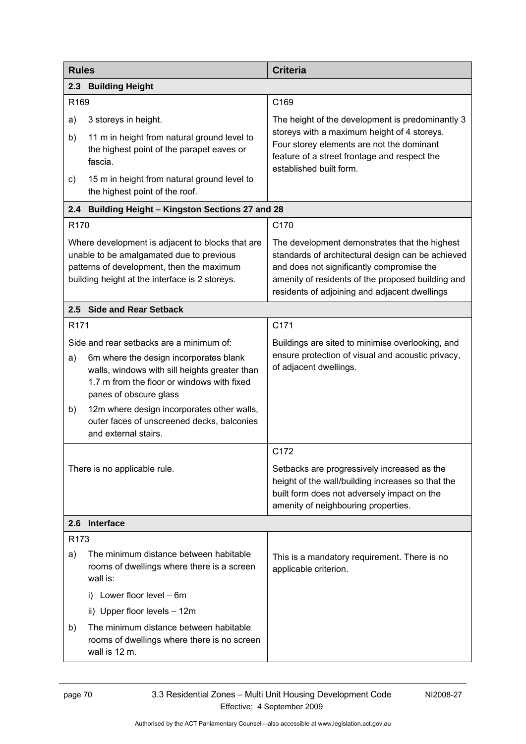| <b>Rules</b>     |                                                                                                                                                                                                             | <b>Criteria</b>                                                                                                                                                                                                                                       |
|------------------|-------------------------------------------------------------------------------------------------------------------------------------------------------------------------------------------------------------|-------------------------------------------------------------------------------------------------------------------------------------------------------------------------------------------------------------------------------------------------------|
|                  | 2.3 Building Height                                                                                                                                                                                         |                                                                                                                                                                                                                                                       |
| R169             |                                                                                                                                                                                                             | C169                                                                                                                                                                                                                                                  |
| a)               | 3 storeys in height.                                                                                                                                                                                        | The height of the development is predominantly 3                                                                                                                                                                                                      |
| b)               | 11 m in height from natural ground level to<br>the highest point of the parapet eaves or<br>fascia.                                                                                                         | storeys with a maximum height of 4 storeys.<br>Four storey elements are not the dominant<br>feature of a street frontage and respect the<br>established built form.                                                                                   |
| c)               | 15 m in height from natural ground level to<br>the highest point of the roof.                                                                                                                               |                                                                                                                                                                                                                                                       |
| 2.4              | <b>Building Height - Kingston Sections 27 and 28</b>                                                                                                                                                        |                                                                                                                                                                                                                                                       |
| R <sub>170</sub> |                                                                                                                                                                                                             | C170                                                                                                                                                                                                                                                  |
|                  | Where development is adjacent to blocks that are<br>unable to be amalgamated due to previous<br>patterns of development, then the maximum<br>building height at the interface is 2 storeys.                 | The development demonstrates that the highest<br>standards of architectural design can be achieved<br>and does not significantly compromise the<br>amenity of residents of the proposed building and<br>residents of adjoining and adjacent dwellings |
|                  | 2.5 Side and Rear Setback                                                                                                                                                                                   |                                                                                                                                                                                                                                                       |
| R <sub>171</sub> |                                                                                                                                                                                                             | C171                                                                                                                                                                                                                                                  |
| a)               | Side and rear setbacks are a minimum of:<br>6m where the design incorporates blank<br>walls, windows with sill heights greater than<br>1.7 m from the floor or windows with fixed<br>panes of obscure glass | Buildings are sited to minimise overlooking, and<br>ensure protection of visual and acoustic privacy,<br>of adjacent dwellings.                                                                                                                       |
| b)               | 12m where design incorporates other walls,<br>outer faces of unscreened decks, balconies<br>and external stairs.                                                                                            |                                                                                                                                                                                                                                                       |
|                  |                                                                                                                                                                                                             | C172                                                                                                                                                                                                                                                  |
|                  | There is no applicable rule.                                                                                                                                                                                | Setbacks are progressively increased as the<br>height of the wall/building increases so that the<br>built form does not adversely impact on the<br>amenity of neighbouring properties.                                                                |
| 2.6              | Interface                                                                                                                                                                                                   |                                                                                                                                                                                                                                                       |
| R <sub>173</sub> |                                                                                                                                                                                                             |                                                                                                                                                                                                                                                       |
| a)               | The minimum distance between habitable<br>rooms of dwellings where there is a screen<br>wall is:                                                                                                            | This is a mandatory requirement. There is no<br>applicable criterion.                                                                                                                                                                                 |
|                  | i) Lower floor level - 6m                                                                                                                                                                                   |                                                                                                                                                                                                                                                       |
|                  | ii) Upper floor levels - 12m                                                                                                                                                                                |                                                                                                                                                                                                                                                       |
| b)               | The minimum distance between habitable<br>rooms of dwellings where there is no screen<br>wall is 12 m.                                                                                                      |                                                                                                                                                                                                                                                       |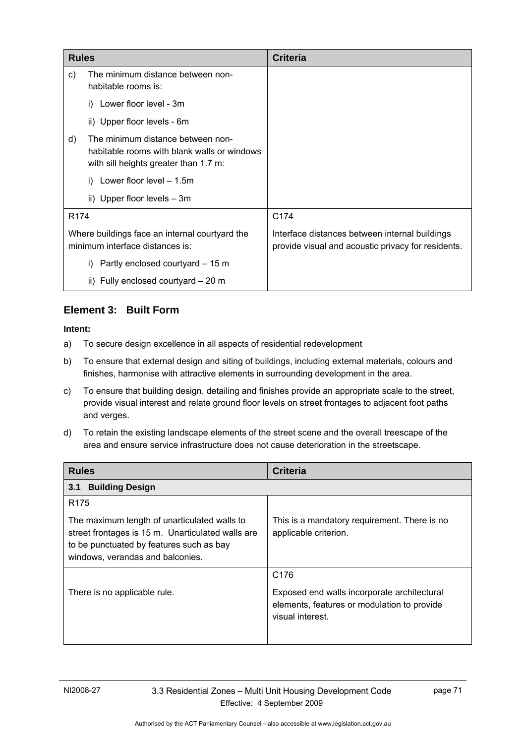| <b>Rules</b>     |                                                                                                                           | <b>Criteria</b>                                                                                      |
|------------------|---------------------------------------------------------------------------------------------------------------------------|------------------------------------------------------------------------------------------------------|
| C)               | The minimum distance between non-<br>habitable rooms is:                                                                  |                                                                                                      |
|                  | i) Lower floor level - 3m                                                                                                 |                                                                                                      |
|                  | ii) Upper floor levels - 6m                                                                                               |                                                                                                      |
| d)               | The minimum distance between non-<br>habitable rooms with blank walls or windows<br>with sill heights greater than 1.7 m: |                                                                                                      |
|                  | Lower floor level $-1.5m$                                                                                                 |                                                                                                      |
|                  | ii) Upper floor levels $-3m$                                                                                              |                                                                                                      |
| R <sub>174</sub> |                                                                                                                           | C174                                                                                                 |
|                  | Where buildings face an internal courtyard the<br>minimum interface distances is:                                         | Interface distances between internal buildings<br>provide visual and acoustic privacy for residents. |
|                  | Partly enclosed courtyard – 15 m<br>i)                                                                                    |                                                                                                      |
|                  | ii) Fully enclosed courtyard - 20 m                                                                                       |                                                                                                      |

### **Element 3: Built Form**

- a) To secure design excellence in all aspects of residential redevelopment
- b) To ensure that external design and siting of buildings, including external materials, colours and finishes, harmonise with attractive elements in surrounding development in the area.
- c) To ensure that building design, detailing and finishes provide an appropriate scale to the street, provide visual interest and relate ground floor levels on street frontages to adjacent foot paths and verges.
- d) To retain the existing landscape elements of the street scene and the overall treescape of the area and ensure service infrastructure does not cause deterioration in the streetscape.

| <b>Rules</b>                                                                                                                                                                                          | <b>Criteria</b>                                                                                                                    |
|-------------------------------------------------------------------------------------------------------------------------------------------------------------------------------------------------------|------------------------------------------------------------------------------------------------------------------------------------|
| <b>Building Design</b><br>3.1                                                                                                                                                                         |                                                                                                                                    |
| R <sub>175</sub><br>The maximum length of unarticulated walls to<br>street frontages is 15 m. Unarticulated walls are<br>to be punctuated by features such as bay<br>windows, verandas and balconies. | This is a mandatory requirement. There is no<br>applicable criterion.                                                              |
| There is no applicable rule.                                                                                                                                                                          | C <sub>176</sub><br>Exposed end walls incorporate architectural<br>elements, features or modulation to provide<br>visual interest. |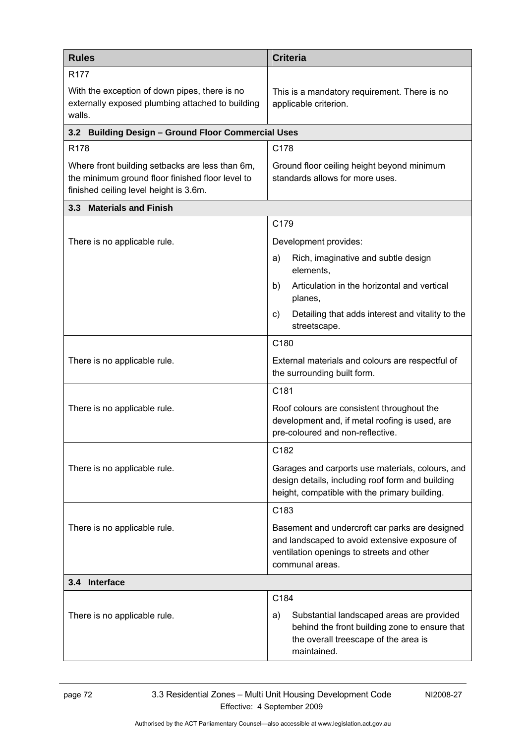| <b>Rules</b>                                                                                                                                  | <b>Criteria</b>                                                                                                                                                 |  |
|-----------------------------------------------------------------------------------------------------------------------------------------------|-----------------------------------------------------------------------------------------------------------------------------------------------------------------|--|
| R <sub>177</sub><br>With the exception of down pipes, there is no<br>externally exposed plumbing attached to building<br>walls.               | This is a mandatory requirement. There is no<br>applicable criterion.                                                                                           |  |
| 3.2 Building Design - Ground Floor Commercial Uses                                                                                            |                                                                                                                                                                 |  |
| R178                                                                                                                                          | C178                                                                                                                                                            |  |
| Where front building setbacks are less than 6m,<br>the minimum ground floor finished floor level to<br>finished ceiling level height is 3.6m. | Ground floor ceiling height beyond minimum<br>standards allows for more uses.                                                                                   |  |
| 3.3 Materials and Finish                                                                                                                      |                                                                                                                                                                 |  |
|                                                                                                                                               | C179                                                                                                                                                            |  |
| There is no applicable rule.                                                                                                                  | Development provides:                                                                                                                                           |  |
|                                                                                                                                               | Rich, imaginative and subtle design<br>a)<br>elements,                                                                                                          |  |
|                                                                                                                                               | Articulation in the horizontal and vertical<br>b)<br>planes,                                                                                                    |  |
|                                                                                                                                               | Detailing that adds interest and vitality to the<br>C)<br>streetscape.                                                                                          |  |
|                                                                                                                                               | C180                                                                                                                                                            |  |
| There is no applicable rule.                                                                                                                  | External materials and colours are respectful of<br>the surrounding built form.                                                                                 |  |
|                                                                                                                                               | C181                                                                                                                                                            |  |
| There is no applicable rule.                                                                                                                  | Roof colours are consistent throughout the<br>development and, if metal roofing is used, are<br>pre-coloured and non-reflective.                                |  |
|                                                                                                                                               | C182                                                                                                                                                            |  |
| There is no applicable rule.                                                                                                                  | Garages and carports use materials, colours, and<br>design details, including roof form and building<br>height, compatible with the primary building.           |  |
|                                                                                                                                               | C183                                                                                                                                                            |  |
| There is no applicable rule.                                                                                                                  | Basement and undercroft car parks are designed<br>and landscaped to avoid extensive exposure of<br>ventilation openings to streets and other<br>communal areas. |  |
| 3.4 Interface                                                                                                                                 |                                                                                                                                                                 |  |
|                                                                                                                                               | C184                                                                                                                                                            |  |
| There is no applicable rule.                                                                                                                  | Substantial landscaped areas are provided<br>a)<br>behind the front building zone to ensure that<br>the overall treescape of the area is<br>maintained.         |  |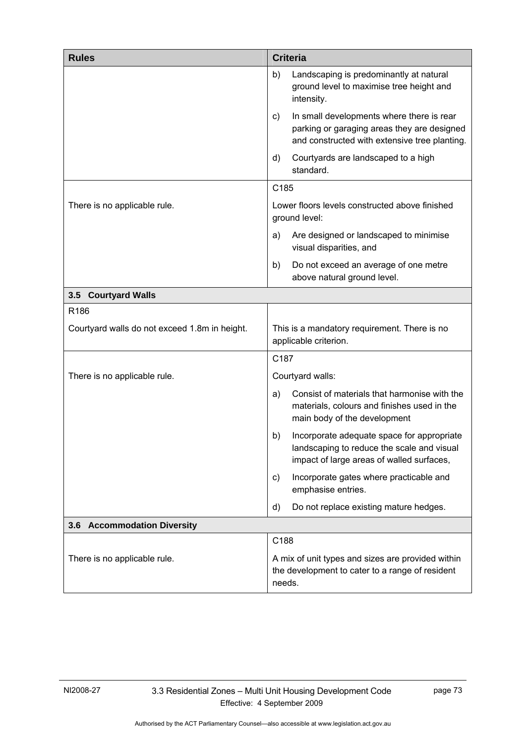| <b>Rules</b>                                  | <b>Criteria</b>                                                                                                                                 |
|-----------------------------------------------|-------------------------------------------------------------------------------------------------------------------------------------------------|
|                                               | Landscaping is predominantly at natural<br>b)<br>ground level to maximise tree height and<br>intensity.                                         |
|                                               | In small developments where there is rear<br>C)<br>parking or garaging areas they are designed<br>and constructed with extensive tree planting. |
|                                               | Courtyards are landscaped to a high<br>d)<br>standard.                                                                                          |
|                                               | C185                                                                                                                                            |
| There is no applicable rule.                  | Lower floors levels constructed above finished<br>ground level:                                                                                 |
|                                               | Are designed or landscaped to minimise<br>a)<br>visual disparities, and                                                                         |
|                                               | Do not exceed an average of one metre<br>b)<br>above natural ground level.                                                                      |
| 3.5 Courtyard Walls                           |                                                                                                                                                 |
| R186                                          |                                                                                                                                                 |
| Courtyard walls do not exceed 1.8m in height. | This is a mandatory requirement. There is no<br>applicable criterion.                                                                           |
|                                               | C <sub>187</sub>                                                                                                                                |
| There is no applicable rule.                  | Courtyard walls:                                                                                                                                |
|                                               | Consist of materials that harmonise with the<br>a)<br>materials, colours and finishes used in the<br>main body of the development               |
|                                               | Incorporate adequate space for appropriate<br>b)<br>landscaping to reduce the scale and visual<br>impact of large areas of walled surfaces,     |
|                                               | Incorporate gates where practicable and<br>C)<br>emphasise entries.                                                                             |
|                                               | Do not replace existing mature hedges.<br>d)                                                                                                    |
| 3.6 Accommodation Diversity                   |                                                                                                                                                 |
|                                               | C188                                                                                                                                            |
| There is no applicable rule.                  | A mix of unit types and sizes are provided within<br>the development to cater to a range of resident<br>needs.                                  |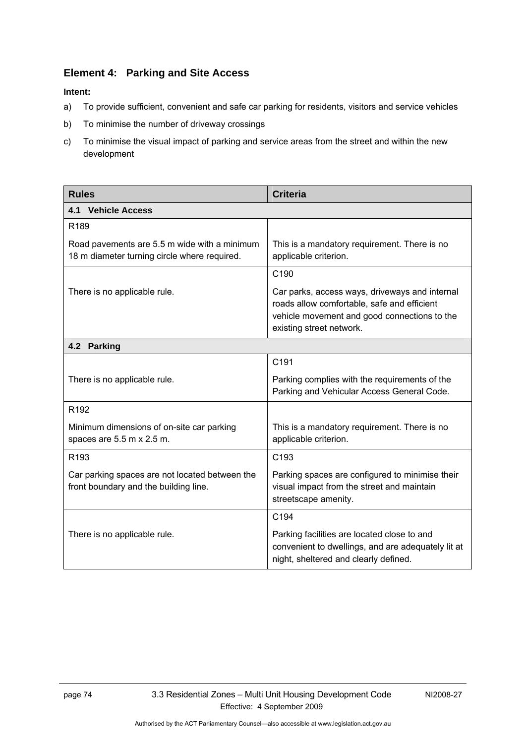### **Element 4: Parking and Site Access**

#### **Intent:**

- a) To provide sufficient, convenient and safe car parking for residents, visitors and service vehicles
- b) To minimise the number of driveway crossings
- c) To minimise the visual impact of parking and service areas from the street and within the new development

| <b>Rules</b>                                                                                 | <b>Criteria</b>                                                                                                                                                           |
|----------------------------------------------------------------------------------------------|---------------------------------------------------------------------------------------------------------------------------------------------------------------------------|
| <b>4.1 Vehicle Access</b>                                                                    |                                                                                                                                                                           |
| R <sub>189</sub>                                                                             |                                                                                                                                                                           |
| Road pavements are 5.5 m wide with a minimum<br>18 m diameter turning circle where required. | This is a mandatory requirement. There is no<br>applicable criterion.                                                                                                     |
|                                                                                              | C190                                                                                                                                                                      |
| There is no applicable rule.                                                                 | Car parks, access ways, driveways and internal<br>roads allow comfortable, safe and efficient<br>vehicle movement and good connections to the<br>existing street network. |
| 4.2 Parking                                                                                  |                                                                                                                                                                           |
|                                                                                              | C191                                                                                                                                                                      |
| There is no applicable rule.                                                                 | Parking complies with the requirements of the<br>Parking and Vehicular Access General Code.                                                                               |
| R <sub>192</sub>                                                                             |                                                                                                                                                                           |
| Minimum dimensions of on-site car parking<br>spaces are 5.5 m x 2.5 m.                       | This is a mandatory requirement. There is no<br>applicable criterion.                                                                                                     |
| R <sub>193</sub>                                                                             | C <sub>193</sub>                                                                                                                                                          |
| Car parking spaces are not located between the<br>front boundary and the building line.      | Parking spaces are configured to minimise their<br>visual impact from the street and maintain<br>streetscape amenity.                                                     |
|                                                                                              | C194                                                                                                                                                                      |
| There is no applicable rule.                                                                 | Parking facilities are located close to and<br>convenient to dwellings, and are adequately lit at<br>night, sheltered and clearly defined.                                |

Authorised by the ACT Parliamentary Counsel—also accessible at www.legislation.act.gov.au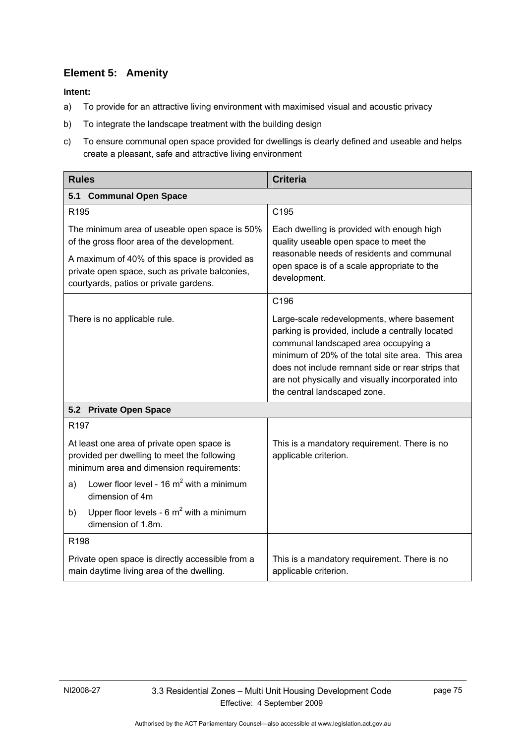### **Element 5: Amenity**

- a) To provide for an attractive living environment with maximised visual and acoustic privacy
- b) To integrate the landscape treatment with the building design
- c) To ensure communal open space provided for dwellings is clearly defined and useable and helps create a pleasant, safe and attractive living environment

| <b>Rules</b>                                                                                                                                                                                                                              | <b>Criteria</b>                                                                                                                                                                                                                                                                                                                      |
|-------------------------------------------------------------------------------------------------------------------------------------------------------------------------------------------------------------------------------------------|--------------------------------------------------------------------------------------------------------------------------------------------------------------------------------------------------------------------------------------------------------------------------------------------------------------------------------------|
| <b>Communal Open Space</b><br>5.1                                                                                                                                                                                                         |                                                                                                                                                                                                                                                                                                                                      |
| R <sub>195</sub>                                                                                                                                                                                                                          | C <sub>195</sub>                                                                                                                                                                                                                                                                                                                     |
| The minimum area of useable open space is 50%<br>of the gross floor area of the development.<br>A maximum of 40% of this space is provided as<br>private open space, such as private balconies,<br>courtyards, patios or private gardens. | Each dwelling is provided with enough high<br>quality useable open space to meet the<br>reasonable needs of residents and communal<br>open space is of a scale appropriate to the<br>development.                                                                                                                                    |
|                                                                                                                                                                                                                                           | C196                                                                                                                                                                                                                                                                                                                                 |
| There is no applicable rule.                                                                                                                                                                                                              | Large-scale redevelopments, where basement<br>parking is provided, include a centrally located<br>communal landscaped area occupying a<br>minimum of 20% of the total site area. This area<br>does not include remnant side or rear strips that<br>are not physically and visually incorporated into<br>the central landscaped zone. |
| 5.2 Private Open Space                                                                                                                                                                                                                    |                                                                                                                                                                                                                                                                                                                                      |
| R <sub>197</sub>                                                                                                                                                                                                                          |                                                                                                                                                                                                                                                                                                                                      |
| At least one area of private open space is<br>provided per dwelling to meet the following<br>minimum area and dimension requirements:                                                                                                     | This is a mandatory requirement. There is no<br>applicable criterion.                                                                                                                                                                                                                                                                |
| Lower floor level - 16 $m^2$ with a minimum<br>a)<br>dimension of 4m                                                                                                                                                                      |                                                                                                                                                                                                                                                                                                                                      |
| Upper floor levels - $6 \text{ m}^2$ with a minimum<br>b)<br>dimension of 1.8m.                                                                                                                                                           |                                                                                                                                                                                                                                                                                                                                      |
| R <sub>198</sub>                                                                                                                                                                                                                          |                                                                                                                                                                                                                                                                                                                                      |
| Private open space is directly accessible from a<br>main daytime living area of the dwelling.                                                                                                                                             | This is a mandatory requirement. There is no<br>applicable criterion.                                                                                                                                                                                                                                                                |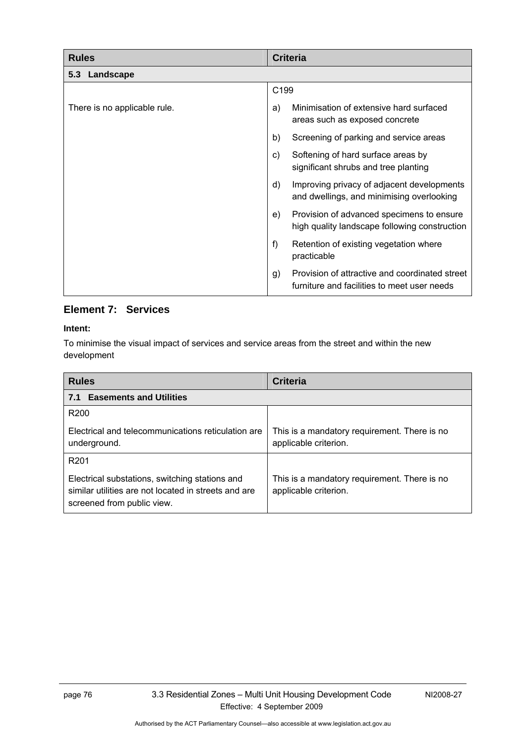| <b>Rules</b>                 | <b>Criteria</b>                                                                                     |
|------------------------------|-----------------------------------------------------------------------------------------------------|
| 5.3 Landscape                |                                                                                                     |
|                              | C199                                                                                                |
| There is no applicable rule. | Minimisation of extensive hard surfaced<br>a)<br>areas such as exposed concrete                     |
|                              | b)<br>Screening of parking and service areas                                                        |
|                              | Softening of hard surface areas by<br>C)<br>significant shrubs and tree planting                    |
|                              | d)<br>Improving privacy of adjacent developments<br>and dwellings, and minimising overlooking       |
|                              | Provision of advanced specimens to ensure<br>e)<br>high quality landscape following construction    |
|                              | f<br>Retention of existing vegetation where<br>practicable                                          |
|                              | Provision of attractive and coordinated street<br>g)<br>furniture and facilities to meet user needs |

### **Element 7: Services**

#### **Intent:**

To minimise the visual impact of services and service areas from the street and within the new development

| <b>Rules</b>                                                                                                                         | <b>Criteria</b>                                                       |  |
|--------------------------------------------------------------------------------------------------------------------------------------|-----------------------------------------------------------------------|--|
| <b>Easements and Utilities</b><br>7.1                                                                                                |                                                                       |  |
| R <sub>200</sub>                                                                                                                     |                                                                       |  |
| Electrical and telecommunications reticulation are<br>underground.                                                                   | This is a mandatory requirement. There is no<br>applicable criterion. |  |
| R <sub>201</sub>                                                                                                                     |                                                                       |  |
| Electrical substations, switching stations and<br>similar utilities are not located in streets and are<br>screened from public view. | This is a mandatory requirement. There is no<br>applicable criterion. |  |

Authorised by the ACT Parliamentary Counsel—also accessible at www.legislation.act.gov.au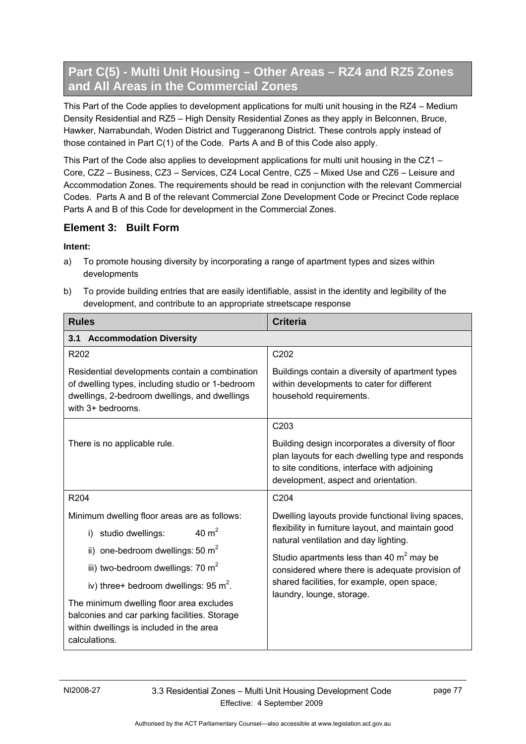# **Part C(5) - Multi Unit Housing – Other Areas – RZ4 and RZ5 Zones and All Areas in the Commercial Zones**

This Part of the Code applies to development applications for multi unit housing in the RZ4 – Medium Density Residential and RZ5 – High Density Residential Zones as they apply in Belconnen, Bruce, Hawker, Narrabundah, Woden District and Tuggeranong District. These controls apply instead of those contained in Part C(1) of the Code. Parts A and B of this Code also apply.

This Part of the Code also applies to development applications for multi unit housing in the CZ1 – Core, CZ2 – Business, CZ3 – Services, CZ4 Local Centre, CZ5 – Mixed Use and CZ6 – Leisure and Accommodation Zones. The requirements should be read in conjunction with the relevant Commercial Codes. Parts A and B of the relevant Commercial Zone Development Code or Precinct Code replace Parts A and B of this Code for development in the Commercial Zones.

### **Element 3: Built Form**

- a) To promote housing diversity by incorporating a range of apartment types and sizes within developments
- b) To provide building entries that are easily identifiable, assist in the identity and legibility of the development, and contribute to an appropriate streetscape response

| <b>Rules</b>                                                                                                                                                             | <b>Criteria</b>                                                                                                                                                                               |  |  |
|--------------------------------------------------------------------------------------------------------------------------------------------------------------------------|-----------------------------------------------------------------------------------------------------------------------------------------------------------------------------------------------|--|--|
| 3.1 Accommodation Diversity                                                                                                                                              |                                                                                                                                                                                               |  |  |
| R202                                                                                                                                                                     | C202                                                                                                                                                                                          |  |  |
| Residential developments contain a combination<br>of dwelling types, including studio or 1-bedroom<br>dwellings, 2-bedroom dwellings, and dwellings<br>with 3+ bedrooms. | Buildings contain a diversity of apartment types<br>within developments to cater for different<br>household requirements.                                                                     |  |  |
|                                                                                                                                                                          | C203                                                                                                                                                                                          |  |  |
| There is no applicable rule.                                                                                                                                             | Building design incorporates a diversity of floor<br>plan layouts for each dwelling type and responds<br>to site conditions, interface with adjoining<br>development, aspect and orientation. |  |  |
| R204                                                                                                                                                                     | C204                                                                                                                                                                                          |  |  |
| Minimum dwelling floor areas are as follows:                                                                                                                             | Dwelling layouts provide functional living spaces,                                                                                                                                            |  |  |
| 40 $m2$<br>i) studio dwellings:                                                                                                                                          | flexibility in furniture layout, and maintain good<br>natural ventilation and day lighting.                                                                                                   |  |  |
| ii) one-bedroom dwellings: 50 $m2$                                                                                                                                       | Studio apartments less than 40 $m2$ may be                                                                                                                                                    |  |  |
| iii) two-bedroom dwellings: 70 m <sup>2</sup>                                                                                                                            | considered where there is adequate provision of                                                                                                                                               |  |  |
| iv) three+ bedroom dwellings: $95 \text{ m}^2$ .                                                                                                                         | shared facilities, for example, open space,<br>laundry, lounge, storage.                                                                                                                      |  |  |
| The minimum dwelling floor area excludes<br>balconies and car parking facilities. Storage<br>within dwellings is included in the area<br>calculations.                   |                                                                                                                                                                                               |  |  |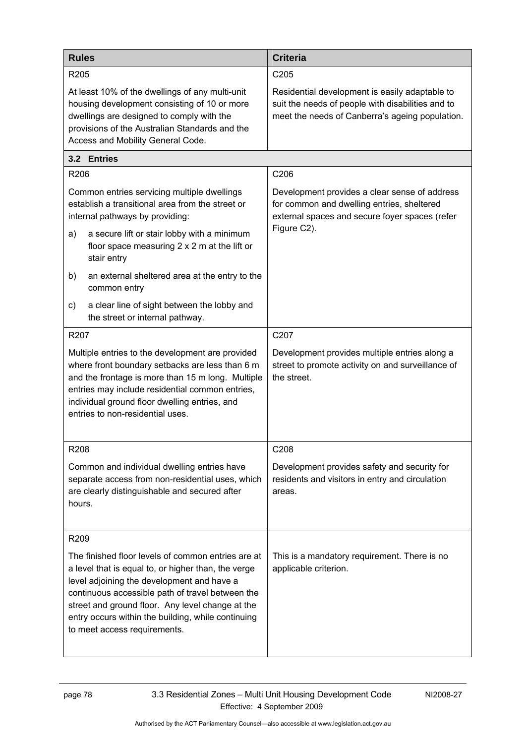| <b>Rules</b>                                                                                                                                                                                                                                                                                                                                          | <b>Criteria</b>                                                                                                                                        |  |
|-------------------------------------------------------------------------------------------------------------------------------------------------------------------------------------------------------------------------------------------------------------------------------------------------------------------------------------------------------|--------------------------------------------------------------------------------------------------------------------------------------------------------|--|
| R <sub>205</sub>                                                                                                                                                                                                                                                                                                                                      | C <sub>205</sub>                                                                                                                                       |  |
| At least 10% of the dwellings of any multi-unit<br>housing development consisting of 10 or more<br>dwellings are designed to comply with the<br>provisions of the Australian Standards and the<br>Access and Mobility General Code.                                                                                                                   | Residential development is easily adaptable to<br>suit the needs of people with disabilities and to<br>meet the needs of Canberra's ageing population. |  |
| 3.2 Entries                                                                                                                                                                                                                                                                                                                                           |                                                                                                                                                        |  |
| R206                                                                                                                                                                                                                                                                                                                                                  | C206                                                                                                                                                   |  |
| Common entries servicing multiple dwellings<br>establish a transitional area from the street or<br>internal pathways by providing:                                                                                                                                                                                                                    | Development provides a clear sense of address<br>for common and dwelling entries, sheltered<br>external spaces and secure foyer spaces (refer          |  |
| a secure lift or stair lobby with a minimum<br>a)<br>floor space measuring 2 x 2 m at the lift or<br>stair entry                                                                                                                                                                                                                                      | Figure C2).                                                                                                                                            |  |
| b)<br>an external sheltered area at the entry to the<br>common entry                                                                                                                                                                                                                                                                                  |                                                                                                                                                        |  |
| a clear line of sight between the lobby and<br>C)<br>the street or internal pathway.                                                                                                                                                                                                                                                                  |                                                                                                                                                        |  |
| R207                                                                                                                                                                                                                                                                                                                                                  | C207                                                                                                                                                   |  |
| Multiple entries to the development are provided<br>where front boundary setbacks are less than 6 m<br>and the frontage is more than 15 m long. Multiple<br>entries may include residential common entries,<br>individual ground floor dwelling entries, and<br>entries to non-residential uses.                                                      | Development provides multiple entries along a<br>street to promote activity on and surveillance of<br>the street.                                      |  |
| R208                                                                                                                                                                                                                                                                                                                                                  | C208                                                                                                                                                   |  |
| Common and individual dwelling entries have<br>separate access from non-residential uses, which<br>are clearly distinguishable and secured after<br>hours.                                                                                                                                                                                            | Development provides safety and security for<br>residents and visitors in entry and circulation<br>areas.                                              |  |
| R209                                                                                                                                                                                                                                                                                                                                                  |                                                                                                                                                        |  |
| The finished floor levels of common entries are at<br>a level that is equal to, or higher than, the verge<br>level adjoining the development and have a<br>continuous accessible path of travel between the<br>street and ground floor. Any level change at the<br>entry occurs within the building, while continuing<br>to meet access requirements. | This is a mandatory requirement. There is no<br>applicable criterion.                                                                                  |  |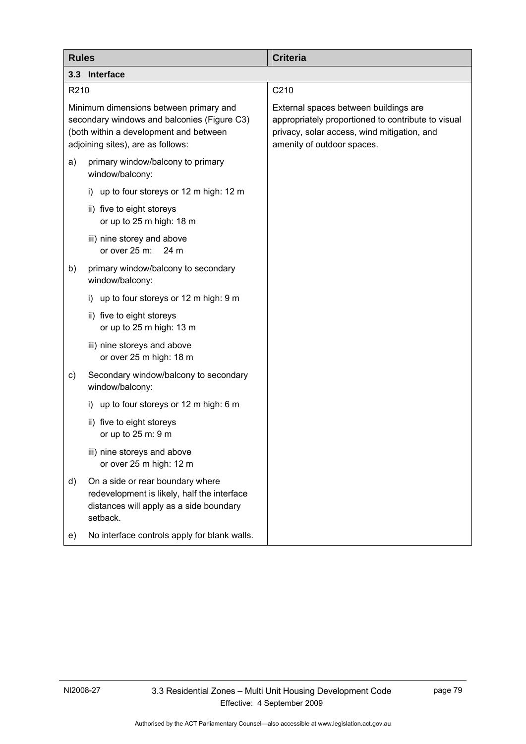| <b>Rules</b>                                                                                                                                                         | <b>Criteria</b>                                                                                                                                                          |
|----------------------------------------------------------------------------------------------------------------------------------------------------------------------|--------------------------------------------------------------------------------------------------------------------------------------------------------------------------|
| 3.3 Interface                                                                                                                                                        |                                                                                                                                                                          |
| R <sub>210</sub>                                                                                                                                                     | C210                                                                                                                                                                     |
| Minimum dimensions between primary and<br>secondary windows and balconies (Figure C3)<br>(both within a development and between<br>adjoining sites), are as follows: | External spaces between buildings are<br>appropriately proportioned to contribute to visual<br>privacy, solar access, wind mitigation, and<br>amenity of outdoor spaces. |
| primary window/balcony to primary<br>a)<br>window/balcony:                                                                                                           |                                                                                                                                                                          |
| i) up to four storeys or 12 m high: 12 m                                                                                                                             |                                                                                                                                                                          |
| ii) five to eight storeys<br>or up to 25 m high: 18 m                                                                                                                |                                                                                                                                                                          |
| iii) nine storey and above<br>or over 25 m:<br>24 m                                                                                                                  |                                                                                                                                                                          |
| primary window/balcony to secondary<br>b)<br>window/balcony:                                                                                                         |                                                                                                                                                                          |
| i) up to four storeys or 12 m high: 9 m                                                                                                                              |                                                                                                                                                                          |
| ii) five to eight storeys<br>or up to 25 m high: 13 m                                                                                                                |                                                                                                                                                                          |
| iii) nine storeys and above<br>or over 25 m high: 18 m                                                                                                               |                                                                                                                                                                          |
| Secondary window/balcony to secondary<br>C)<br>window/balcony:                                                                                                       |                                                                                                                                                                          |
| up to four storeys or 12 m high: 6 m<br>i)                                                                                                                           |                                                                                                                                                                          |
| ii) five to eight storeys<br>or up to 25 m: 9 m                                                                                                                      |                                                                                                                                                                          |
| iii) nine storeys and above<br>or over 25 m high: 12 m                                                                                                               |                                                                                                                                                                          |
| On a side or rear boundary where<br>d)<br>redevelopment is likely, half the interface<br>distances will apply as a side boundary<br>setback.                         |                                                                                                                                                                          |
| No interface controls apply for blank walls.<br>e)                                                                                                                   |                                                                                                                                                                          |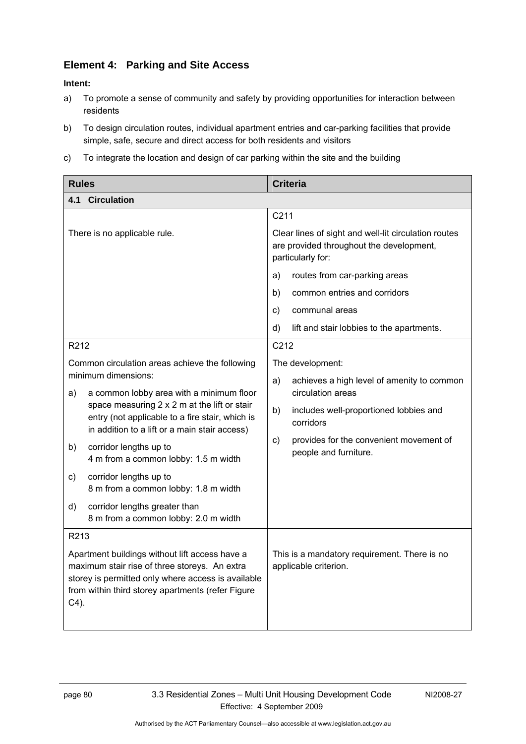### **Element 4: Parking and Site Access**

- a) To promote a sense of community and safety by providing opportunities for interaction between residents
- b) To design circulation routes, individual apartment entries and car-parking facilities that provide simple, safe, secure and direct access for both residents and visitors
- c) To integrate the location and design of car parking within the site and the building

| <b>Rules</b>                 |                                                                                                                                                                                                            | <b>Criteria</b>                                                                                                       |                                                                       |
|------------------------------|------------------------------------------------------------------------------------------------------------------------------------------------------------------------------------------------------------|-----------------------------------------------------------------------------------------------------------------------|-----------------------------------------------------------------------|
| 4.1                          | <b>Circulation</b>                                                                                                                                                                                         |                                                                                                                       |                                                                       |
|                              |                                                                                                                                                                                                            | C211                                                                                                                  |                                                                       |
| There is no applicable rule. |                                                                                                                                                                                                            | Clear lines of sight and well-lit circulation routes<br>are provided throughout the development,<br>particularly for: |                                                                       |
|                              |                                                                                                                                                                                                            | a)                                                                                                                    | routes from car-parking areas                                         |
|                              |                                                                                                                                                                                                            | b)                                                                                                                    | common entries and corridors                                          |
|                              |                                                                                                                                                                                                            | C)                                                                                                                    | communal areas                                                        |
|                              |                                                                                                                                                                                                            | d)                                                                                                                    | lift and stair lobbies to the apartments.                             |
| R <sub>2</sub> 12            |                                                                                                                                                                                                            | C <sub>212</sub>                                                                                                      |                                                                       |
|                              | Common circulation areas achieve the following                                                                                                                                                             |                                                                                                                       | The development:                                                      |
| a)                           | minimum dimensions:<br>a common lobby area with a minimum floor                                                                                                                                            | a)                                                                                                                    | achieves a high level of amenity to common<br>circulation areas       |
|                              | space measuring 2 x 2 m at the lift or stair<br>entry (not applicable to a fire stair, which is<br>in addition to a lift or a main stair access)                                                           | b)                                                                                                                    | includes well-proportioned lobbies and<br>corridors                   |
| b)                           | corridor lengths up to<br>4 m from a common lobby: 1.5 m width                                                                                                                                             | $\mathsf{c})$                                                                                                         | provides for the convenient movement of<br>people and furniture.      |
| c)                           | corridor lengths up to<br>8 m from a common lobby: 1.8 m width                                                                                                                                             |                                                                                                                       |                                                                       |
| d)                           | corridor lengths greater than<br>8 m from a common lobby: 2.0 m width                                                                                                                                      |                                                                                                                       |                                                                       |
| R213                         |                                                                                                                                                                                                            |                                                                                                                       |                                                                       |
| $C4$ ).                      | Apartment buildings without lift access have a<br>maximum stair rise of three storeys. An extra<br>storey is permitted only where access is available<br>from within third storey apartments (refer Figure |                                                                                                                       | This is a mandatory requirement. There is no<br>applicable criterion. |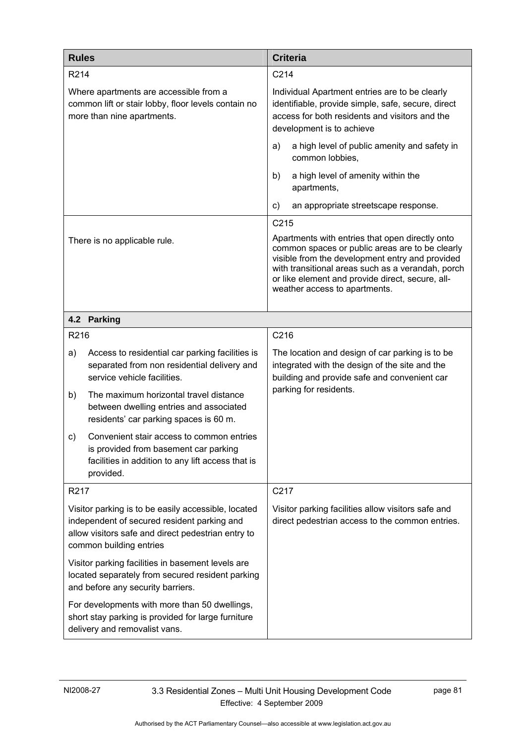| <b>Rules</b>                                                                                                                                                                        |                                                                                                                                                      | <b>Criteria</b>                                                                                                                                                                                                                                                                                 |                                                                                                       |
|-------------------------------------------------------------------------------------------------------------------------------------------------------------------------------------|------------------------------------------------------------------------------------------------------------------------------------------------------|-------------------------------------------------------------------------------------------------------------------------------------------------------------------------------------------------------------------------------------------------------------------------------------------------|-------------------------------------------------------------------------------------------------------|
| R214                                                                                                                                                                                |                                                                                                                                                      | C <sub>214</sub>                                                                                                                                                                                                                                                                                |                                                                                                       |
|                                                                                                                                                                                     | Where apartments are accessible from a<br>common lift or stair lobby, floor levels contain no<br>more than nine apartments.                          | Individual Apartment entries are to be clearly<br>identifiable, provide simple, safe, secure, direct<br>access for both residents and visitors and the<br>development is to achieve                                                                                                             |                                                                                                       |
|                                                                                                                                                                                     |                                                                                                                                                      | a)                                                                                                                                                                                                                                                                                              | a high level of public amenity and safety in<br>common lobbies,                                       |
|                                                                                                                                                                                     |                                                                                                                                                      | b)                                                                                                                                                                                                                                                                                              | a high level of amenity within the<br>apartments,                                                     |
|                                                                                                                                                                                     |                                                                                                                                                      | $\mathsf{c}$                                                                                                                                                                                                                                                                                    | an appropriate streetscape response.                                                                  |
|                                                                                                                                                                                     |                                                                                                                                                      | C215                                                                                                                                                                                                                                                                                            |                                                                                                       |
|                                                                                                                                                                                     | There is no applicable rule.                                                                                                                         | Apartments with entries that open directly onto<br>common spaces or public areas are to be clearly<br>visible from the development entry and provided<br>with transitional areas such as a verandah, porch<br>or like element and provide direct, secure, all-<br>weather access to apartments. |                                                                                                       |
|                                                                                                                                                                                     | 4.2 Parking                                                                                                                                          |                                                                                                                                                                                                                                                                                                 |                                                                                                       |
| R216                                                                                                                                                                                |                                                                                                                                                      | C216                                                                                                                                                                                                                                                                                            |                                                                                                       |
| a)                                                                                                                                                                                  | Access to residential car parking facilities is<br>separated from non residential delivery and<br>service vehicle facilities.                        | The location and design of car parking is to be<br>integrated with the design of the site and the<br>building and provide safe and convenient car<br>parking for residents.                                                                                                                     |                                                                                                       |
| b)                                                                                                                                                                                  | The maximum horizontal travel distance<br>between dwelling entries and associated<br>residents' car parking spaces is 60 m.                          |                                                                                                                                                                                                                                                                                                 |                                                                                                       |
| c)                                                                                                                                                                                  | Convenient stair access to common entries<br>is provided from basement car parking<br>facilities in addition to any lift access that is<br>provided. |                                                                                                                                                                                                                                                                                                 |                                                                                                       |
| R <sub>2</sub> 17                                                                                                                                                                   |                                                                                                                                                      | C217                                                                                                                                                                                                                                                                                            |                                                                                                       |
| Visitor parking is to be easily accessible, located<br>independent of secured resident parking and<br>allow visitors safe and direct pedestrian entry to<br>common building entries |                                                                                                                                                      |                                                                                                                                                                                                                                                                                                 | Visitor parking facilities allow visitors safe and<br>direct pedestrian access to the common entries. |
|                                                                                                                                                                                     | Visitor parking facilities in basement levels are<br>located separately from secured resident parking<br>and before any security barriers.           |                                                                                                                                                                                                                                                                                                 |                                                                                                       |
|                                                                                                                                                                                     | For developments with more than 50 dwellings,<br>short stay parking is provided for large furniture<br>delivery and removalist vans.                 |                                                                                                                                                                                                                                                                                                 |                                                                                                       |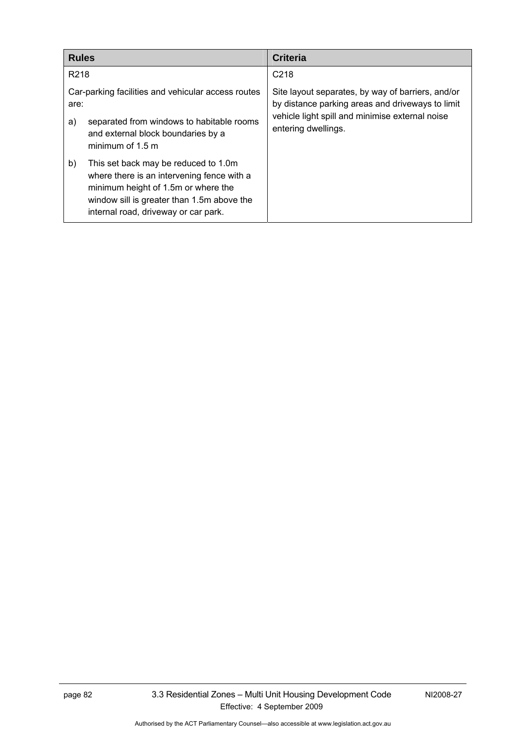| <b>Rules</b>     |                                                                                                                                                                                                                 | Criteria                                                                                                                                                                        |
|------------------|-----------------------------------------------------------------------------------------------------------------------------------------------------------------------------------------------------------------|---------------------------------------------------------------------------------------------------------------------------------------------------------------------------------|
| R <sub>218</sub> |                                                                                                                                                                                                                 | C <sub>218</sub>                                                                                                                                                                |
| are:<br>a)       | Car-parking facilities and vehicular access routes<br>separated from windows to habitable rooms<br>and external block boundaries by a<br>minimum of $1.5$ m                                                     | Site layout separates, by way of barriers, and/or<br>by distance parking areas and driveways to limit<br>vehicle light spill and minimise external noise<br>entering dwellings. |
| b)               | This set back may be reduced to 1.0m<br>where there is an intervening fence with a<br>minimum height of 1.5m or where the<br>window sill is greater than 1.5m above the<br>internal road, driveway or car park. |                                                                                                                                                                                 |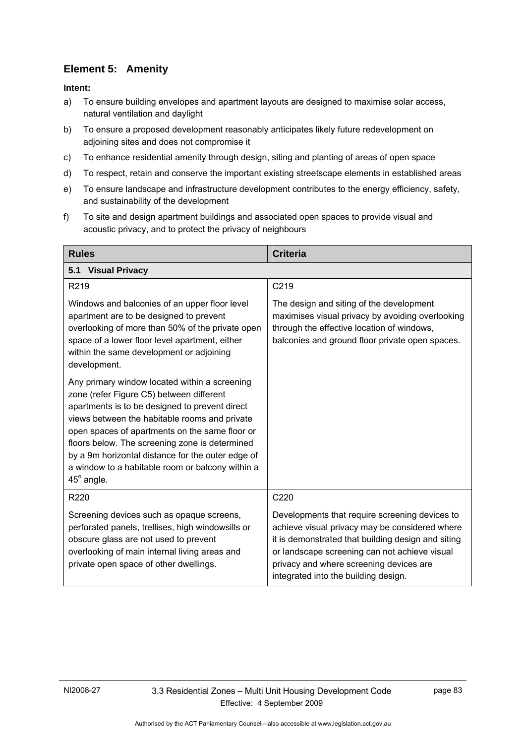# **Element 5: Amenity**

- a) To ensure building envelopes and apartment layouts are designed to maximise solar access, natural ventilation and daylight
- b) To ensure a proposed development reasonably anticipates likely future redevelopment on adjoining sites and does not compromise it
- c) To enhance residential amenity through design, siting and planting of areas of open space
- d) To respect, retain and conserve the important existing streetscape elements in established areas
- e) To ensure landscape and infrastructure development contributes to the energy efficiency, safety, and sustainability of the development
- f) To site and design apartment buildings and associated open spaces to provide visual and acoustic privacy, and to protect the privacy of neighbours

| <b>Rules</b>                                                                                                                                                                                                                                                                                                                                                                                                                   | <b>Criteria</b>                                                                                                                                                                                                                                                                            |  |  |
|--------------------------------------------------------------------------------------------------------------------------------------------------------------------------------------------------------------------------------------------------------------------------------------------------------------------------------------------------------------------------------------------------------------------------------|--------------------------------------------------------------------------------------------------------------------------------------------------------------------------------------------------------------------------------------------------------------------------------------------|--|--|
| <b>Visual Privacy</b><br>5.1                                                                                                                                                                                                                                                                                                                                                                                                   |                                                                                                                                                                                                                                                                                            |  |  |
| R219                                                                                                                                                                                                                                                                                                                                                                                                                           | C219                                                                                                                                                                                                                                                                                       |  |  |
| Windows and balconies of an upper floor level<br>apartment are to be designed to prevent<br>overlooking of more than 50% of the private open<br>space of a lower floor level apartment, either<br>within the same development or adjoining<br>development.                                                                                                                                                                     | The design and siting of the development<br>maximises visual privacy by avoiding overlooking<br>through the effective location of windows,<br>balconies and ground floor private open spaces.                                                                                              |  |  |
| Any primary window located within a screening<br>zone (refer Figure C5) between different<br>apartments is to be designed to prevent direct<br>views between the habitable rooms and private<br>open spaces of apartments on the same floor or<br>floors below. The screening zone is determined<br>by a 9m horizontal distance for the outer edge of<br>a window to a habitable room or balcony within a<br>$45^\circ$ angle. |                                                                                                                                                                                                                                                                                            |  |  |
| R220                                                                                                                                                                                                                                                                                                                                                                                                                           | C220                                                                                                                                                                                                                                                                                       |  |  |
| Screening devices such as opaque screens,<br>perforated panels, trellises, high windowsills or<br>obscure glass are not used to prevent<br>overlooking of main internal living areas and<br>private open space of other dwellings.                                                                                                                                                                                             | Developments that require screening devices to<br>achieve visual privacy may be considered where<br>it is demonstrated that building design and siting<br>or landscape screening can not achieve visual<br>privacy and where screening devices are<br>integrated into the building design. |  |  |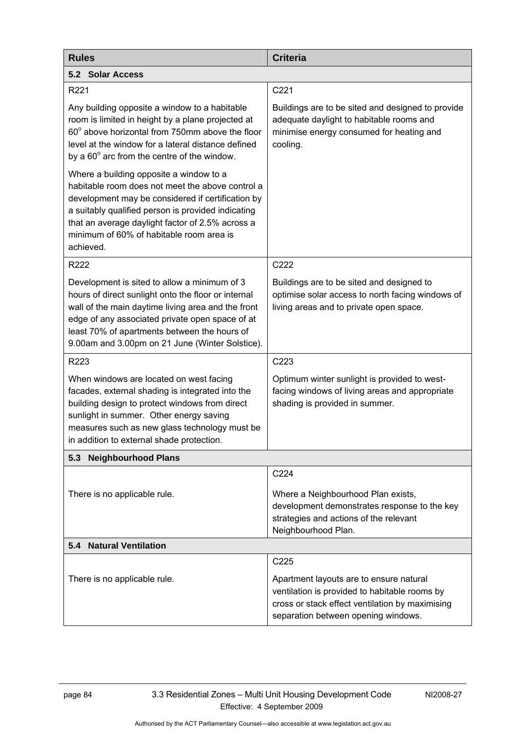| <b>Rules</b>                                                                                                                                                                                                                                                                                                        | <b>Criteria</b>                                                                                                                                                                    |  |
|---------------------------------------------------------------------------------------------------------------------------------------------------------------------------------------------------------------------------------------------------------------------------------------------------------------------|------------------------------------------------------------------------------------------------------------------------------------------------------------------------------------|--|
| 5.2 Solar Access                                                                                                                                                                                                                                                                                                    |                                                                                                                                                                                    |  |
| R221                                                                                                                                                                                                                                                                                                                | C221                                                                                                                                                                               |  |
| Any building opposite a window to a habitable<br>room is limited in height by a plane projected at<br>60° above horizontal from 750mm above the floor<br>level at the window for a lateral distance defined<br>by a $60^\circ$ arc from the centre of the window.                                                   | Buildings are to be sited and designed to provide<br>adequate daylight to habitable rooms and<br>minimise energy consumed for heating and<br>cooling.                              |  |
| Where a building opposite a window to a<br>habitable room does not meet the above control a<br>development may be considered if certification by<br>a suitably qualified person is provided indicating<br>that an average daylight factor of 2.5% across a<br>minimum of 60% of habitable room area is<br>achieved. |                                                                                                                                                                                    |  |
| R222                                                                                                                                                                                                                                                                                                                | C222                                                                                                                                                                               |  |
| Development is sited to allow a minimum of 3<br>hours of direct sunlight onto the floor or internal<br>wall of the main daytime living area and the front<br>edge of any associated private open space of at<br>least 70% of apartments between the hours of<br>9.00am and 3.00pm on 21 June (Winter Solstice).     | Buildings are to be sited and designed to<br>optimise solar access to north facing windows of<br>living areas and to private open space.                                           |  |
| R223                                                                                                                                                                                                                                                                                                                | C223                                                                                                                                                                               |  |
| When windows are located on west facing<br>facades, external shading is integrated into the<br>building design to protect windows from direct<br>sunlight in summer. Other energy saving<br>measures such as new glass technology must be<br>in addition to external shade protection.                              | Optimum winter sunlight is provided to west-<br>facing windows of living areas and appropriate<br>shading is provided in summer.                                                   |  |
| <b>Neighbourhood Plans</b><br>5.3                                                                                                                                                                                                                                                                                   |                                                                                                                                                                                    |  |
|                                                                                                                                                                                                                                                                                                                     | C224                                                                                                                                                                               |  |
| There is no applicable rule.                                                                                                                                                                                                                                                                                        | Where a Neighbourhood Plan exists,<br>development demonstrates response to the key<br>strategies and actions of the relevant<br>Neighbourhood Plan.                                |  |
| 5.4 Natural Ventilation                                                                                                                                                                                                                                                                                             |                                                                                                                                                                                    |  |
|                                                                                                                                                                                                                                                                                                                     | C225                                                                                                                                                                               |  |
| There is no applicable rule.                                                                                                                                                                                                                                                                                        | Apartment layouts are to ensure natural<br>ventilation is provided to habitable rooms by<br>cross or stack effect ventilation by maximising<br>separation between opening windows. |  |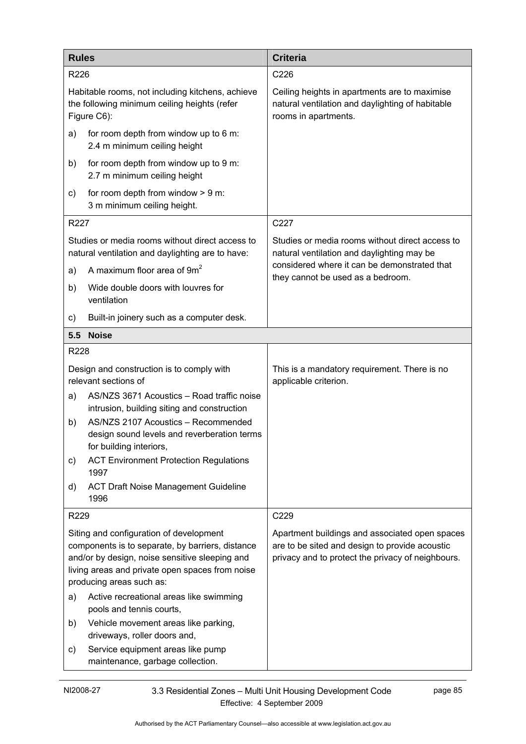| <b>Rules</b> |                                                                                                                                                                                                                              | <b>Criteria</b>                                                                                                                                       |  |
|--------------|------------------------------------------------------------------------------------------------------------------------------------------------------------------------------------------------------------------------------|-------------------------------------------------------------------------------------------------------------------------------------------------------|--|
| R226         |                                                                                                                                                                                                                              | C226                                                                                                                                                  |  |
|              | Habitable rooms, not including kitchens, achieve<br>the following minimum ceiling heights (refer<br>Figure C6):                                                                                                              | Ceiling heights in apartments are to maximise<br>natural ventilation and daylighting of habitable<br>rooms in apartments.                             |  |
| a)           | for room depth from window up to 6 m:<br>2.4 m minimum ceiling height                                                                                                                                                        |                                                                                                                                                       |  |
| b)           | for room depth from window up to 9 m:<br>2.7 m minimum ceiling height                                                                                                                                                        |                                                                                                                                                       |  |
| C)           | for room depth from window $> 9$ m:<br>3 m minimum ceiling height.                                                                                                                                                           |                                                                                                                                                       |  |
| R227         |                                                                                                                                                                                                                              | C227                                                                                                                                                  |  |
|              | Studies or media rooms without direct access to<br>natural ventilation and daylighting are to have:                                                                                                                          | Studies or media rooms without direct access to<br>natural ventilation and daylighting may be                                                         |  |
| a)           | A maximum floor area of 9m <sup>2</sup>                                                                                                                                                                                      | considered where it can be demonstrated that<br>they cannot be used as a bedroom.                                                                     |  |
| b)           | Wide double doors with louvres for<br>ventilation                                                                                                                                                                            |                                                                                                                                                       |  |
| C)           | Built-in joinery such as a computer desk.                                                                                                                                                                                    |                                                                                                                                                       |  |
| 5.5          | <b>Noise</b>                                                                                                                                                                                                                 |                                                                                                                                                       |  |
| R228         |                                                                                                                                                                                                                              |                                                                                                                                                       |  |
|              | Design and construction is to comply with<br>relevant sections of                                                                                                                                                            | This is a mandatory requirement. There is no<br>applicable criterion.                                                                                 |  |
| a)           | AS/NZS 3671 Acoustics - Road traffic noise<br>intrusion, building siting and construction                                                                                                                                    |                                                                                                                                                       |  |
| b)           | AS/NZS 2107 Acoustics - Recommended<br>design sound levels and reverberation terms<br>for building interiors,                                                                                                                |                                                                                                                                                       |  |
| C)           | <b>ACT Environment Protection Regulations</b><br>1997                                                                                                                                                                        |                                                                                                                                                       |  |
| d)           | <b>ACT Draft Noise Management Guideline</b><br>1996                                                                                                                                                                          |                                                                                                                                                       |  |
| R229         |                                                                                                                                                                                                                              | C229                                                                                                                                                  |  |
|              | Siting and configuration of development<br>components is to separate, by barriers, distance<br>and/or by design, noise sensitive sleeping and<br>living areas and private open spaces from noise<br>producing areas such as: | Apartment buildings and associated open spaces<br>are to be sited and design to provide acoustic<br>privacy and to protect the privacy of neighbours. |  |
| a)           | Active recreational areas like swimming<br>pools and tennis courts,                                                                                                                                                          |                                                                                                                                                       |  |
| b)           | Vehicle movement areas like parking,<br>driveways, roller doors and,                                                                                                                                                         |                                                                                                                                                       |  |
| $\mathsf{c}$ | Service equipment areas like pump<br>maintenance, garbage collection.                                                                                                                                                        |                                                                                                                                                       |  |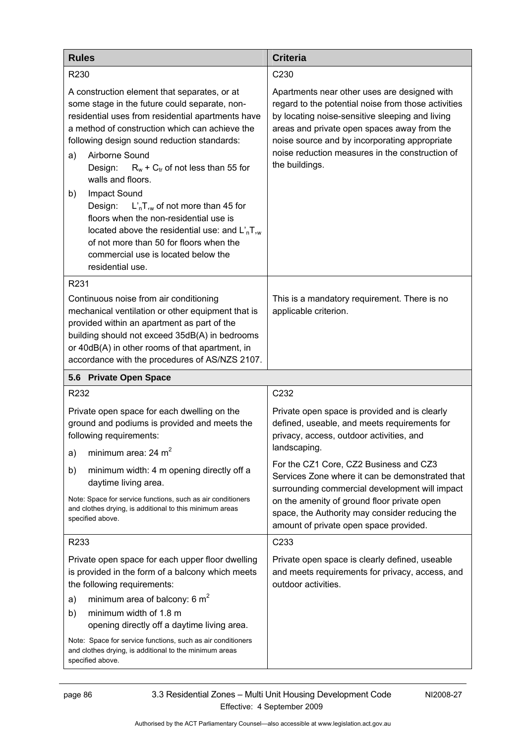| <b>Rules</b>                                                                                                                                                                                                                                                                                                                                                                  | <b>Criteria</b>                                                                                                                                                                                                                                                                                                             |
|-------------------------------------------------------------------------------------------------------------------------------------------------------------------------------------------------------------------------------------------------------------------------------------------------------------------------------------------------------------------------------|-----------------------------------------------------------------------------------------------------------------------------------------------------------------------------------------------------------------------------------------------------------------------------------------------------------------------------|
| R <sub>230</sub>                                                                                                                                                                                                                                                                                                                                                              | C <sub>230</sub>                                                                                                                                                                                                                                                                                                            |
| A construction element that separates, or at<br>some stage in the future could separate, non-<br>residential uses from residential apartments have<br>a method of construction which can achieve the<br>following design sound reduction standards:<br>Airborne Sound<br>a)<br>$R_w$ + $C_{tr}$ of not less than 55 for<br>Design:<br>walls and floors.<br>Impact Sound<br>b) | Apartments near other uses are designed with<br>regard to the potential noise from those activities<br>by locating noise-sensitive sleeping and living<br>areas and private open spaces away from the<br>noise source and by incorporating appropriate<br>noise reduction measures in the construction of<br>the buildings. |
| Design:<br>$L'_n$ , $\overline{L}_w$ of not more than 45 for<br>floors when the non-residential use is<br>located above the residential use: and $LnTsw$<br>of not more than 50 for floors when the<br>commercial use is located below the<br>residential use.                                                                                                                |                                                                                                                                                                                                                                                                                                                             |
| R231                                                                                                                                                                                                                                                                                                                                                                          |                                                                                                                                                                                                                                                                                                                             |
| Continuous noise from air conditioning<br>mechanical ventilation or other equipment that is<br>provided within an apartment as part of the<br>building should not exceed 35dB(A) in bedrooms<br>or 40dB(A) in other rooms of that apartment, in<br>accordance with the procedures of AS/NZS 2107.                                                                             | This is a mandatory requirement. There is no<br>applicable criterion.                                                                                                                                                                                                                                                       |
| 5.6 Private Open Space                                                                                                                                                                                                                                                                                                                                                        |                                                                                                                                                                                                                                                                                                                             |
| R232                                                                                                                                                                                                                                                                                                                                                                          | C232                                                                                                                                                                                                                                                                                                                        |
| Private open space for each dwelling on the<br>ground and podiums is provided and meets the<br>following requirements:                                                                                                                                                                                                                                                        | Private open space is provided and is clearly<br>defined, useable, and meets requirements for<br>privacy, access, outdoor activities, and<br>landscaping.                                                                                                                                                                   |
| minimum area: $24 \text{ m}^2$<br>a)                                                                                                                                                                                                                                                                                                                                          | For the CZ1 Core, CZ2 Business and CZ3                                                                                                                                                                                                                                                                                      |
| minimum width: 4 m opening directly off a<br>b)<br>daytime living area.                                                                                                                                                                                                                                                                                                       | Services Zone where it can be demonstrated that<br>surrounding commercial development will impact                                                                                                                                                                                                                           |
| Note: Space for service functions, such as air conditioners<br>and clothes drying, is additional to this minimum areas<br>specified above.                                                                                                                                                                                                                                    | on the amenity of ground floor private open<br>space, the Authority may consider reducing the<br>amount of private open space provided.                                                                                                                                                                                     |
| R233                                                                                                                                                                                                                                                                                                                                                                          | C233                                                                                                                                                                                                                                                                                                                        |
| Private open space for each upper floor dwelling<br>is provided in the form of a balcony which meets<br>the following requirements:                                                                                                                                                                                                                                           | Private open space is clearly defined, useable<br>and meets requirements for privacy, access, and<br>outdoor activities.                                                                                                                                                                                                    |
| minimum area of balcony: 6 $m2$<br>a)<br>minimum width of 1.8 m<br>b)<br>opening directly off a daytime living area.                                                                                                                                                                                                                                                          |                                                                                                                                                                                                                                                                                                                             |
| Note: Space for service functions, such as air conditioners<br>and clothes drying, is additional to the minimum areas<br>specified above.                                                                                                                                                                                                                                     |                                                                                                                                                                                                                                                                                                                             |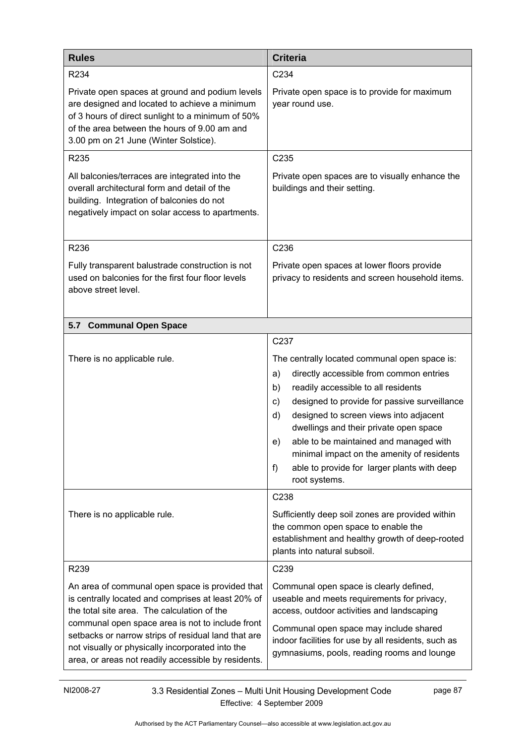| <b>Rules</b>                                                                                                                                                                                                                                                                                                                                                               | <b>Criteria</b>                                                                                                                                                                                                                                                                                                                                                                                                                                                                 |  |
|----------------------------------------------------------------------------------------------------------------------------------------------------------------------------------------------------------------------------------------------------------------------------------------------------------------------------------------------------------------------------|---------------------------------------------------------------------------------------------------------------------------------------------------------------------------------------------------------------------------------------------------------------------------------------------------------------------------------------------------------------------------------------------------------------------------------------------------------------------------------|--|
| R234                                                                                                                                                                                                                                                                                                                                                                       | C234                                                                                                                                                                                                                                                                                                                                                                                                                                                                            |  |
| Private open spaces at ground and podium levels<br>are designed and located to achieve a minimum<br>of 3 hours of direct sunlight to a minimum of 50%<br>of the area between the hours of 9.00 am and<br>3.00 pm on 21 June (Winter Solstice).                                                                                                                             | Private open space is to provide for maximum<br>year round use.                                                                                                                                                                                                                                                                                                                                                                                                                 |  |
| R235                                                                                                                                                                                                                                                                                                                                                                       | C235                                                                                                                                                                                                                                                                                                                                                                                                                                                                            |  |
| All balconies/terraces are integrated into the<br>overall architectural form and detail of the<br>building. Integration of balconies do not<br>negatively impact on solar access to apartments.                                                                                                                                                                            | Private open spaces are to visually enhance the<br>buildings and their setting.                                                                                                                                                                                                                                                                                                                                                                                                 |  |
| R236                                                                                                                                                                                                                                                                                                                                                                       | C236                                                                                                                                                                                                                                                                                                                                                                                                                                                                            |  |
| Fully transparent balustrade construction is not<br>used on balconies for the first four floor levels<br>above street level.                                                                                                                                                                                                                                               | Private open spaces at lower floors provide<br>privacy to residents and screen household items.                                                                                                                                                                                                                                                                                                                                                                                 |  |
| <b>Communal Open Space</b><br>5.7                                                                                                                                                                                                                                                                                                                                          |                                                                                                                                                                                                                                                                                                                                                                                                                                                                                 |  |
| There is no applicable rule.                                                                                                                                                                                                                                                                                                                                               | C237<br>The centrally located communal open space is:<br>directly accessible from common entries<br>a)<br>readily accessible to all residents<br>b)<br>designed to provide for passive surveillance<br>C)<br>d)<br>designed to screen views into adjacent<br>dwellings and their private open space<br>able to be maintained and managed with<br>e)<br>minimal impact on the amenity of residents<br>f)<br>able to provide for larger plants with deep<br>root systems.<br>C238 |  |
| There is no applicable rule.                                                                                                                                                                                                                                                                                                                                               | Sufficiently deep soil zones are provided within<br>the common open space to enable the<br>establishment and healthy growth of deep-rooted<br>plants into natural subsoil.                                                                                                                                                                                                                                                                                                      |  |
| R239                                                                                                                                                                                                                                                                                                                                                                       | C239                                                                                                                                                                                                                                                                                                                                                                                                                                                                            |  |
| An area of communal open space is provided that<br>is centrally located and comprises at least 20% of<br>the total site area. The calculation of the<br>communal open space area is not to include front<br>setbacks or narrow strips of residual land that are<br>not visually or physically incorporated into the<br>area, or areas not readily accessible by residents. | Communal open space is clearly defined,<br>useable and meets requirements for privacy,<br>access, outdoor activities and landscaping<br>Communal open space may include shared<br>indoor facilities for use by all residents, such as<br>gymnasiums, pools, reading rooms and lounge                                                                                                                                                                                            |  |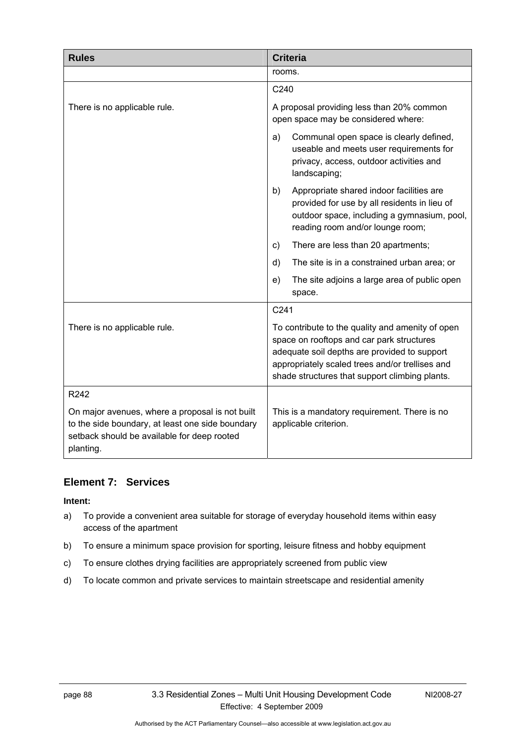| <b>Rules</b>                                                                                                                                                    | <b>Criteria</b>                                                                                                                                                                                                                                    |
|-----------------------------------------------------------------------------------------------------------------------------------------------------------------|----------------------------------------------------------------------------------------------------------------------------------------------------------------------------------------------------------------------------------------------------|
|                                                                                                                                                                 | rooms.                                                                                                                                                                                                                                             |
|                                                                                                                                                                 | C240                                                                                                                                                                                                                                               |
| There is no applicable rule.                                                                                                                                    | A proposal providing less than 20% common<br>open space may be considered where:                                                                                                                                                                   |
|                                                                                                                                                                 | Communal open space is clearly defined,<br>a)<br>useable and meets user requirements for<br>privacy, access, outdoor activities and<br>landscaping;                                                                                                |
|                                                                                                                                                                 | Appropriate shared indoor facilities are<br>b)<br>provided for use by all residents in lieu of<br>outdoor space, including a gymnasium, pool,<br>reading room and/or lounge room;                                                                  |
|                                                                                                                                                                 | There are less than 20 apartments;<br>$\mathsf{c}$                                                                                                                                                                                                 |
|                                                                                                                                                                 | d)<br>The site is in a constrained urban area; or                                                                                                                                                                                                  |
|                                                                                                                                                                 | The site adjoins a large area of public open<br>e)<br>space.                                                                                                                                                                                       |
|                                                                                                                                                                 | C241                                                                                                                                                                                                                                               |
| There is no applicable rule.                                                                                                                                    | To contribute to the quality and amenity of open<br>space on rooftops and car park structures<br>adequate soil depths are provided to support<br>appropriately scaled trees and/or trellises and<br>shade structures that support climbing plants. |
| R242                                                                                                                                                            |                                                                                                                                                                                                                                                    |
| On major avenues, where a proposal is not built<br>to the side boundary, at least one side boundary<br>setback should be available for deep rooted<br>planting. | This is a mandatory requirement. There is no<br>applicable criterion.                                                                                                                                                                              |

### **Element 7: Services**

- a) To provide a convenient area suitable for storage of everyday household items within easy access of the apartment
- b) To ensure a minimum space provision for sporting, leisure fitness and hobby equipment
- c) To ensure clothes drying facilities are appropriately screened from public view
- d) To locate common and private services to maintain streetscape and residential amenity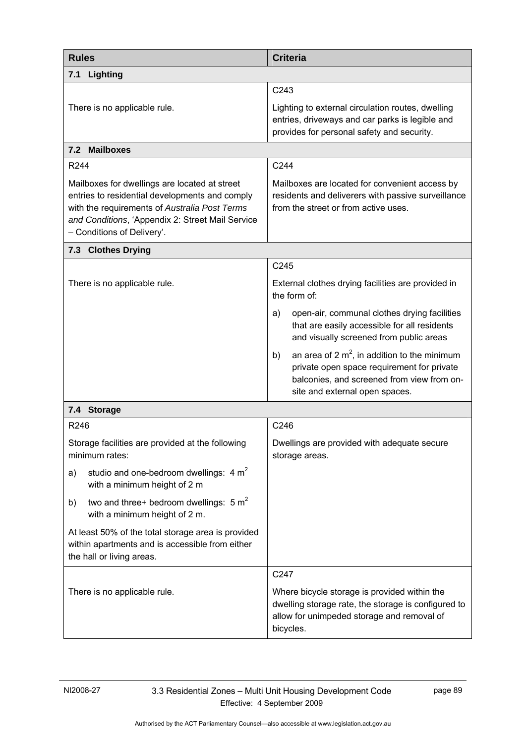| <b>Rules</b>                                                                                                                                                                                                                       | <b>Criteria</b>                                                                                                                                                                     |
|------------------------------------------------------------------------------------------------------------------------------------------------------------------------------------------------------------------------------------|-------------------------------------------------------------------------------------------------------------------------------------------------------------------------------------|
| Lighting<br>7.1                                                                                                                                                                                                                    |                                                                                                                                                                                     |
| There is no applicable rule.                                                                                                                                                                                                       | C243<br>Lighting to external circulation routes, dwelling<br>entries, driveways and car parks is legible and<br>provides for personal safety and security.                          |
| 7.2 Mailboxes                                                                                                                                                                                                                      |                                                                                                                                                                                     |
| R <sub>244</sub>                                                                                                                                                                                                                   | C244                                                                                                                                                                                |
| Mailboxes for dwellings are located at street<br>entries to residential developments and comply<br>with the requirements of Australia Post Terms<br>and Conditions, 'Appendix 2: Street Mail Service<br>- Conditions of Delivery'. | Mailboxes are located for convenient access by<br>residents and deliverers with passive surveillance<br>from the street or from active uses.                                        |
| 7.3 Clothes Drying                                                                                                                                                                                                                 |                                                                                                                                                                                     |
|                                                                                                                                                                                                                                    | C245                                                                                                                                                                                |
| There is no applicable rule.                                                                                                                                                                                                       | External clothes drying facilities are provided in<br>the form of:                                                                                                                  |
|                                                                                                                                                                                                                                    | open-air, communal clothes drying facilities<br>a)<br>that are easily accessible for all residents<br>and visually screened from public areas                                       |
|                                                                                                                                                                                                                                    | an area of 2 $m^2$ , in addition to the minimum<br>b)<br>private open space requirement for private<br>balconies, and screened from view from on-<br>site and external open spaces. |
| 7.4 Storage                                                                                                                                                                                                                        |                                                                                                                                                                                     |
| R246                                                                                                                                                                                                                               | C246                                                                                                                                                                                |
| Storage facilities are provided at the following<br>minimum rates:                                                                                                                                                                 | Dwellings are provided with adequate secure<br>storage areas.                                                                                                                       |
| studio and one-bedroom dwellings: $4 m2$<br>a)<br>with a minimum height of 2 m                                                                                                                                                     |                                                                                                                                                                                     |
| two and three+ bedroom dwellings: $5 m2$<br>b)<br>with a minimum height of 2 m.                                                                                                                                                    |                                                                                                                                                                                     |
| At least 50% of the total storage area is provided<br>within apartments and is accessible from either<br>the hall or living areas.                                                                                                 |                                                                                                                                                                                     |
| There is no applicable rule.                                                                                                                                                                                                       | C247<br>Where bicycle storage is provided within the<br>dwelling storage rate, the storage is configured to<br>allow for unimpeded storage and removal of<br>bicycles.              |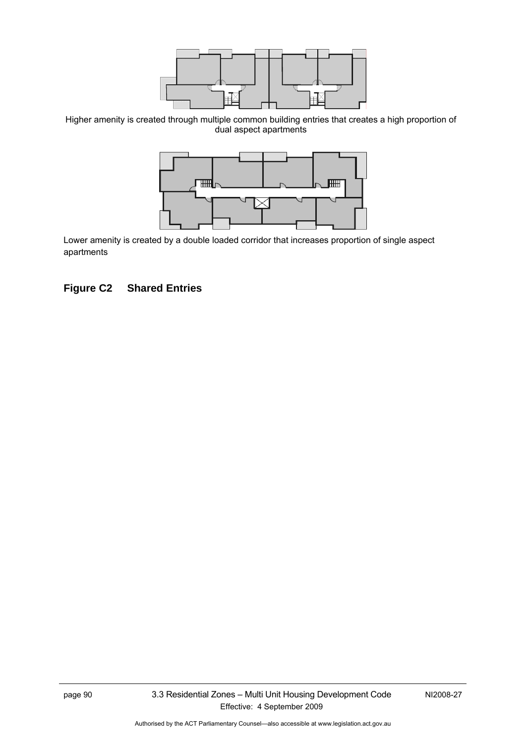

Higher amenity is created through multiple common building entries that creates a high proportion of dual aspect apartments



Lower amenity is created by a double loaded corridor that increases proportion of single aspect apartments

### **Figure C2 Shared Entries**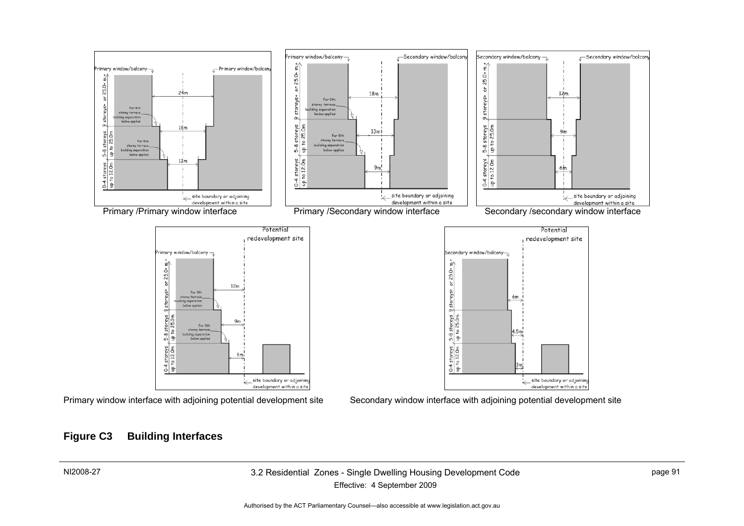

#### **Figure C3 Building Interfaces**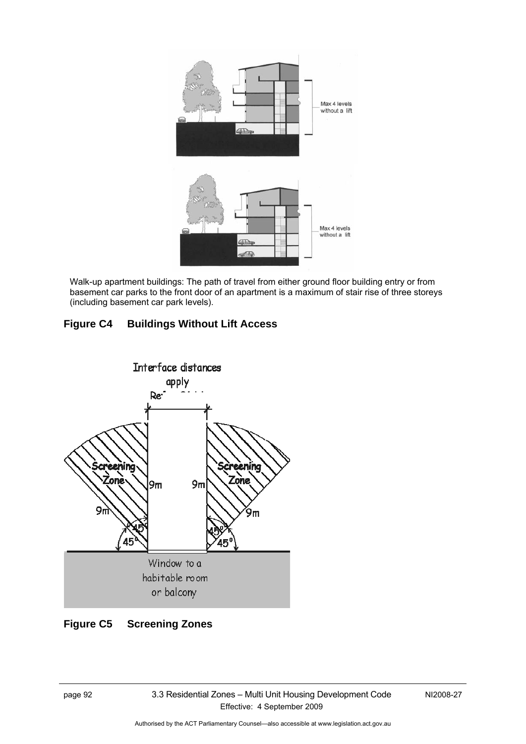

Walk-up apartment buildings: The path of travel from either ground floor building entry or from basement car parks to the front door of an apartment is a maximum of stair rise of three storeys (including basement car park levels).

# **Figure C4 Buildings Without Lift Access**



### **Figure C5 Screening Zones**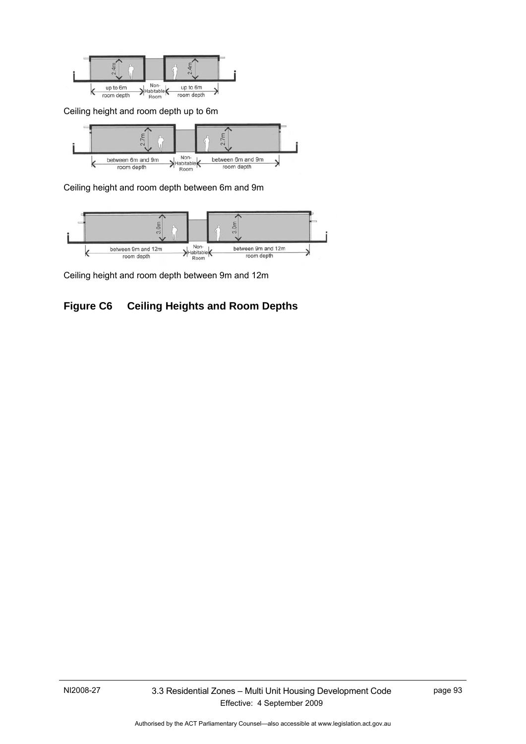

Ceiling height and room depth up to 6m



Ceiling height and room depth between 6m and 9m



Ceiling height and room depth between 9m and 12m

# **Figure C6 Ceiling Heights and Room Depths**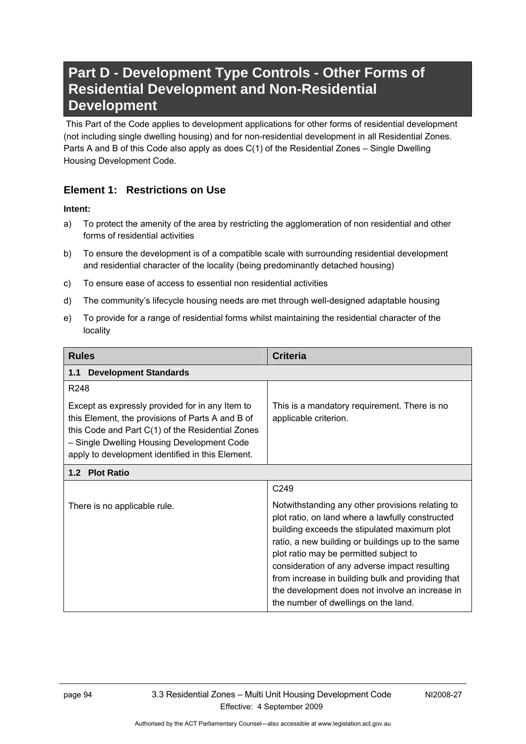# **Part D - Development Type Controls - Other Forms of Residential Development and Non-Residential Development**

 This Part of the Code applies to development applications for other forms of residential development (not including single dwelling housing) and for non-residential development in all Residential Zones. Parts A and B of this Code also apply as does C(1) of the Residential Zones – Single Dwelling Housing Development Code.

### **Element 1: Restrictions on Use**

#### **Intent:**

- a) To protect the amenity of the area by restricting the agglomeration of non residential and other forms of residential activities
- b) To ensure the development is of a compatible scale with surrounding residential development and residential character of the locality (being predominantly detached housing)
- c) To ensure ease of access to essential non residential activities
- d) The community's lifecycle housing needs are met through well-designed adaptable housing
- e) To provide for a range of residential forms whilst maintaining the residential character of the locality

| <b>Rules</b>                                                                                                                                                                                                                                              | <b>Criteria</b>                                                                                                                                      |
|-----------------------------------------------------------------------------------------------------------------------------------------------------------------------------------------------------------------------------------------------------------|------------------------------------------------------------------------------------------------------------------------------------------------------|
| <b>Development Standards</b><br>1.1                                                                                                                                                                                                                       |                                                                                                                                                      |
| R <sub>248</sub>                                                                                                                                                                                                                                          |                                                                                                                                                      |
| Except as expressly provided for in any Item to<br>this Element, the provisions of Parts A and B of<br>this Code and Part C(1) of the Residential Zones<br>- Single Dwelling Housing Development Code<br>apply to development identified in this Element. | This is a mandatory requirement. There is no<br>applicable criterion.                                                                                |
| 1.2 Plot Ratio                                                                                                                                                                                                                                            |                                                                                                                                                      |
|                                                                                                                                                                                                                                                           | C <sub>249</sub>                                                                                                                                     |
| There is no applicable rule.                                                                                                                                                                                                                              | Notwithstanding any other provisions relating to<br>plot ratio, on land where a lawfully constructed<br>building exceeds the stipulated maximum plot |

building exceeds the stipulated maximum plot ratio, a new building or buildings up to the same plot ratio may be permitted subject to consideration of any adverse impact resulting from increase in building bulk and providing that the development does not involve an increase in the number of dwellings on the land.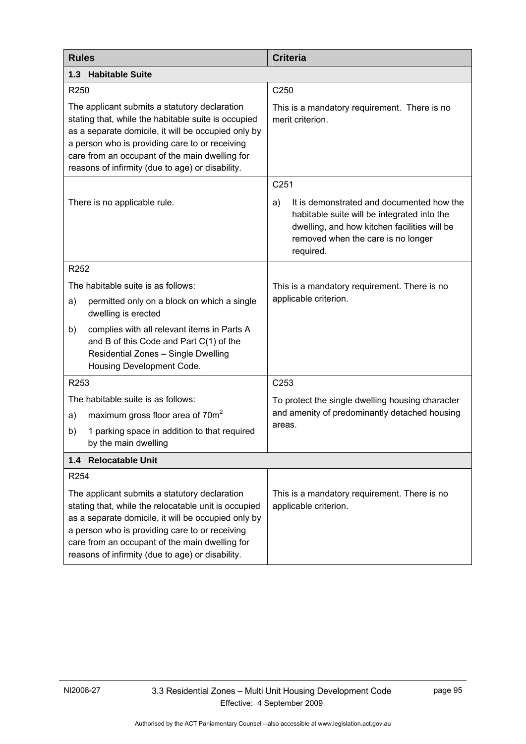| <b>Rules</b>     |                                                                                                                                                                                                                                                                                                                      | <b>Criteria</b>                                                                                                                                                                                   |  |
|------------------|----------------------------------------------------------------------------------------------------------------------------------------------------------------------------------------------------------------------------------------------------------------------------------------------------------------------|---------------------------------------------------------------------------------------------------------------------------------------------------------------------------------------------------|--|
|                  | 1.3 Habitable Suite                                                                                                                                                                                                                                                                                                  |                                                                                                                                                                                                   |  |
| R250             |                                                                                                                                                                                                                                                                                                                      | C250                                                                                                                                                                                              |  |
|                  | The applicant submits a statutory declaration<br>stating that, while the habitable suite is occupied<br>as a separate domicile, it will be occupied only by<br>a person who is providing care to or receiving<br>care from an occupant of the main dwelling for<br>reasons of infirmity (due to age) or disability.  | This is a mandatory requirement. There is no<br>merit criterion.                                                                                                                                  |  |
|                  |                                                                                                                                                                                                                                                                                                                      | C <sub>251</sub>                                                                                                                                                                                  |  |
|                  | There is no applicable rule.                                                                                                                                                                                                                                                                                         | It is demonstrated and documented how the<br>a)<br>habitable suite will be integrated into the<br>dwelling, and how kitchen facilities will be<br>removed when the care is no longer<br>required. |  |
| R252             |                                                                                                                                                                                                                                                                                                                      |                                                                                                                                                                                                   |  |
|                  | The habitable suite is as follows:                                                                                                                                                                                                                                                                                   | This is a mandatory requirement. There is no                                                                                                                                                      |  |
| a)               | permitted only on a block on which a single<br>dwelling is erected                                                                                                                                                                                                                                                   | applicable criterion.                                                                                                                                                                             |  |
| b)               | complies with all relevant items in Parts A<br>and B of this Code and Part C(1) of the<br>Residential Zones - Single Dwelling<br>Housing Development Code.                                                                                                                                                           |                                                                                                                                                                                                   |  |
| R253             |                                                                                                                                                                                                                                                                                                                      | C <sub>253</sub>                                                                                                                                                                                  |  |
|                  | The habitable suite is as follows:                                                                                                                                                                                                                                                                                   | To protect the single dwelling housing character                                                                                                                                                  |  |
| a)               | maximum gross floor area of 70m <sup>2</sup>                                                                                                                                                                                                                                                                         | and amenity of predominantly detached housing                                                                                                                                                     |  |
| b)               | 1 parking space in addition to that required<br>by the main dwelling                                                                                                                                                                                                                                                 | areas.                                                                                                                                                                                            |  |
|                  | 1.4 Relocatable Unit                                                                                                                                                                                                                                                                                                 |                                                                                                                                                                                                   |  |
| R <sub>254</sub> |                                                                                                                                                                                                                                                                                                                      |                                                                                                                                                                                                   |  |
|                  | The applicant submits a statutory declaration<br>stating that, while the relocatable unit is occupied<br>as a separate domicile, it will be occupied only by<br>a person who is providing care to or receiving<br>care from an occupant of the main dwelling for<br>reasons of infirmity (due to age) or disability. | This is a mandatory requirement. There is no<br>applicable criterion.                                                                                                                             |  |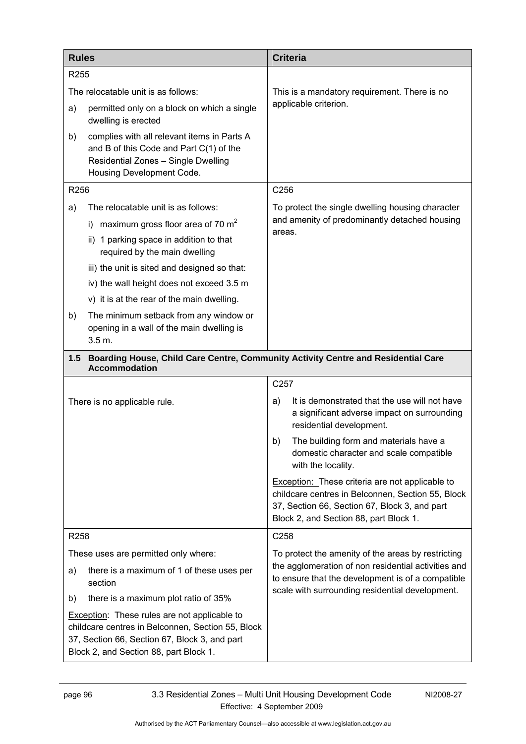| <b>Rules</b>     |                                                                                                                                                                                                     | <b>Criteria</b>                                                                                                                                                                                        |
|------------------|-----------------------------------------------------------------------------------------------------------------------------------------------------------------------------------------------------|--------------------------------------------------------------------------------------------------------------------------------------------------------------------------------------------------------|
| R <sub>255</sub> |                                                                                                                                                                                                     |                                                                                                                                                                                                        |
|                  | The relocatable unit is as follows:                                                                                                                                                                 | This is a mandatory requirement. There is no                                                                                                                                                           |
| a)               | permitted only on a block on which a single<br>dwelling is erected                                                                                                                                  | applicable criterion.                                                                                                                                                                                  |
| b)               | complies with all relevant items in Parts A<br>and B of this Code and Part C(1) of the<br>Residential Zones - Single Dwelling<br>Housing Development Code.                                          |                                                                                                                                                                                                        |
| R256             |                                                                                                                                                                                                     | C256                                                                                                                                                                                                   |
| a)               | The relocatable unit is as follows:                                                                                                                                                                 | To protect the single dwelling housing character                                                                                                                                                       |
|                  | maximum gross floor area of 70 $m2$<br>D.                                                                                                                                                           | and amenity of predominantly detached housing<br>areas.                                                                                                                                                |
|                  | ii) 1 parking space in addition to that<br>required by the main dwelling                                                                                                                            |                                                                                                                                                                                                        |
|                  | iii) the unit is sited and designed so that:                                                                                                                                                        |                                                                                                                                                                                                        |
|                  | iv) the wall height does not exceed 3.5 m                                                                                                                                                           |                                                                                                                                                                                                        |
|                  | v) it is at the rear of the main dwelling.                                                                                                                                                          |                                                                                                                                                                                                        |
| b)               | The minimum setback from any window or<br>opening in a wall of the main dwelling is<br>3.5 m.                                                                                                       |                                                                                                                                                                                                        |
| $1.5$            | Boarding House, Child Care Centre, Community Activity Centre and Residential Care<br><b>Accommodation</b>                                                                                           |                                                                                                                                                                                                        |
|                  |                                                                                                                                                                                                     | C257                                                                                                                                                                                                   |
|                  | There is no applicable rule.                                                                                                                                                                        | It is demonstrated that the use will not have<br>a)<br>a significant adverse impact on surrounding<br>residential development.                                                                         |
|                  |                                                                                                                                                                                                     | The building form and materials have a<br>b)<br>domestic character and scale compatible<br>with the locality.                                                                                          |
|                  |                                                                                                                                                                                                     | <b>Exception:</b> These criteria are not applicable to<br>childcare centres in Belconnen, Section 55, Block<br>37, Section 66, Section 67, Block 3, and part<br>Block 2, and Section 88, part Block 1. |
| R258             |                                                                                                                                                                                                     | C258                                                                                                                                                                                                   |
|                  | These uses are permitted only where:                                                                                                                                                                | To protect the amenity of the areas by restricting                                                                                                                                                     |
| a)               | there is a maximum of 1 of these uses per<br>section                                                                                                                                                | the agglomeration of non residential activities and<br>to ensure that the development is of a compatible<br>scale with surrounding residential development.                                            |
| b)               | there is a maximum plot ratio of 35%                                                                                                                                                                |                                                                                                                                                                                                        |
|                  | <b>Exception:</b> These rules are not applicable to<br>childcare centres in Belconnen, Section 55, Block<br>37, Section 66, Section 67, Block 3, and part<br>Block 2, and Section 88, part Block 1. |                                                                                                                                                                                                        |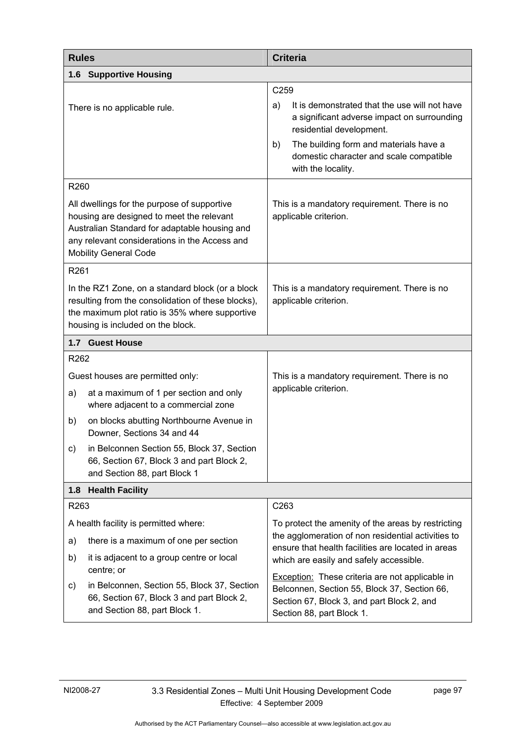| <b>Rules</b>                                                                                                                                                                                                               | <b>Criteria</b>                                                                                                                                                                   |
|----------------------------------------------------------------------------------------------------------------------------------------------------------------------------------------------------------------------------|-----------------------------------------------------------------------------------------------------------------------------------------------------------------------------------|
| <b>Supportive Housing</b><br>1.6                                                                                                                                                                                           |                                                                                                                                                                                   |
|                                                                                                                                                                                                                            | C259                                                                                                                                                                              |
| There is no applicable rule.                                                                                                                                                                                               | It is demonstrated that the use will not have<br>a)<br>a significant adverse impact on surrounding<br>residential development.                                                    |
|                                                                                                                                                                                                                            | The building form and materials have a<br>b)<br>domestic character and scale compatible<br>with the locality.                                                                     |
| R260                                                                                                                                                                                                                       |                                                                                                                                                                                   |
| All dwellings for the purpose of supportive<br>housing are designed to meet the relevant<br>Australian Standard for adaptable housing and<br>any relevant considerations in the Access and<br><b>Mobility General Code</b> | This is a mandatory requirement. There is no<br>applicable criterion.                                                                                                             |
| R261                                                                                                                                                                                                                       |                                                                                                                                                                                   |
| In the RZ1 Zone, on a standard block (or a block<br>resulting from the consolidation of these blocks),<br>the maximum plot ratio is 35% where supportive<br>housing is included on the block.                              | This is a mandatory requirement. There is no<br>applicable criterion.                                                                                                             |
| 1.7 Guest House                                                                                                                                                                                                            |                                                                                                                                                                                   |
| R262                                                                                                                                                                                                                       |                                                                                                                                                                                   |
| Guest houses are permitted only:                                                                                                                                                                                           | This is a mandatory requirement. There is no                                                                                                                                      |
| at a maximum of 1 per section and only<br>a)<br>where adjacent to a commercial zone                                                                                                                                        | applicable criterion.                                                                                                                                                             |
| on blocks abutting Northbourne Avenue in<br>b)<br>Downer, Sections 34 and 44                                                                                                                                               |                                                                                                                                                                                   |
| in Belconnen Section 55, Block 37, Section<br>c)<br>66, Section 67, Block 3 and part Block 2,<br>and Section 88, part Block 1                                                                                              |                                                                                                                                                                                   |
| <b>Health Facility</b><br>1.8                                                                                                                                                                                              |                                                                                                                                                                                   |
| R263                                                                                                                                                                                                                       | C263                                                                                                                                                                              |
| A health facility is permitted where:                                                                                                                                                                                      | To protect the amenity of the areas by restricting                                                                                                                                |
| there is a maximum of one per section<br>a)                                                                                                                                                                                | the agglomeration of non residential activities to<br>ensure that health facilities are located in areas                                                                          |
| b)<br>it is adjacent to a group centre or local<br>centre; or                                                                                                                                                              | which are easily and safely accessible.                                                                                                                                           |
| in Belconnen, Section 55, Block 37, Section<br>c)<br>66, Section 67, Block 3 and part Block 2,<br>and Section 88, part Block 1.                                                                                            | <b>Exception:</b> These criteria are not applicable in<br>Belconnen, Section 55, Block 37, Section 66,<br>Section 67, Block 3, and part Block 2, and<br>Section 88, part Block 1. |